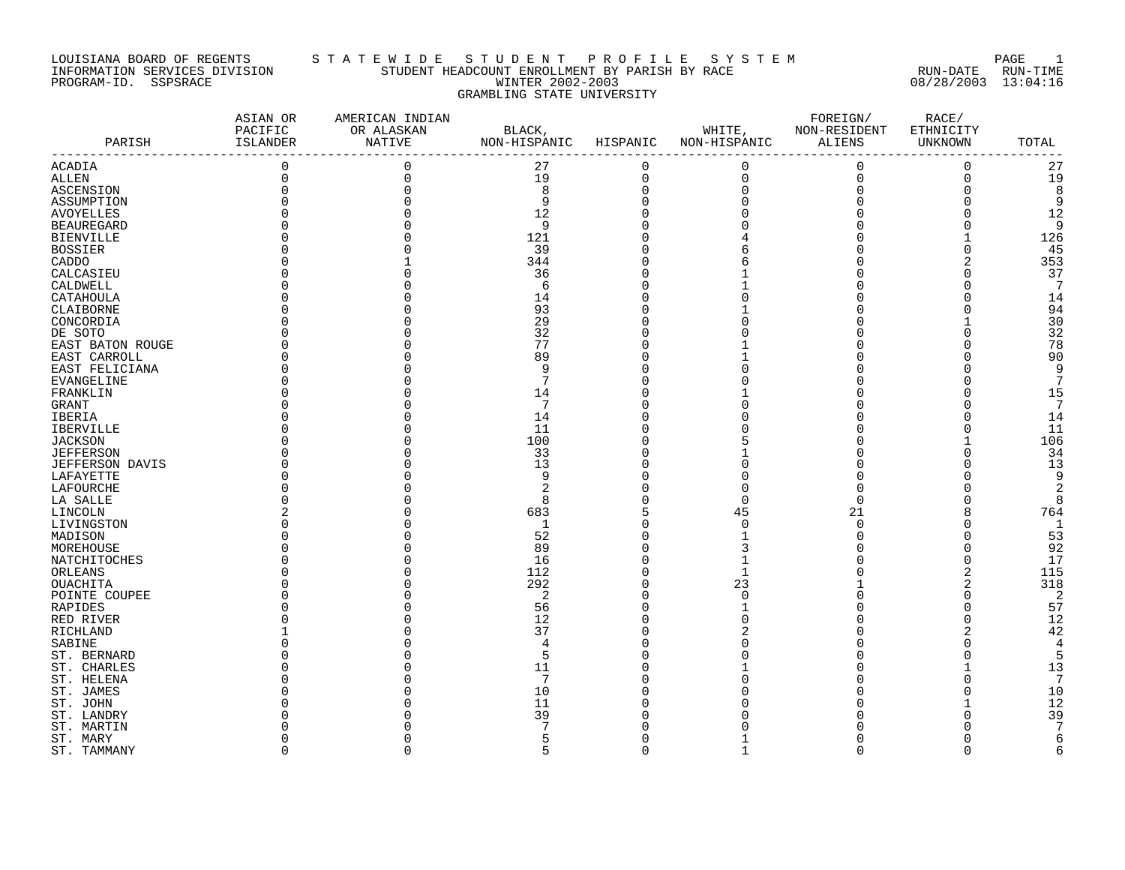#### LOUISIANA BOARD OF REGENTS S T A T E W I D E S T U D E N T P R O F I L E S Y S T E M PAGE 1 INFORMATION SERVICES DIVISION STUDENT HEADCOUNT ENROLLMENT BY PARISH BY RACE RUN-DATE RUN-TIME PROGRAM-ID. SSPSRACE WINTER 2002-2003 08/28/2003 13:04:16 GRAMBLING STATE UNIVERSITY

|                        | ASIAN OR<br>PACIFIC | AMERICAN INDIAN<br>OR ALASKAN |                        |             | WHITE,              | FOREIGN/<br>NON-RESIDENT | RACE/                |                 |
|------------------------|---------------------|-------------------------------|------------------------|-------------|---------------------|--------------------------|----------------------|-----------------|
| PARISH                 | ISLANDER            | NATIVE                        | BLACK,<br>NON-HISPANIC | HISPANIC    | NON-HISPANIC        | ALIENS                   | ETHNICITY<br>UNKNOWN | TOTAL           |
|                        | -----------         |                               |                        |             |                     |                          |                      |                 |
| <b>ACADIA</b>          | $\mathbf 0$         | $\mathbf 0$                   | 27                     | 0           | 0                   | $\mathbf 0$              | 0                    | 27              |
| ALLEN                  | $\mathbf 0$         | $\mathbf 0$                   | 19                     | $\mathsf 0$ | $\mathsf{O}\xspace$ | $\mathbf 0$              | $\mathsf{O}$         | 19              |
| ASCENSION              |                     |                               | 8                      | $\mathbf 0$ | $\mathbf 0$         |                          | $\Omega$             | 8               |
| ASSUMPTION             |                     |                               | 9                      | $\mathbf 0$ | $\Omega$            |                          | $\Omega$             | 9               |
| <b>AVOYELLES</b>       |                     |                               | 12                     | $\Omega$    |                     |                          | O                    | 12              |
| <b>BEAUREGARD</b>      |                     |                               | 9                      | $\Omega$    |                     |                          | O                    | 9               |
| <b>BIENVILLE</b>       |                     |                               | 121                    | $\Omega$    |                     |                          |                      | 126             |
| <b>BOSSIER</b>         |                     |                               | 39                     | $\Omega$    |                     |                          | $\Omega$             | 45              |
| CADDO                  |                     |                               | 344                    | $\Omega$    |                     |                          | 2                    | 353             |
| CALCASIEU              |                     |                               | 36                     | $\Omega$    |                     |                          | $\Omega$             | 37              |
| CALDWELL               |                     |                               | 6                      | $\Omega$    |                     |                          | O                    | 7               |
| CATAHOULA              |                     |                               | 14                     | $\Omega$    |                     |                          | O                    | 14              |
| CLAIBORNE              |                     |                               | 93                     | $\Omega$    |                     |                          | $\Omega$             | 94              |
| CONCORDIA              |                     |                               | 29                     | $\Omega$    |                     |                          |                      | 30              |
| DE SOTO                |                     |                               | 32                     | $\Omega$    |                     |                          | $\Omega$             | 32              |
| EAST BATON ROUGE       |                     |                               | 77                     | 0           |                     |                          | 0                    | 78              |
| EAST CARROLL           |                     |                               | 89                     | $\Omega$    |                     |                          | O                    | 90              |
| EAST FELICIANA         |                     |                               | 9                      | $\Omega$    |                     |                          | U                    | 9               |
| EVANGELINE             |                     |                               | 7                      | O           |                     |                          | O                    | 7               |
|                        |                     |                               | 14                     | $\Omega$    |                     |                          | U                    | 15              |
| FRANKLIN               |                     |                               | 7                      | $\Omega$    |                     |                          | $\Omega$             | $7\phantom{.0}$ |
| GRANT                  |                     |                               |                        | O           |                     |                          | O                    | 14              |
| IBERIA                 |                     |                               | 14                     | $\Omega$    |                     |                          | $\Omega$             |                 |
| <b>IBERVILLE</b>       |                     |                               | 11                     |             |                     |                          |                      | 11              |
| <b>JACKSON</b>         |                     |                               | 100                    | $\Omega$    |                     |                          |                      | 106             |
| <b>JEFFERSON</b>       |                     |                               | 33                     | $\Omega$    |                     |                          | $\Omega$             | 34              |
| <b>JEFFERSON DAVIS</b> |                     |                               | 13                     | $\Omega$    |                     |                          | $\Omega$             | 13              |
| LAFAYETTE              |                     |                               | 9                      | O           |                     |                          | O                    | 9               |
| LAFOURCHE              |                     |                               | $\overline{2}$         | $\Omega$    | $\Omega$            |                          | O                    | $\overline{2}$  |
| LA SALLE               |                     |                               | 8                      | $\Omega$    | $\Omega$            |                          | $\Omega$             | 8               |
| LINCOLN                |                     |                               | 683                    | 5           | 45                  | 21                       | 8                    | 764             |
| LIVINGSTON             |                     |                               | $\mathbf{1}$           | $\Omega$    | $\Omega$            | $\Omega$                 | $\Omega$             | 1               |
| MADISON                |                     |                               | 52                     | $\Omega$    |                     | O                        | $\Omega$             | 53              |
| MOREHOUSE              |                     |                               | 89                     | $\Omega$    |                     |                          | $\Omega$             | 92              |
| NATCHITOCHES           |                     |                               | 16                     | $\Omega$    |                     |                          | $\Omega$             | 17              |
| ORLEANS                |                     |                               | 112                    | $\Omega$    | $\mathbf{1}$        |                          | 2                    | 115             |
| <b>OUACHITA</b>        |                     |                               | 292                    | $\Omega$    | 23                  |                          | 2                    | 318             |
| POINTE COUPEE          |                     |                               | 2                      | $\Omega$    | $\Omega$            |                          | $\Omega$             | $\overline{a}$  |
| RAPIDES                |                     |                               | 56                     | O           |                     |                          | 0                    | 57              |
| RED RIVER              |                     |                               | 12                     | $\Omega$    | U                   |                          | $\Omega$             | 12              |
| RICHLAND               |                     |                               | 37                     | $\Omega$    | 2                   |                          | $\overline{2}$       | 42              |
| SABINE                 |                     |                               | $\overline{4}$         | $\Omega$    |                     |                          | $\Omega$             | 4               |
| ST. BERNARD            |                     |                               | 5                      | $\Omega$    |                     |                          | U                    | 5               |
| ST. CHARLES            |                     |                               | 11                     | $\Omega$    |                     |                          |                      | 13              |
| ST. HELENA             |                     |                               | 7                      | O           |                     |                          | O                    | 7               |
| ST. JAMES              |                     |                               | 10                     | $\Omega$    |                     |                          | $\Omega$             | 10              |
| ST. JOHN               |                     |                               | 11                     | O           |                     |                          |                      | 12              |
| ST. LANDRY             |                     |                               | 39                     | $\Omega$    |                     |                          | U                    | 39              |
| ST. MARTIN             |                     |                               |                        | $\Omega$    |                     |                          | O                    | 7               |
| ST. MARY               |                     |                               | 5                      | O           |                     |                          | 0                    | 6               |
| ST. TAMMANY            | $\mathbf 0$         | $\Omega$                      | 5                      | $\mathbf 0$ | $\mathbf{1}$        | $\mathbf 0$              | $\Omega$             | 6               |
|                        |                     |                               |                        |             |                     |                          |                      |                 |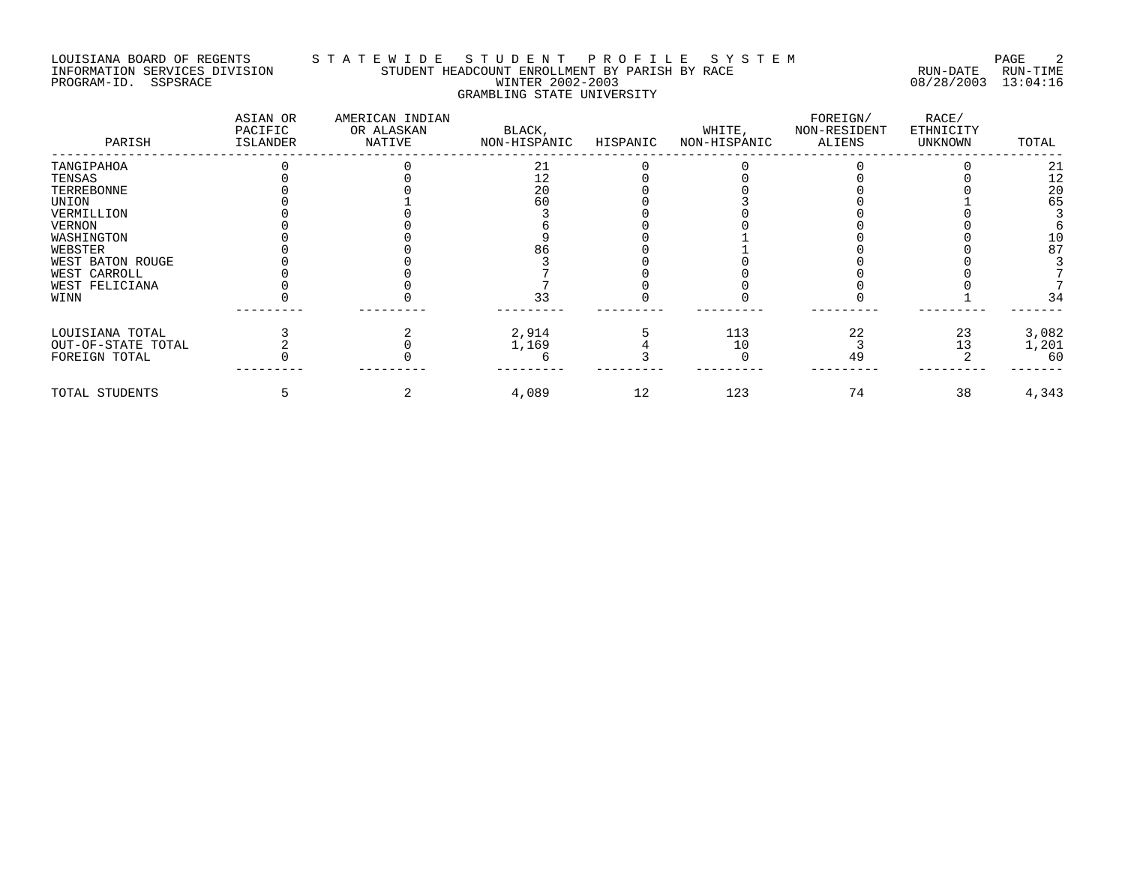#### LOUISIANA BOARD OF REGENTS S T A T E W I D E S T U D E N T P R O F I L E S Y S T E M PAGE 2 INFORMATION SERVICES DIVISION STUDENT HEADCOUNT ENROLLMENT BY PARISH BY RACE RUN-DATE RUN-TIME PROGRAM-ID. SSPSRACE WINTER 2002-2003 08/28/2003 13:04:16 GRAMBLING STATE UNIVERSITY

| PARISH             | ASIAN OR<br>PACIFIC<br>ISLANDER | AMERICAN INDIAN<br>OR ALASKAN<br>NATIVE | BLACK,<br>NON-HISPANIC | HISPANIC | WHITE,<br>NON-HISPANIC | FOREIGN/<br>NON-RESIDENT<br>ALIENS | RACE/<br>ETHNICITY<br>UNKNOWN | TOTAL |
|--------------------|---------------------------------|-----------------------------------------|------------------------|----------|------------------------|------------------------------------|-------------------------------|-------|
| TANGIPAHOA         |                                 |                                         | 21                     |          |                        |                                    |                               | 21    |
| TENSAS             |                                 |                                         | 12                     |          |                        |                                    |                               | 12    |
| TERREBONNE         |                                 |                                         | 20                     |          |                        |                                    |                               | 20    |
| UNION              |                                 |                                         | 60                     |          |                        |                                    |                               | 65    |
| VERMILLION         |                                 |                                         |                        |          |                        |                                    |                               |       |
| <b>VERNON</b>      |                                 |                                         |                        |          |                        |                                    |                               |       |
| WASHINGTON         |                                 |                                         |                        |          |                        |                                    |                               | 10    |
| WEBSTER            |                                 |                                         | 86                     |          |                        |                                    |                               | 87    |
| WEST BATON ROUGE   |                                 |                                         |                        |          |                        |                                    |                               |       |
| WEST CARROLL       |                                 |                                         |                        |          |                        |                                    |                               |       |
| WEST FELICIANA     |                                 |                                         |                        |          |                        |                                    |                               |       |
| WINN               |                                 |                                         | 33                     |          |                        |                                    |                               | 34    |
| LOUISIANA TOTAL    |                                 |                                         | 2,914                  |          | 113                    | 22                                 | 23                            | 3,082 |
| OUT-OF-STATE TOTAL |                                 |                                         | 1,169                  |          | 10                     |                                    | 13                            | 1,201 |
| FOREIGN TOTAL      |                                 |                                         |                        |          |                        | 49                                 |                               | 60    |
| TOTAL STUDENTS     |                                 |                                         | 4,089                  | 12       | 123                    | 74                                 | 38                            | 4,343 |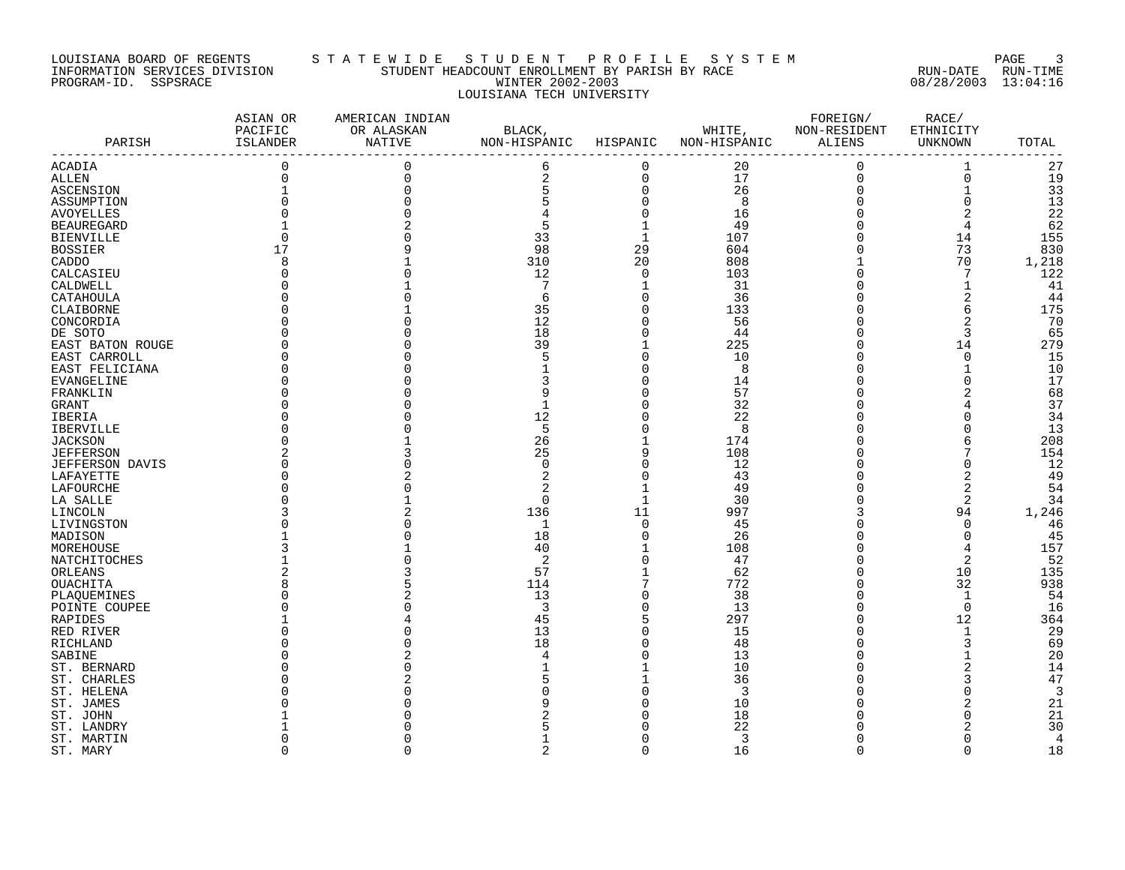#### LOUISIANA BOARD OF REGENTS S T A T E W I D E S T U D E N T P R O F I L E S Y S T E M PAGE 3 INFORMATION SERVICES DIVISION STUDENT HEADCOUNT ENROLLMENT BY PARISH BY RACE RUN-DATE RUN-TIME PROGRAM-ID. SSPSRACE WINTER 2002-2003 08/28/2003 13:04:16 LOUISIANA TECH UNIVERSITY

|                        | ASIAN OR<br>PACIFIC | AMERICAN INDIAN<br>OR ALASKAN | BLACK,         |                         | WHITE,         | FOREIGN/<br>NON-RESIDENT | RACE/<br>ETHNICITY |                |
|------------------------|---------------------|-------------------------------|----------------|-------------------------|----------------|--------------------------|--------------------|----------------|
| PARISH                 | ISLANDER            | <b>NATIVE</b>                 | NON-HISPANIC   | HISPANIC                | NON-HISPANIC   | ALIENS                   | UNKNOWN            | TOTAL          |
| ACADIA                 | 0                   | 0                             | 6              | 0                       | 20             | $\mathbf 0$              |                    | 27             |
|                        | 0                   | $\Omega$                      |                | $\mathbf 0$             | 17             | $\mathbf 0$              | 1<br>$\mathbf 0$   | 19             |
| ALLEN                  |                     |                               | 2              |                         |                |                          |                    |                |
| ASCENSION              |                     |                               | 5              | $\mathbf 0$<br>$\Omega$ | 26             | $\mathbf 0$              | 1                  | 33             |
| ASSUMPTION             |                     |                               |                |                         | 8              | $\Omega$                 | $\mathbf 0$        | 13             |
| <b>AVOYELLES</b>       |                     |                               |                |                         | 16             |                          | $\overline{2}$     | 22             |
| <b>BEAUREGARD</b>      |                     |                               | 5              |                         | 49             | 0                        | 4                  | 62             |
| <b>BIENVILLE</b>       |                     |                               | 33             | $\mathbf 1$             | 107            | $\Omega$                 | 14                 | 155            |
| <b>BOSSIER</b>         | 17                  |                               | 98             | 29                      | 604            | $\Omega$                 | 73                 | 830            |
| CADDO                  | 8                   |                               | 310            | 20                      | 808            |                          | 70                 | 1,218          |
| CALCASIEU              |                     |                               | 12             | $\mathbf 0$             | 103            | $\Omega$                 | 7                  | 122            |
| CALDWELL               |                     |                               | 7              | $\mathbf{1}$            | 31             |                          | 1                  | 41             |
| CATAHOULA              |                     |                               | 6              | $\mathbf 0$             | 36             | 0                        | 2                  | 44             |
| CLAIBORNE              |                     |                               | 35             | $\Omega$                | 133            |                          | 6                  | 175            |
| CONCORDIA              |                     |                               | 12             | $\Omega$                | 56             | $\Omega$                 | $\overline{2}$     | 70             |
| DE SOTO                |                     |                               | 18             | $\Omega$                | 44             | 0                        | 3                  | 65             |
| EAST BATON ROUGE       |                     |                               | 39             | $\mathbf{1}$            | 225            | $\Omega$                 | 14                 | 279            |
| EAST CARROLL           |                     |                               | 5              | $\Omega$                | 10             | $\Omega$                 | $\mathbf 0$        | 15             |
| EAST FELICIANA         |                     |                               |                | $\Omega$                | 8              |                          | 1                  | 10             |
| EVANGELINE             |                     |                               |                | $\Omega$                | 14             | $\Omega$                 | 0                  | 17             |
| FRANKLIN               |                     |                               |                | $\Omega$                | 57             |                          |                    | 68             |
| GRANT                  |                     |                               |                | $\Omega$                | 32             |                          |                    | 37             |
| IBERIA                 |                     |                               | 12             |                         | 22             |                          | $\Omega$           | 34             |
| <b>IBERVILLE</b>       |                     |                               | 5              |                         | 8              |                          | $\Omega$           | 13             |
| <b>JACKSON</b>         |                     |                               | 26             |                         | 174            |                          | 6                  | 208            |
| <b>JEFFERSON</b>       | 2                   |                               | 25             | 9                       | 108            | $\Omega$                 | 7                  | 154            |
|                        |                     |                               | $\Omega$       | $\Omega$                |                |                          | 0                  | 12             |
| <b>JEFFERSON DAVIS</b> |                     |                               |                | $\Omega$                | 12             |                          |                    |                |
| LAFAYETTE              |                     |                               | 2              |                         | 43             |                          | 2                  | 49             |
| LAFOURCHE              |                     |                               |                |                         | 49             |                          | $\overline{2}$     | 54             |
| LA SALLE               |                     |                               | 0              | $\mathbf 1$             | 30             | $\Omega$                 | 2                  | 34             |
| LINCOLN                |                     |                               | 136            | 11                      | 997            |                          | 94                 | 1,246          |
| LIVINGSTON             |                     |                               | 1              | $\Omega$                | 45             |                          | $\mathbf 0$        | 46             |
| MADISON                |                     |                               | 18             | $\Omega$                | 26             | $\Omega$                 | $\mathbf 0$        | 45             |
| MOREHOUSE              |                     |                               | 40             | $\mathbf{1}$            | 108            | $\Omega$                 | 4                  | 157            |
| NATCHITOCHES           |                     |                               | 2              | $\Omega$                | 47             | $\Omega$                 | $\overline{2}$     | 52             |
| ORLEANS                |                     |                               | 57             |                         | 62             | $\Omega$                 | 10                 | 135            |
| <b>OUACHITA</b>        |                     |                               | 114            | 7                       | 772            | $\Omega$                 | 32                 | 938            |
| PLAQUEMINES            |                     |                               | 13             | $\Omega$                | 38             | $\Omega$                 | $\mathbf{1}$       | 54             |
| POINTE COUPEE          |                     |                               | 3              | $\Omega$                | 13             | $\Omega$                 | $\mathbf 0$        | 16             |
| RAPIDES                |                     |                               | 45             | 5                       | 297            | $\Omega$                 | 12                 | 364            |
| RED RIVER              |                     |                               | 13             | $\Omega$                | 15             | $\Omega$                 | 1                  | 29             |
| RICHLAND               |                     |                               | 18             | $\Omega$                | 48             | $\Omega$                 | 3                  | 69             |
| SABINE                 |                     |                               | 4              | $\Omega$                | 13             | O                        | $\mathbf{1}$       | 20             |
| ST. BERNARD            |                     |                               |                |                         | 10             | $\Omega$                 | 2                  | 14             |
| ST. CHARLES            |                     |                               |                |                         | 36             |                          | 3                  | 47             |
| ST. HELENA             |                     |                               |                |                         | $\overline{3}$ |                          | 0                  | 3              |
| ST. JAMES              |                     |                               |                |                         | 10             |                          | 2                  | 21             |
|                        |                     |                               |                |                         |                |                          | 0                  |                |
| ST. JOHN               |                     |                               |                |                         | 18             |                          |                    | 21             |
| ST. LANDRY             |                     |                               |                |                         | 22             |                          | $\overline{2}$     | 30             |
| ST. MARTIN             |                     |                               |                |                         | $\overline{3}$ |                          | $\Omega$           | $\overline{4}$ |
| ST. MARY               | $\Omega$            | ∩                             | $\overline{2}$ | $\Omega$                | 16             | $\Omega$                 | $\Omega$           | 18             |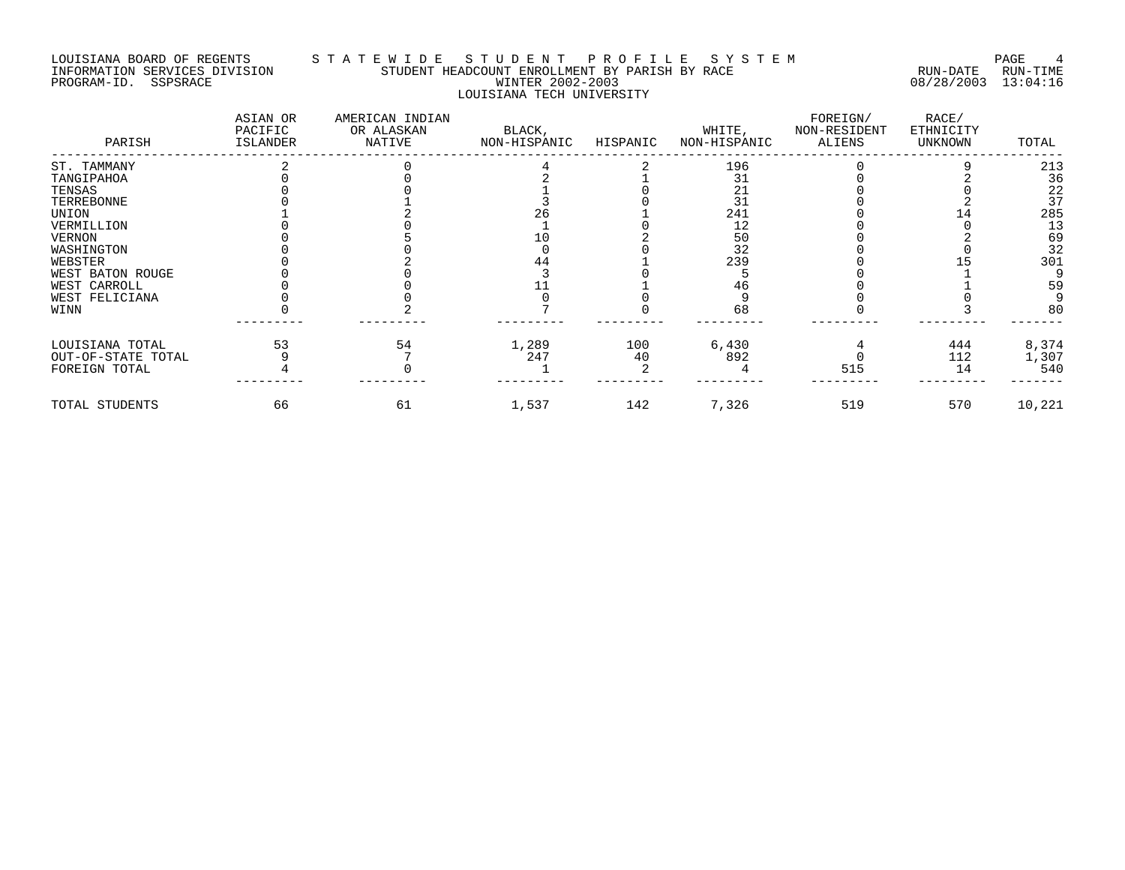#### LOUISIANA BOARD OF REGENTS S T A T E W I D E S T U D E N T P R O F I L E S Y S T E M PAGE 4 INFORMATION SERVICES DIVISION STUDENT HEADCOUNT ENROLLMENT BY PARISH BY RACE RUN-DATE RUN-TIME PROGRAM-ID. SSPSRACE WINTER 2002-2003 08/28/2003 13:04:16 LOUISIANA TECH UNIVERSITY

| PARISH             | ASIAN OR<br>PACIFIC<br>ISLANDER | AMERICAN INDIAN<br>OR ALASKAN<br>NATIVE | BLACK,<br>NON-HISPANIC | HISPANIC | WHITE,<br>NON-HISPANIC | FOREIGN/<br>NON-RESIDENT<br>ALIENS | RACE/<br>ETHNICITY<br>UNKNOWN | TOTAL  |
|--------------------|---------------------------------|-----------------------------------------|------------------------|----------|------------------------|------------------------------------|-------------------------------|--------|
| ST. TAMMANY        |                                 |                                         |                        |          | 196                    |                                    |                               | 213    |
| TANGIPAHOA         |                                 |                                         |                        |          |                        |                                    |                               | 36     |
| TENSAS             |                                 |                                         |                        |          | 21                     |                                    |                               | 22     |
| TERREBONNE         |                                 |                                         |                        |          | 31                     |                                    |                               | 37     |
| UNION              |                                 |                                         |                        |          | 241                    |                                    |                               | 285    |
| VERMILLION         |                                 |                                         |                        |          | 12                     |                                    |                               | 13     |
| VERNON             |                                 |                                         |                        |          | 50                     |                                    |                               | 69     |
| WASHINGTON         |                                 |                                         |                        |          | 32                     |                                    |                               | 32     |
| WEBSTER            |                                 |                                         |                        |          | 239                    |                                    |                               | 301    |
| WEST BATON ROUGE   |                                 |                                         |                        |          |                        |                                    |                               |        |
| WEST CARROLL       |                                 |                                         |                        |          |                        |                                    |                               | 59     |
| WEST FELICIANA     |                                 |                                         |                        |          |                        |                                    |                               |        |
| WINN               |                                 |                                         |                        |          | 68                     |                                    |                               | 80     |
| LOUISIANA TOTAL    | 53                              | 54                                      | 1,289                  | 100      | 6,430                  |                                    | 444                           | 8,374  |
| OUT-OF-STATE TOTAL |                                 |                                         | 247                    | 40       | 892                    |                                    | 112                           | 1,307  |
| FOREIGN TOTAL      |                                 |                                         |                        |          |                        | 515                                | 14                            | 540    |
| TOTAL STUDENTS     | 66                              | 61                                      | 1,537                  | 142      | 7,326                  | 519                                | 570                           | 10,221 |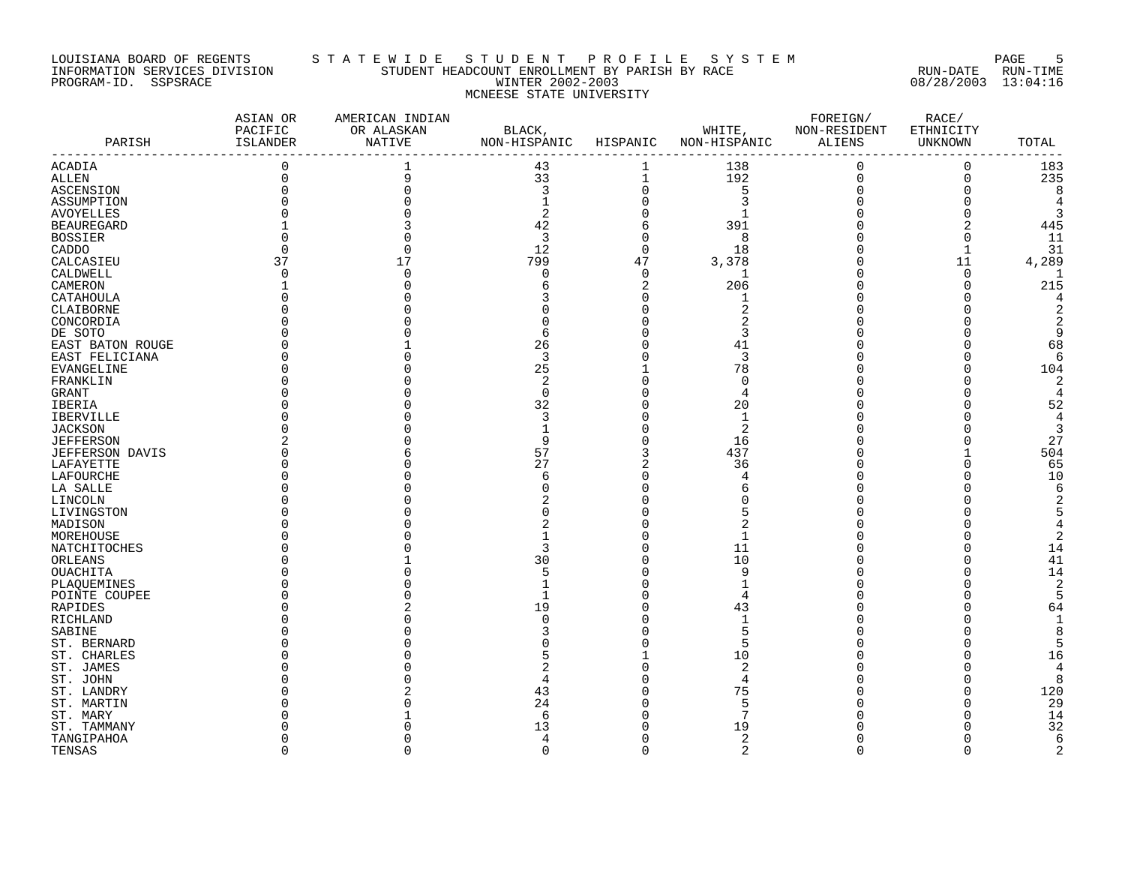#### LOUISIANA BOARD OF REGENTS S T A T E W I D E S T U D E N T P R O F I L E S Y S T E M PAGE 5 INFORMATION SERVICES DIVISION STUDENT HEADCOUNT ENROLLMENT BY PARISH BY RACE RUN-DATE RUN-TIME PROGRAM-ID. SSPSRACE WINTER 2002-2003 08/28/2003 13:04:16 MCNEESE STATE UNIVERSITY

| PARISH                         | ASIAN OR<br>PACIFIC<br>ISLANDER | AMERICAN INDIAN<br>OR ALASKAN<br>NATIVE | BLACK,<br>NON-HISPANIC HISPANIC |             | WHITE,<br>NON-HISPANIC ALIENS | FOREIGN/<br>NON-RESIDENT | RACE/<br>ETHNICITY<br>UNKNOWN | TOTAL          |
|--------------------------------|---------------------------------|-----------------------------------------|---------------------------------|-------------|-------------------------------|--------------------------|-------------------------------|----------------|
| ACADIA                         | -------------<br>$\mathbf 0$    |                                         | 43                              |             | 138                           | 0                        | 0                             | 183            |
| ALLEN                          | $\mathbf 0$                     |                                         | 33                              | $\mathbf 1$ | 192                           | $\mathsf 0$              | $\mathsf 0$                   | 235            |
| ASCENSION                      |                                 |                                         | 3                               | $\Omega$    | 5                             | $\Omega$                 | $\Omega$                      | 8              |
| ASSUMPTION                     |                                 |                                         |                                 |             | 3                             |                          | $\Omega$                      | 4              |
|                                |                                 |                                         | 2                               |             | 1                             |                          | $\Omega$                      | 3              |
| AVOYELLES<br><b>BEAUREGARD</b> |                                 |                                         | 42                              | 6           | 391                           |                          | 2                             | 445            |
| <b>BOSSIER</b>                 |                                 |                                         | $\overline{3}$                  | $\Omega$    | 8                             |                          | $\Omega$                      | 11             |
|                                |                                 |                                         |                                 | $\mathbf 0$ |                               |                          |                               |                |
| CADDO                          |                                 |                                         | 12<br>799                       | 47          | 18                            |                          | $\mathbf 1$                   | 31             |
| CALCASIEU                      | 37                              | 17                                      |                                 |             | 3,378                         |                          | 11                            | 4,289          |
| CALDWELL                       |                                 |                                         | $\mathbf 0$                     | $\Omega$    | 1                             |                          | $\mathbf 0$                   |                |
| CAMERON                        |                                 |                                         | 6                               | 2           | 206                           |                          | $\Omega$                      | 215            |
| CATAHOULA                      |                                 |                                         |                                 | $\Omega$    | 1                             |                          | $\Omega$                      | 4              |
| CLAIBORNE                      |                                 |                                         |                                 |             | $\overline{2}$                |                          | O                             |                |
| CONCORDIA                      |                                 |                                         |                                 |             |                               |                          |                               |                |
| DE SOTO                        |                                 |                                         | 6                               |             | 3                             |                          |                               | 9              |
| EAST BATON ROUGE               |                                 |                                         | 26                              |             | 41                            |                          |                               | 68             |
| EAST FELICIANA                 |                                 |                                         | 3                               |             | 3                             |                          | O                             | 6              |
| <b>EVANGELINE</b>              |                                 |                                         | 25                              |             | 78                            |                          | U                             | 104            |
| FRANKLIN                       |                                 |                                         | 2                               |             | $\mathbf 0$                   |                          | $\Omega$                      | $\overline{2}$ |
| GRANT                          |                                 |                                         | $\mathbf 0$                     |             | 4                             |                          | $\Omega$                      | 4              |
| IBERIA                         |                                 |                                         | 32                              |             | 20                            |                          | O                             | 52             |
| <b>IBERVILLE</b>               |                                 |                                         | 3                               |             | 1                             |                          | $\Omega$                      | 4              |
| <b>JACKSON</b>                 |                                 |                                         |                                 |             | 2                             |                          |                               | 3              |
| <b>JEFFERSON</b>               |                                 |                                         | 9                               |             | 16                            |                          | U                             | 27             |
| JEFFERSON DAVIS                |                                 |                                         | 57                              |             | 437                           |                          |                               | 504            |
| LAFAYETTE                      |                                 |                                         | 27                              |             | 36                            |                          | $\Omega$                      | 65             |
| LAFOURCHE                      |                                 |                                         | 6                               |             | $\overline{4}$                |                          | $\Omega$                      | 10             |
| LA SALLE                       |                                 |                                         | N                               |             | 6                             |                          |                               | 6              |
| LINCOLN                        |                                 |                                         |                                 |             |                               |                          |                               |                |
| LIVINGSTON                     |                                 |                                         |                                 |             | 5                             |                          |                               |                |
| MADISON                        |                                 |                                         |                                 |             |                               |                          |                               |                |
| MOREHOUSE                      |                                 |                                         |                                 |             | 1                             |                          |                               |                |
| NATCHITOCHES                   |                                 |                                         | 3                               |             | 11                            |                          |                               | 14             |
|                                |                                 |                                         | 30                              |             | 10                            |                          | $\Omega$                      | 41             |
| ORLEANS                        |                                 |                                         |                                 |             |                               |                          | $\Omega$                      |                |
| OUACHITA                       |                                 |                                         | 5                               |             | 9                             |                          |                               | 14             |
| PLAQUEMINES                    |                                 |                                         |                                 |             | $\mathbf{1}$                  |                          | O                             | $\overline{2}$ |
| POINTE COUPEE                  |                                 |                                         |                                 |             | 4                             |                          |                               | 5              |
| RAPIDES                        |                                 |                                         | 19                              |             | 43                            |                          | $\Omega$                      | 64             |
| RICHLAND                       |                                 |                                         | $\Omega$                        |             | $\mathbf{1}$                  |                          | $\Omega$                      | -1             |
| SABINE                         |                                 |                                         |                                 |             | 5                             |                          |                               | 8              |
| ST. BERNARD                    |                                 |                                         |                                 |             | 5                             |                          |                               | 5              |
| ST. CHARLES                    |                                 |                                         |                                 |             | 10                            |                          | $\Omega$                      | 16             |
| ST. JAMES                      |                                 |                                         |                                 |             | $\overline{2}$                |                          | $\Omega$                      |                |
| ST. JOHN                       |                                 |                                         | 4                               |             | 4                             |                          | O                             | 8              |
| ST. LANDRY                     |                                 |                                         | 43                              |             | 75                            |                          | $\Omega$                      | 120            |
| ST. MARTIN                     |                                 |                                         | 24                              |             | 5                             |                          | $\Omega$                      | 29             |
| ST. MARY                       |                                 |                                         | 6                               |             | 7                             |                          | $\Omega$                      | 14             |
| ST. TAMMANY                    |                                 |                                         | 13                              |             | 19                            |                          | O                             | 32             |
| TANGIPAHOA                     |                                 |                                         | 4                               |             | 2                             |                          | O                             | 6              |
| TENSAS                         | $\Omega$                        | ∩                                       | $\mathbf 0$                     | $\Omega$    | $\overline{a}$                | $\Omega$                 | $\Omega$                      | $\overline{2}$ |
|                                |                                 |                                         |                                 |             |                               |                          |                               |                |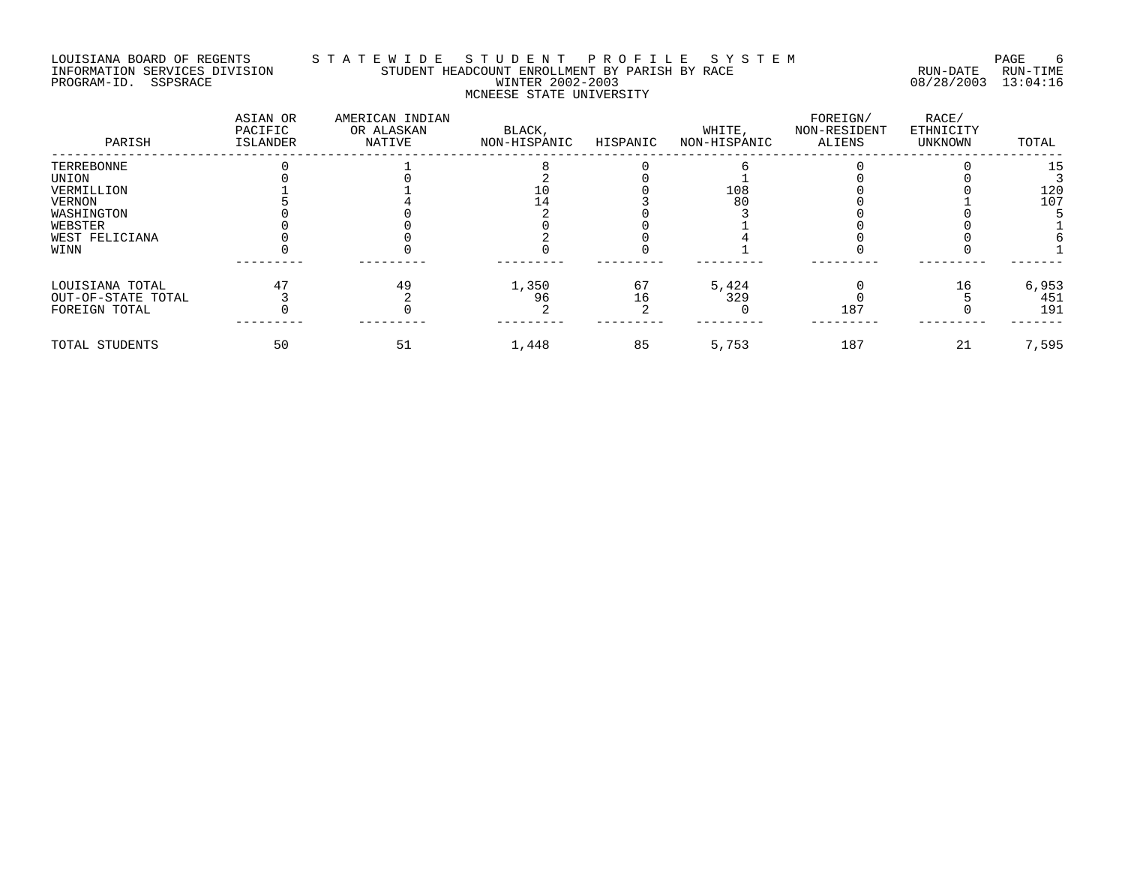#### LOUISIANA BOARD OF REGENTS S T A T E W I D E S T U D E N T P R O F I L E S Y S T E M PAGE 6 INFORMATION SERVICES DIVISION STUDENT HEADCOUNT ENROLLMENT BY PARISH BY RACE RUN-DATE RUN-TIME PROGRAM-ID. SSPSRACE WINTER 2002-2003 08/28/2003 13:04:16 MCNEESE STATE UNIVERSITY

| PARISH             | ASIAN OR<br>PACIFIC<br>ISLANDER | AMERICAN INDIAN<br>OR ALASKAN<br>NATIVE | BLACK,<br>NON-HISPANIC | HISPANIC | WHITE,<br>NON-HISPANIC | FOREIGN/<br>NON-RESIDENT<br>ALIENS | RACE/<br>ETHNICITY<br>UNKNOWN | TOTAL |
|--------------------|---------------------------------|-----------------------------------------|------------------------|----------|------------------------|------------------------------------|-------------------------------|-------|
| TERREBONNE         |                                 |                                         |                        |          |                        |                                    |                               | 15    |
| UNION              |                                 |                                         |                        |          |                        |                                    |                               |       |
| VERMILLION         |                                 |                                         |                        |          | 108                    |                                    |                               | 120   |
| VERNON             |                                 |                                         |                        |          | 80                     |                                    |                               | 107   |
| WASHINGTON         |                                 |                                         |                        |          |                        |                                    |                               |       |
| WEBSTER            |                                 |                                         |                        |          |                        |                                    |                               |       |
| WEST FELICIANA     |                                 |                                         |                        |          |                        |                                    |                               |       |
| WINN               |                                 |                                         |                        |          |                        |                                    |                               |       |
| LOUISIANA TOTAL    |                                 | 49                                      | 1,350                  | 67       | 5,424                  |                                    | 16                            | 6,953 |
| OUT-OF-STATE TOTAL |                                 |                                         | 96                     | 16       | 329                    |                                    |                               | 451   |
| FOREIGN TOTAL      |                                 |                                         |                        |          |                        | 187                                |                               | 191   |
| TOTAL STUDENTS     | 50                              | 51                                      | 1,448                  | 85       | 5,753                  | 187                                | 21                            | 7,595 |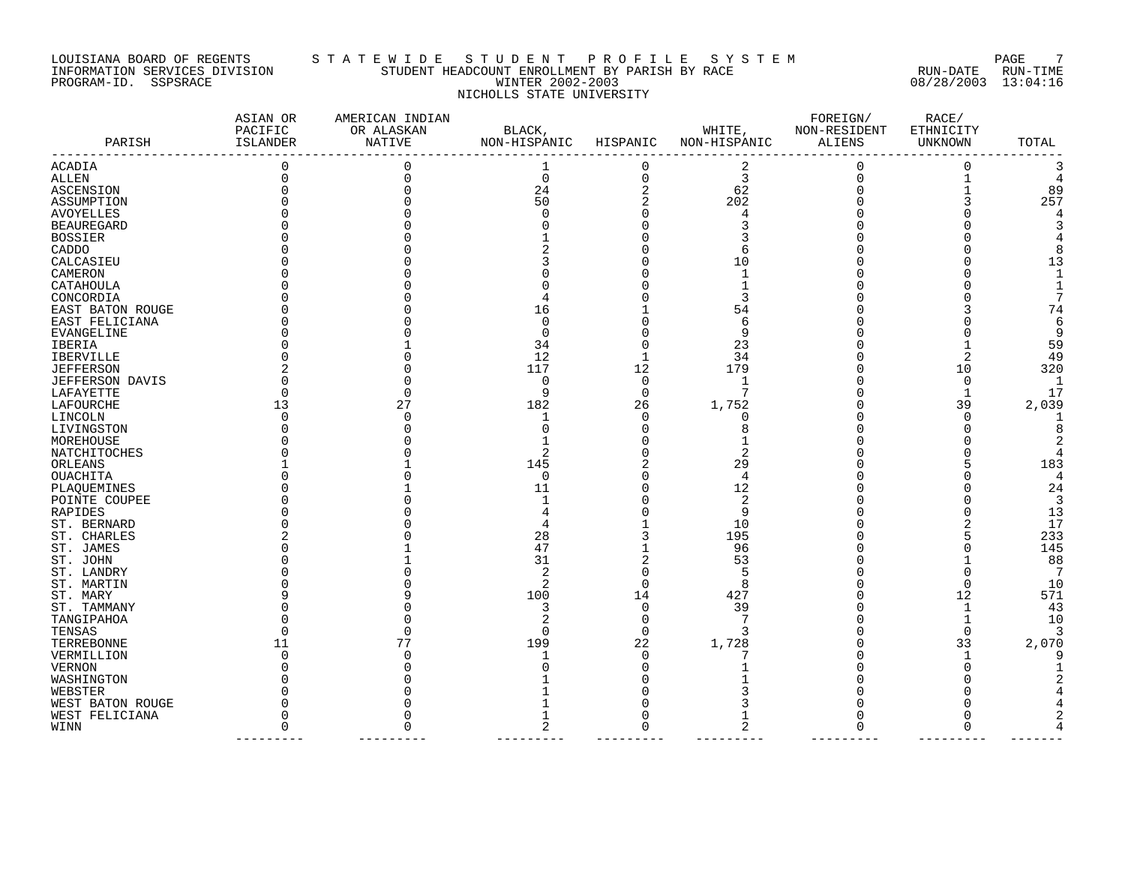#### LOUISIANA BOARD OF REGENTS S T A T E W I D E S T U D E N T P R O F I L E S Y S T E M PAGE 7 INFORMATION SERVICES DIVISION STUDENT HEADCOUNT ENROLLMENT BY PARISH BY RACE RUN-DATE RUN-TIME PROGRAM-ID. SSPSRACE WINTER 2002-2003 08/28/2003 13:04:16 NICHOLLS STATE UNIVERSITY

| PARISH            | ASIAN OR<br>PACIFIC<br>ISLANDER | AMERICAN INDIAN<br>OR ALASKAN<br>NATIVE | BLACK,<br>NON-HISPANIC | HISPANIC       | WHITE,<br>NON-HISPANIC | FOREIGN/<br>NON-RESIDENT<br>ALIENS | RACE/<br>ETHNICITY<br>UNKNOWN | TOTAL |
|-------------------|---------------------------------|-----------------------------------------|------------------------|----------------|------------------------|------------------------------------|-------------------------------|-------|
| ACADIA            | 0                               |                                         | 1                      | 0              | 2                      |                                    | $\Omega$                      |       |
| ALLEN             |                                 |                                         | $\mathbf 0$            | $\mathbf 0$    | 3                      |                                    | $\mathbf{1}$                  |       |
| <b>ASCENSION</b>  |                                 |                                         | 24                     | 2              | 62                     |                                    |                               | 89    |
| ASSUMPTION        |                                 |                                         | 50                     | $\overline{2}$ | 202                    |                                    |                               | 257   |
| AVOYELLES         |                                 |                                         | $\Omega$               | $\Omega$       |                        |                                    |                               |       |
| <b>BEAUREGARD</b> |                                 |                                         |                        | U              |                        |                                    |                               |       |
| <b>BOSSIER</b>    |                                 |                                         |                        |                |                        |                                    |                               |       |
| CADDO             |                                 |                                         |                        | U              |                        |                                    |                               |       |
| CALCASIEU         |                                 |                                         |                        |                | 10                     |                                    |                               | 13    |
| CAMERON           |                                 |                                         |                        |                |                        |                                    |                               |       |
| CATAHOULA         |                                 |                                         |                        |                |                        |                                    |                               |       |
| CONCORDIA         |                                 |                                         |                        |                |                        |                                    |                               |       |
| EAST BATON ROUGE  |                                 |                                         | 16                     |                | 54                     |                                    |                               | 74    |
| EAST FELICIANA    |                                 |                                         | 0                      | O              |                        |                                    |                               |       |
| EVANGELINE        |                                 |                                         | $\Omega$               | $\Omega$       | 9                      |                                    |                               |       |
| IBERIA            |                                 |                                         | 34                     | $\Omega$       | 23                     |                                    |                               | 59    |
| IBERVILLE         |                                 |                                         | 12                     | $\mathbf{1}$   | 34                     |                                    |                               | 49    |
| <b>JEFFERSON</b>  |                                 |                                         | 117                    | 12             | 179                    |                                    | 10                            | 320   |
| JEFFERSON DAVIS   |                                 |                                         | 0                      | $\mathbf 0$    | 1                      |                                    | $\Omega$                      |       |
| LAFAYETTE         |                                 |                                         | 9                      | 0              | 7                      |                                    | -1                            | 17    |
| LAFOURCHE         | 13                              | 27                                      | 182                    | 26             | 1,752                  |                                    | 39                            | 2,039 |
| LINCOLN           | <sup>0</sup>                    |                                         | 1                      | 0              | 0                      |                                    | $\Omega$                      |       |
| LIVINGSTON        |                                 |                                         |                        | $\Omega$       |                        |                                    |                               |       |
| MOREHOUSE         |                                 |                                         |                        | O              |                        |                                    |                               |       |
| NATCHITOCHES      |                                 |                                         |                        | O              |                        |                                    |                               |       |
| ORLEANS           |                                 |                                         | 145                    |                | 29                     |                                    |                               | 183   |
| <b>OUACHITA</b>   |                                 |                                         | $\Omega$               | O              | 4                      |                                    |                               |       |
| PLAQUEMINES       |                                 |                                         | 11                     | O              | 12                     |                                    |                               | 24    |
| POINTE COUPEE     |                                 |                                         |                        |                | 2                      |                                    |                               |       |
| RAPIDES           |                                 |                                         |                        |                | 9                      |                                    |                               | 13    |
| ST. BERNARD       |                                 |                                         |                        |                | 10                     |                                    |                               | 17    |
| ST. CHARLES       |                                 |                                         | 28                     |                | 195                    |                                    |                               | 233   |
| ST. JAMES         |                                 |                                         | 47                     |                | 96                     |                                    |                               | 145   |
| ST. JOHN          |                                 |                                         | 31                     | $\overline{2}$ | 53                     |                                    |                               | 88    |
| ST. LANDRY        |                                 |                                         | 2                      | $\Omega$       | 5                      |                                    |                               |       |
| ST. MARTIN        |                                 |                                         | 2                      | $\Omega$       | 8                      |                                    | ∩                             | 10    |
| ST. MARY          |                                 |                                         | 100                    | 14             | 427                    |                                    | 12                            | 571   |
|                   |                                 |                                         | 3                      | $\mathbf 0$    | 39                     |                                    | $\mathbf{1}$                  | 43    |
| ST. TAMMANY       |                                 |                                         | 2                      | $\Omega$       |                        |                                    | $\mathbf{1}$                  | 10    |
| TANGIPAHOA        |                                 |                                         |                        |                |                        |                                    |                               |       |
| TENSAS            |                                 |                                         | $\Omega$               | $\Omega$       | 3                      |                                    | $\Omega$                      |       |
| TERREBONNE        | 11                              | 77                                      | 199                    | 22             | 1,728                  |                                    | 33                            | 2,070 |
| VERMILLION        | O                               |                                         |                        | 0              |                        |                                    |                               |       |
| VERNON            |                                 |                                         |                        | $\Omega$       |                        |                                    |                               |       |
| WASHINGTON        |                                 |                                         |                        | ∩              |                        |                                    |                               |       |
| WEBSTER           |                                 |                                         |                        |                |                        |                                    |                               |       |
| WEST BATON ROUGE  |                                 |                                         |                        |                |                        |                                    |                               |       |
| WEST FELICIANA    |                                 |                                         |                        |                |                        |                                    |                               |       |
| WINN              | $\Omega$                        |                                         | $\overline{a}$         | $\Omega$       |                        |                                    | ∩                             |       |

--------- --------- --------- --------- --------- --------- --------- -------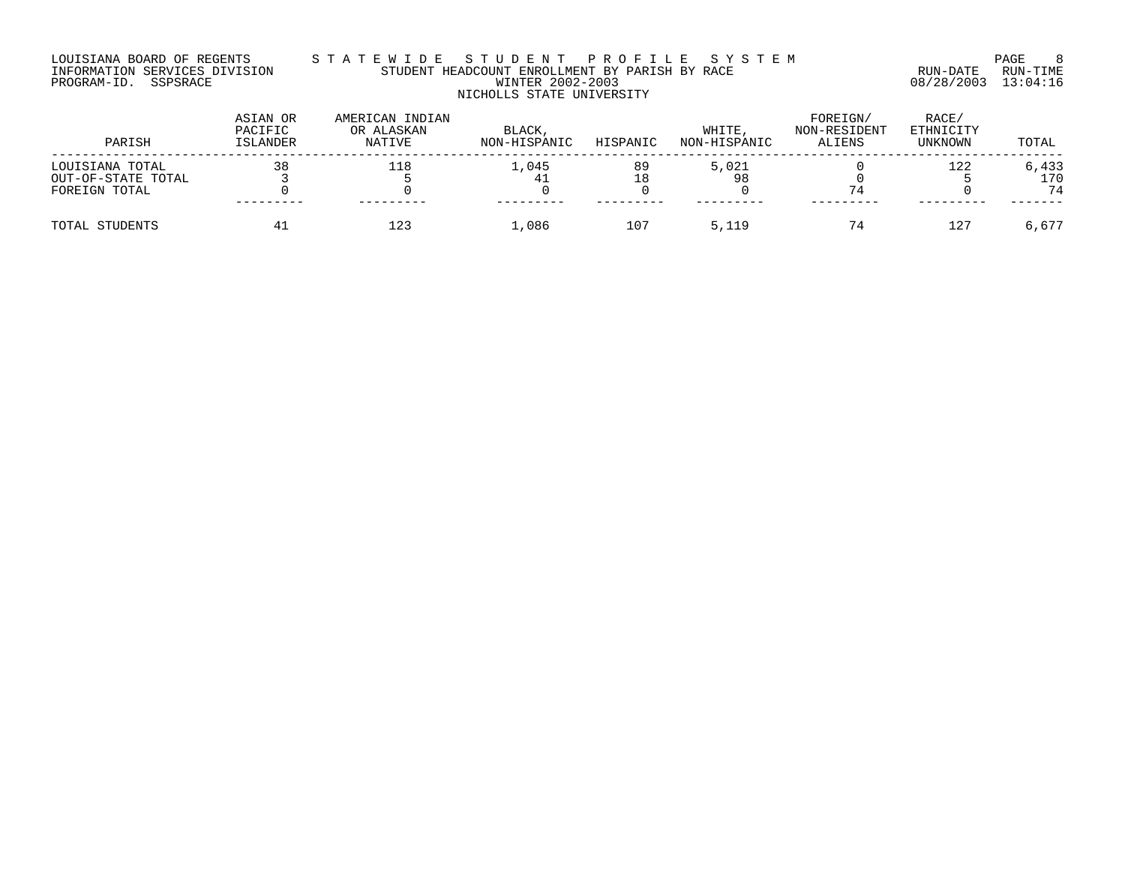#### LOUISIANA BOARD OF REGENTS S T A T E W I D E S T U D E N T P R O F I L E S Y S T E M PAGE 8 INFORMATION SERVICES DIVISION STUDENT HEADCOUNT ENROLLMENT BY PARISH BY RACE RUN-DATE RUN-TIME PROGRAM-ID. SSPSRACE WINTER 2002-2003 08/28/2003 13:04:16 NICHOLLS STATE UNIVERSITY

| PARISH             | ASIAN OR<br>PACIFIC<br>ISLANDER | AMERICAN INDIAN<br>OR ALASKAN<br>NATIVE | BLACK,<br>NON-HISPANIC | HISPANIC | WHITE,<br>NON-HISPANIC | FOREIGN/<br>NON-RESIDENT<br>ALIENS | RACE/<br>ETHNICITY<br>UNKNOWN | TOTAL |
|--------------------|---------------------------------|-----------------------------------------|------------------------|----------|------------------------|------------------------------------|-------------------------------|-------|
| LOUISIANA TOTAL    | 38                              | 118                                     | 1,045                  | 89       | 5,021                  |                                    | 122                           | 6,433 |
| OUT-OF-STATE TOTAL |                                 |                                         | 41                     | 18       | 98                     |                                    |                               | 170   |
| FOREIGN TOTAL      |                                 |                                         |                        |          |                        | 74                                 |                               | 74    |
|                    |                                 |                                         |                        |          |                        |                                    |                               |       |
| TOTAL STUDENTS     |                                 | 123                                     | ⊥,086                  | 107      | 5,119                  | 74                                 |                               | 6,677 |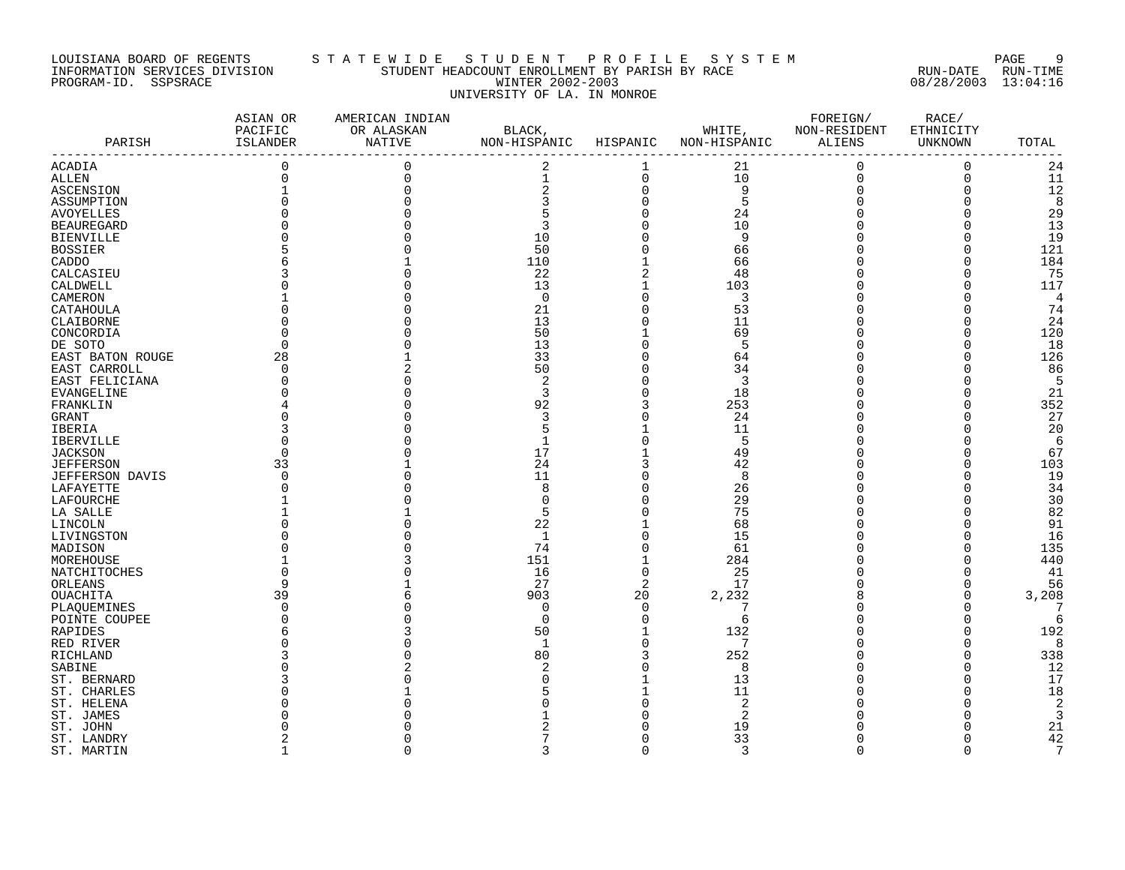#### LOUISIANA BOARD OF REGENTS S T A T E W I D E S T U D E N T P R O F I L E S Y S T E M PAGE 9 INFORMATION SERVICES DIVISION STUDENT HEADCOUNT ENROLLMENT BY PARISH BY RACE RUN-DATE RUN-TIME PROGRAM-ID. SSPSRACE WINTER 2002-2003 08/28/2003 13:04:16 UNIVERSITY OF LA. IN MONROE

| PARISH                 | ASIAN OR<br>PACIFIC<br>ISLANDER<br>------------------- | AMERICAN INDIAN<br>OR ALASKAN<br>NATIVE | BLACK,<br>NON-HISPANIC<br>------------------------- | HISPANIC       | WHITE,<br>NON-HISPANIC | FOREIGN/<br>NON-RESIDENT<br>ALIENS | RACE/<br>ETHNICITY<br>UNKNOWN | TOTAL           |
|------------------------|--------------------------------------------------------|-----------------------------------------|-----------------------------------------------------|----------------|------------------------|------------------------------------|-------------------------------|-----------------|
| ACADIA                 | $\mathbf 0$                                            | 0                                       | 2                                                   | 1              | 21                     | $\mathbf 0$                        | $\mathsf{O}\xspace$           | 24              |
| ALLEN                  | 0                                                      | 0                                       | $\mathbf 1$                                         | 0              | 10                     | $\mathbf 0$                        | 0                             | 11              |
| <b>ASCENSION</b>       |                                                        |                                         | $\frac{2}{3}$                                       | $\mathbf 0$    | 9                      | $\overline{0}$                     | 0                             | 12              |
| ASSUMPTION             |                                                        |                                         |                                                     | $\Omega$       | 5                      | $\Omega$                           | 0                             | 8               |
| <b>AVOYELLES</b>       |                                                        |                                         | 5                                                   |                | 24                     |                                    | $\Omega$                      | 29              |
| <b>BEAUREGARD</b>      |                                                        |                                         | 3                                                   | 0              | 10                     | $\Omega$                           | 0                             | 13              |
| <b>BIENVILLE</b>       |                                                        |                                         | 10                                                  | U              | 9                      |                                    | 0                             | 19              |
| <b>BOSSIER</b>         |                                                        |                                         | 50                                                  | $\Omega$       | 66                     |                                    | $\Omega$                      | 121             |
| CADDO                  |                                                        |                                         | 110                                                 |                | 66                     |                                    | $\Omega$                      | 184             |
| CALCASIEU              |                                                        |                                         | 22                                                  |                | 48                     |                                    | 0                             | 75              |
| CALDWELL               |                                                        |                                         | 13                                                  | 1              | 103                    |                                    | 0                             | 117             |
| CAMERON                |                                                        |                                         | $\overline{0}$                                      | $\Omega$       | 3                      |                                    | $\Omega$                      | 4               |
| CATAHOULA              |                                                        |                                         | 21                                                  | $\Omega$       | 53                     | $\Omega$                           | 0                             | 74              |
| CLAIBORNE              |                                                        |                                         | 13                                                  | $\Omega$       | 11                     | $\Omega$                           | $\Omega$                      | 24              |
| CONCORDIA              |                                                        |                                         | 50                                                  |                | 69                     |                                    | 0                             | 120             |
| DE SOTO                |                                                        |                                         | 13                                                  | U              | 5                      | $\Omega$                           | 0                             | 18              |
| EAST BATON ROUGE       | 28                                                     |                                         | 33                                                  | $\Omega$       | 64                     | $\Omega$                           | $\Omega$                      | 126             |
| EAST CARROLL           | $\Omega$                                               |                                         | 50                                                  |                | 34                     |                                    | 0                             | 86              |
| EAST FELICIANA         |                                                        |                                         | 2                                                   | $\Omega$       | $\overline{3}$         |                                    | 0                             | 5               |
| EVANGELINE             |                                                        |                                         | 3                                                   |                | 18                     |                                    | 0                             | 21              |
| FRANKLIN               |                                                        |                                         | 92                                                  |                | 253                    |                                    | O                             | 352             |
| GRANT                  |                                                        |                                         | 3                                                   | $\Omega$       | 24                     | $\Omega$                           | 0                             | 27              |
| IBERIA                 |                                                        |                                         | 5                                                   |                | 11                     |                                    | O                             | 20              |
| IBERVILLE              |                                                        |                                         |                                                     |                | 5                      |                                    | 0                             | 6               |
| <b>JACKSON</b>         |                                                        |                                         | 17                                                  |                | 49                     |                                    | 0                             | 67              |
| <b>JEFFERSON</b>       | 33                                                     |                                         | 24                                                  |                | 42                     | $\Omega$                           | 0                             | 103             |
| <b>JEFFERSON DAVIS</b> |                                                        |                                         | 11                                                  |                | 8                      |                                    | 0                             | 19              |
| LAFAYETTE              |                                                        |                                         | 8                                                   |                | 26                     |                                    | 0                             | 34              |
| LAFOURCHE              |                                                        |                                         | 0                                                   |                | 29                     |                                    | 0                             | 30              |
| LA SALLE               |                                                        |                                         | 5                                                   |                | 75                     |                                    | $\Omega$                      | 82              |
| LINCOLN                |                                                        |                                         | 22                                                  |                | 68                     |                                    | 0                             | 91              |
| LIVINGSTON             |                                                        |                                         | 1                                                   |                | 15                     |                                    | 0                             | 16              |
| MADISON                |                                                        |                                         | 74                                                  | $\Omega$       | 61                     |                                    | 0                             | 135             |
| MOREHOUSE              |                                                        |                                         | 151                                                 |                | 284                    | $\Omega$                           | $\Omega$                      | 440             |
| NATCHITOCHES           |                                                        |                                         | 16                                                  | $\mathbf 0$    | 25                     | $\Omega$                           | 0                             | 41              |
| ORLEANS                |                                                        |                                         | 27                                                  | $\overline{2}$ | 17                     |                                    | 0                             | 56              |
| OUACHITA               | 39                                                     |                                         | 903                                                 | 20             | 2,232                  |                                    | 0                             | 3,208           |
| PLAQUEMINES            |                                                        |                                         | 0                                                   | $\Omega$       |                        |                                    | 0                             | 7               |
| POINTE COUPEE          |                                                        |                                         | 0                                                   | $\mathbf 0$    | 6                      | $\Omega$                           | 0                             | 6               |
| RAPIDES                |                                                        |                                         | 50                                                  |                | 132                    |                                    | 0                             | 192             |
| RED RIVER              |                                                        |                                         | $\mathbf{1}$                                        | $\Omega$       | 7                      |                                    | $\Omega$                      | 8               |
| RICHLAND               |                                                        |                                         | 80                                                  | 3              | 252                    |                                    | 0                             | 338             |
| SABINE                 |                                                        |                                         | 2                                                   |                | 8                      |                                    | $\Omega$                      | 12              |
| ST. BERNARD            |                                                        |                                         | O                                                   |                | 13                     |                                    | 0                             | 17              |
| ST. CHARLES            |                                                        |                                         |                                                     |                | 11                     |                                    | 0                             | 18              |
| ST. HELENA             |                                                        |                                         |                                                     |                | $\overline{c}$         |                                    | 0                             | 2               |
| ST. JAMES              |                                                        |                                         |                                                     |                | 2                      |                                    | O                             | 3               |
| ST. JOHN               |                                                        |                                         |                                                     |                | 19                     |                                    | O                             | 21              |
| ST. LANDRY             |                                                        |                                         |                                                     | U              | 33                     | $\Omega$                           | 0                             | 42              |
| ST. MARTIN             | $\mathbf{1}$                                           | $\Omega$                                | 3                                                   | $\Omega$       | 3                      | $\Omega$                           | 0                             | $7\phantom{.0}$ |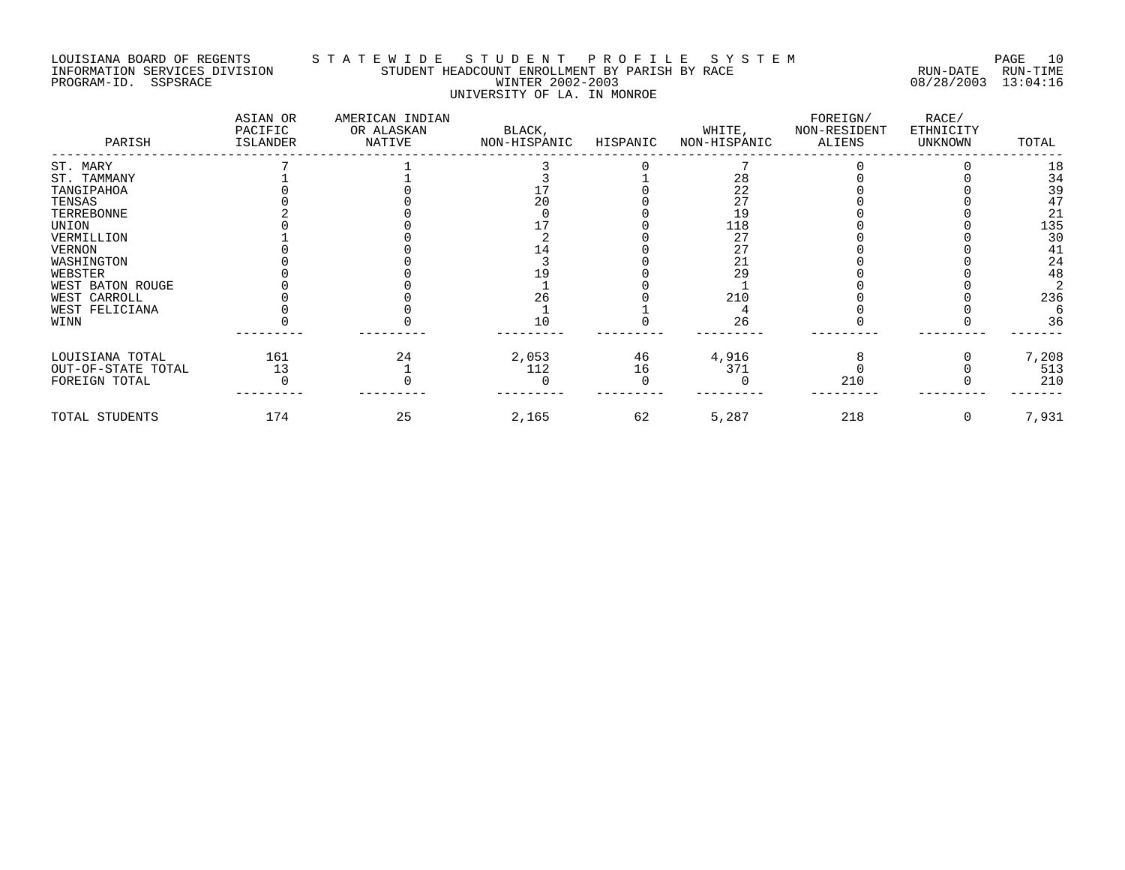# LOUISIANA BOARD OF REGENTS STATEWIDE STUDE STUDENT PROFILE SYSTEM PAGE 10<br>INFORMATION SERVICES DIVISION STUDENT HEADCOUNT ENROLLMENT BY PARISH BY RACE STUDENT HEADCOUNT ENROLLMENT BY PARISH BY RACE **ENROLLMENT BY STUDENT BY AUTOBER BY AUTOBER BY AUTOBER BY AUTOBER** PROGRAM-ID. SSPSRACE WINTER 2002-2003 08/28/2003 13:04:16 UNIVERSITY OF LA. IN MONROE

| PARISH             | ASIAN OR<br>PACIFIC<br>ISLANDER | AMERICAN INDIAN<br>OR ALASKAN<br>NATIVE | BLACK,<br>NON-HISPANIC | HISPANIC | WHITE,<br>NON-HISPANIC | FOREIGN/<br>NON-RESIDENT<br>ALIENS | RACE/<br>ETHNICITY<br>UNKNOWN | TOTAL |
|--------------------|---------------------------------|-----------------------------------------|------------------------|----------|------------------------|------------------------------------|-------------------------------|-------|
| ST. MARY           |                                 |                                         |                        |          |                        |                                    |                               | 18    |
| ST. TAMMANY        |                                 |                                         |                        |          | 28                     |                                    |                               | 34    |
| TANGIPAHOA         |                                 |                                         |                        |          | 22                     |                                    |                               | 39    |
| TENSAS             |                                 |                                         | 20                     |          | 27                     |                                    |                               | 47    |
| TERREBONNE         |                                 |                                         |                        |          | 19                     |                                    |                               | 21    |
| UNION              |                                 |                                         |                        |          | 118                    |                                    |                               | 135   |
| VERMILLION         |                                 |                                         |                        |          | 27                     |                                    |                               | 30    |
| <b>VERNON</b>      |                                 |                                         |                        |          | 27                     |                                    |                               | 41    |
| WASHINGTON         |                                 |                                         |                        |          | 21                     |                                    |                               | 24    |
| WEBSTER            |                                 |                                         |                        |          | 29                     |                                    |                               | 48    |
| WEST BATON ROUGE   |                                 |                                         |                        |          |                        |                                    |                               |       |
| WEST CARROLL       |                                 |                                         | 26                     |          | 210                    |                                    |                               | 236   |
| WEST FELICIANA     |                                 |                                         |                        |          |                        |                                    |                               |       |
| WINN               |                                 |                                         | 10                     |          | 26                     |                                    |                               | 36    |
| LOUISIANA TOTAL    | 161                             | 24                                      | 2,053                  | 46       | 4,916                  |                                    |                               | 7,208 |
| OUT-OF-STATE TOTAL | 13                              |                                         | 112                    | 16       | 371                    |                                    |                               | 513   |
| FOREIGN TOTAL      |                                 |                                         |                        |          |                        | 210                                |                               | 210   |
| TOTAL STUDENTS     | 174                             | 25                                      | 2,165                  | 62       | 5,287                  | 218                                |                               | 7,931 |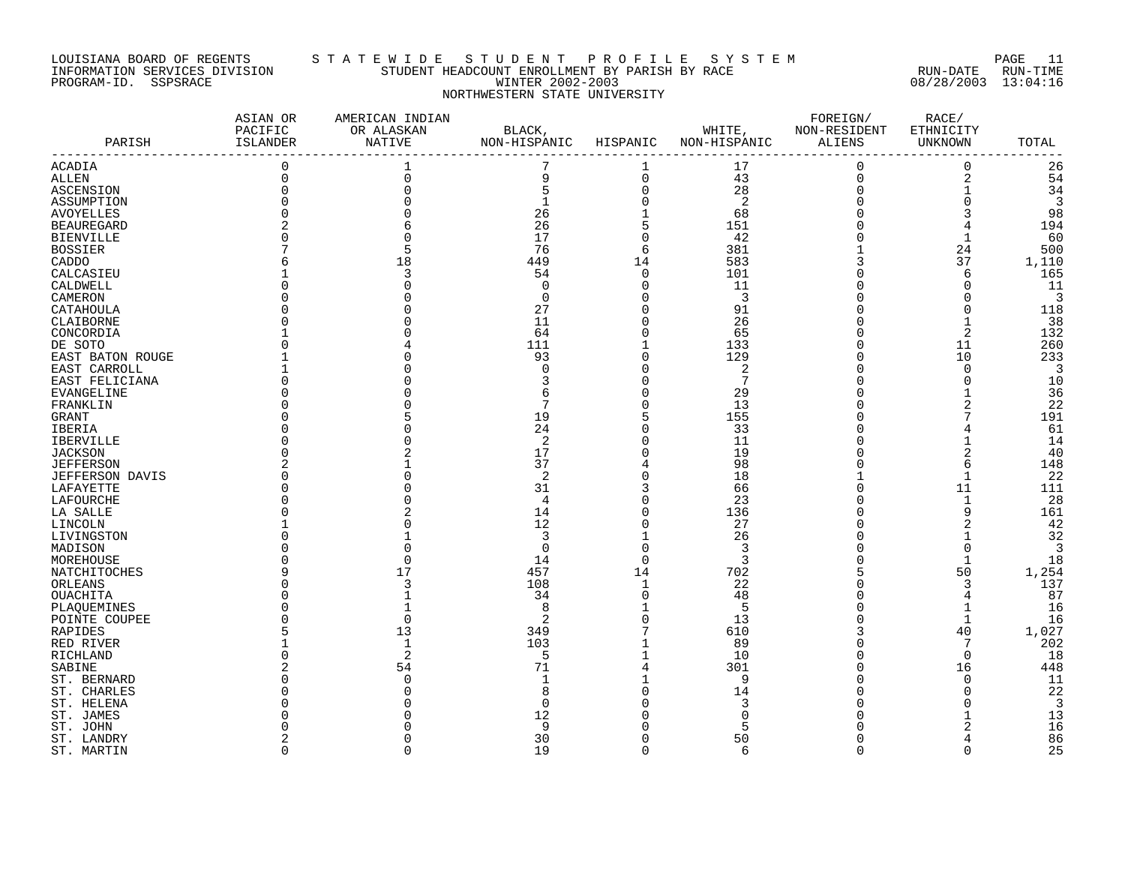#### LOUISIANA BOARD OF REGENTS S T A T E W I D E S T U D E N T P R O F I L E S Y S T E M PAGE 11 INFORMATION SERVICES DIVISION STUDENT HEADCOUNT ENROLLMENT BY PARISH BY RACE RUN-DATE RUN-TIME PROGRAM-ID. SSPSRACE WINTER 2002-2003 08/28/2003 13:04:16 NORTHWESTERN STATE UNIVERSITY

|                   | ASIAN OR<br>PACIFIC | AMERICAN INDIAN<br>OR ALASKAN | BLACK,                |                     | WHITE,              | FOREIGN/<br>NON-RESIDENT | RACE/<br>ETHNICITY      |       |
|-------------------|---------------------|-------------------------------|-----------------------|---------------------|---------------------|--------------------------|-------------------------|-------|
| PARISH            | ISLANDER            | <b>NATIVE</b>                 | NON-HISPANIC HISPANIC |                     | NON-HISPANIC ALIENS |                          | UNKNOWN                 | TOTAL |
|                   |                     |                               |                       |                     |                     |                          |                         |       |
| <b>ACADIA</b>     | $\overline{0}$      |                               | 7                     |                     | 17                  | $\mathbf 0$              | $\mathbf 0$             | 26    |
| ALLEN             | 0                   |                               | 9                     | $\mathsf{O}\xspace$ | 43                  | $\mathsf 0$              | $\overline{\mathbf{c}}$ | 54    |
| ASCENSION         |                     |                               | 5                     | $\mathbf 0$         | 28                  | $\overline{0}$           | $\mathbf 1$             | 34    |
| ASSUMPTION        |                     |                               | $\mathbf 1$           | $\mathbf 0$         | $\overline{2}$      | $\Omega$                 | $\mathsf{O}\xspace$     | 3     |
| <b>AVOYELLES</b>  |                     |                               | 26                    |                     | 68                  |                          |                         | 98    |
| <b>BEAUREGARD</b> |                     |                               | 26                    | 5                   | 151                 | $\Omega$                 |                         | 194   |
| <b>BIENVILLE</b>  |                     |                               | 17                    | $\Omega$            | 42                  |                          | $\mathbf 1$             | 60    |
| <b>BOSSIER</b>    |                     |                               | 76                    | 6                   | 381                 |                          | 24                      | 500   |
| CADDO             |                     |                               | 449                   | 14                  | 583                 | 3                        | 37                      | 1,110 |
| CALCASIEU         |                     |                               | 54                    | $\Omega$            | 101                 |                          | 6                       | 165   |
| CALDWELL          |                     |                               | 0                     | $\mathbf 0$         | 11                  |                          | $\mathbf 0$             | 11    |
| CAMERON           |                     |                               | $\Omega$              | $\Omega$            | $\overline{3}$      |                          | 0                       | 3     |
| CATAHOULA         |                     |                               | 27                    | $\Omega$            | 91                  |                          | $\Omega$                | 118   |
| CLAIBORNE         |                     |                               | 11                    | $\Omega$            | 26                  |                          |                         | 38    |
| CONCORDIA         |                     |                               | 64                    | $\Omega$            | 65                  |                          | $\overline{2}$          | 132   |
| DE SOTO           |                     |                               | 111                   |                     | 133                 |                          | 11                      | 260   |
| EAST BATON ROUGE  |                     |                               | 93                    | $\mathbf 0$         | 129                 | $\Omega$                 | 10                      | 233   |
| EAST CARROLL      |                     |                               | $\Omega$              |                     | 2                   |                          | $\overline{0}$          | 3     |
| EAST FELICIANA    |                     |                               |                       |                     | $7\phantom{.0}$     |                          | $\mathbf 0$             | 10    |
| EVANGELINE        |                     |                               |                       |                     | 29                  |                          |                         | 36    |
| FRANKLIN          |                     |                               |                       |                     | 13                  |                          |                         | 22    |
| GRANT             |                     |                               | 19                    |                     | 155                 |                          |                         | 191   |
| IBERIA            |                     |                               | 24                    |                     | 33                  |                          |                         | 61    |
| <b>IBERVILLE</b>  |                     |                               | 2                     |                     | 11                  |                          | $\mathbf{1}$            | 14    |
| <b>JACKSON</b>    |                     |                               | 17                    |                     | 19                  |                          |                         | 40    |
| <b>JEFFERSON</b>  |                     |                               | 37                    |                     | 98                  |                          | 6                       | 148   |
| JEFFERSON DAVIS   |                     |                               | 2                     |                     | 18                  |                          | 1                       | 22    |
| LAFAYETTE         |                     |                               | 31                    | 3                   | 66                  |                          | 11                      | 111   |
| LAFOURCHE         |                     |                               | 4                     | $\Omega$            | 23                  |                          | $\mathbf{1}$            | 28    |
| LA SALLE          |                     |                               | 14                    | $\Omega$            | 136                 |                          | 9                       | 161   |
| LINCOLN           |                     |                               | 12                    | $\Omega$            | 27                  |                          | $\overline{a}$          | 42    |
| LIVINGSTON        |                     |                               | 3                     |                     | 26                  |                          | 1                       | 32    |
| MADISON           |                     |                               | $\Omega$              |                     | $\overline{3}$      |                          | $\mathbf 0$             | 3     |
| MOREHOUSE         |                     |                               | 14                    | $\Omega$            | 3                   |                          | $\mathbf 1$             | 18    |
| NATCHITOCHES      |                     | 17                            | 457                   | 14                  | 702                 |                          | 50                      | 1,254 |
| ORLEANS           |                     |                               | 108                   | $\mathbf{1}$        | 22                  |                          | 3                       | 137   |
| OUACHITA          |                     |                               | 34                    | $\Omega$            | 48                  |                          |                         | 87    |
| PLAQUEMINES       |                     |                               | 8                     |                     | 5                   |                          |                         | 16    |
| POINTE COUPEE     |                     |                               | 2                     | $\Omega$            | 13                  |                          | $\mathbf 1$             | 16    |
| RAPIDES           |                     | 13                            | 349                   |                     | 610                 |                          | 40                      | 1,027 |
| RED RIVER         |                     |                               | 103                   |                     | 89                  |                          | 7                       | 202   |
| RICHLAND          |                     |                               | 5                     |                     | 10                  |                          | $\mathbf 0$             | 18    |
| SABINE            |                     | 54                            | 71                    |                     | 301                 |                          | 16                      | 448   |
| ST. BERNARD       |                     |                               |                       |                     | 9                   |                          | $\mathbf 0$             | 11    |
|                   |                     |                               |                       |                     |                     |                          | $\Omega$                | 22    |
| ST. CHARLES       |                     |                               | $\Omega$              |                     | 14<br>3             |                          |                         | 3     |
| ST. HELENA        |                     |                               |                       |                     | C                   |                          |                         |       |
| ST. JAMES         |                     |                               | 12                    |                     |                     |                          |                         | 13    |
| ST. JOHN          |                     |                               | 9                     |                     | 5                   |                          | 2                       | 16    |
| ST. LANDRY        |                     |                               | 30                    |                     | 50                  |                          | 4                       | 86    |
| ST. MARTIN        | $\Omega$            | $\cap$                        | 19                    | $\Omega$            | 6                   | $\Omega$                 | $\Omega$                | 25    |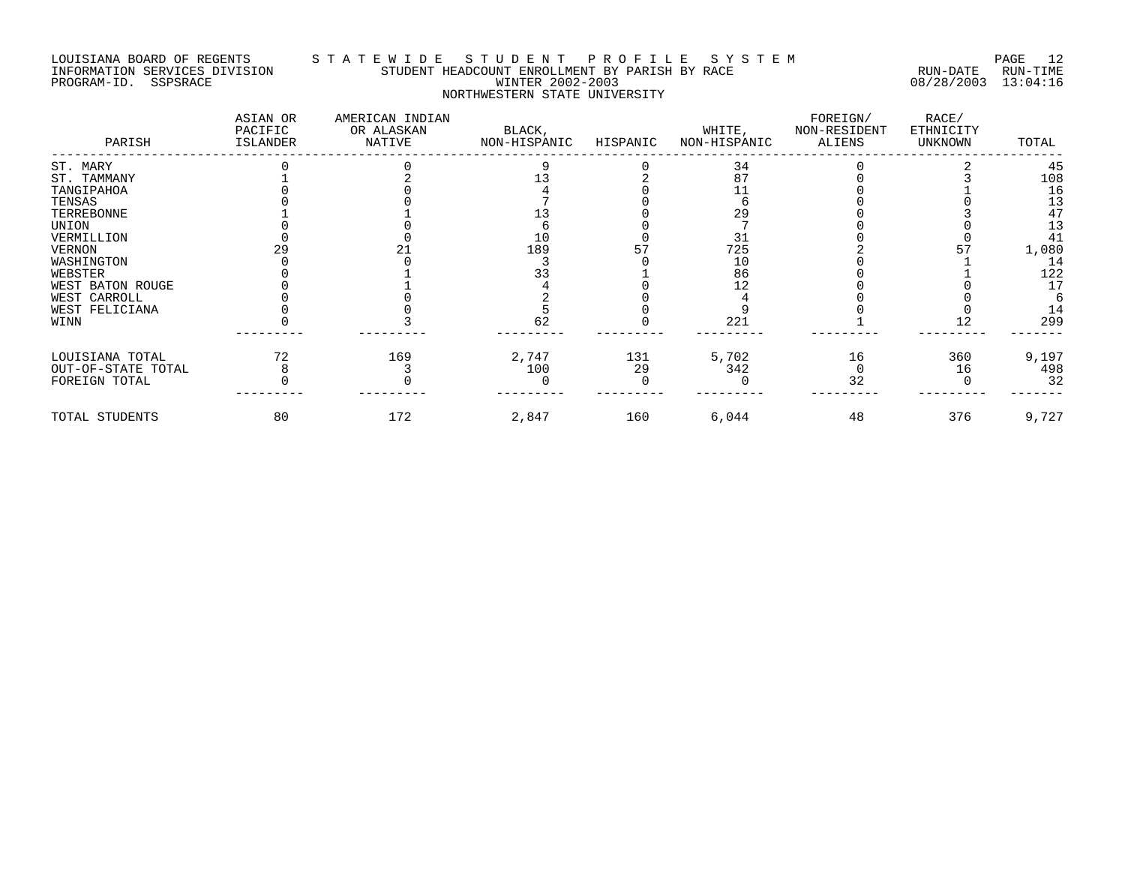#### LOUISIANA BOARD OF REGENTS S T A T E W I D E S T U D E N T P R O F I L E S Y S T E M PAGE 12 INFORMATION SERVICES DIVISION STUDENT HEADCOUNT ENROLLMENT BY PARISH BY RACE RUN-DATE RUN-TIME PROGRAM-ID. SSPSRACE WINTER 2002-2003 08/28/2003 13:04:16 NORTHWESTERN STATE UNIVERSITY

| PARISH             | ASIAN OR<br>PACIFIC<br>ISLANDER | AMERICAN INDIAN<br>OR ALASKAN<br>NATIVE | BLACK,<br>NON-HISPANIC | HISPANIC | WHITE,<br>NON-HISPANIC | FOREIGN/<br>NON-RESIDENT<br>ALIENS | RACE/<br>ETHNICITY<br>UNKNOWN | TOTAL |
|--------------------|---------------------------------|-----------------------------------------|------------------------|----------|------------------------|------------------------------------|-------------------------------|-------|
| ST. MARY           |                                 |                                         |                        |          | 34                     |                                    |                               | 45    |
| ST. TAMMANY        |                                 |                                         |                        |          | 87                     |                                    |                               | 108   |
| TANGIPAHOA         |                                 |                                         |                        |          |                        |                                    |                               | 16    |
| TENSAS             |                                 |                                         |                        |          |                        |                                    |                               | 13    |
| TERREBONNE         |                                 |                                         |                        |          | 29                     |                                    |                               | 47    |
| UNION              |                                 |                                         |                        |          |                        |                                    |                               | 13    |
| VERMILLION         |                                 |                                         | 10                     |          | 31                     |                                    |                               | 41    |
| <b>VERNON</b>      |                                 |                                         | 189                    |          | 725                    |                                    |                               | 1,080 |
| WASHINGTON         |                                 |                                         |                        |          | 10                     |                                    |                               | 14    |
| WEBSTER            |                                 |                                         | 33                     |          | 86                     |                                    |                               | 122   |
| WEST BATON ROUGE   |                                 |                                         |                        |          |                        |                                    |                               | 17    |
| WEST CARROLL       |                                 |                                         |                        |          |                        |                                    |                               |       |
| WEST FELICIANA     |                                 |                                         |                        |          |                        |                                    |                               | 14    |
| WINN               |                                 |                                         | 62                     |          | 221                    |                                    | 12                            | 299   |
| LOUISIANA TOTAL    | 72                              | 169                                     | 2,747                  | 131      | 5,702                  | 16                                 | 360                           | 9,197 |
| OUT-OF-STATE TOTAL |                                 |                                         | 100                    | 29       | 342                    |                                    | 16                            | 498   |
| FOREIGN TOTAL      |                                 |                                         |                        |          |                        | 32                                 |                               | 32    |
| TOTAL STUDENTS     | 80                              | 172                                     | 2,847                  | 160      | 6,044                  | 48                                 | 376                           | 9,727 |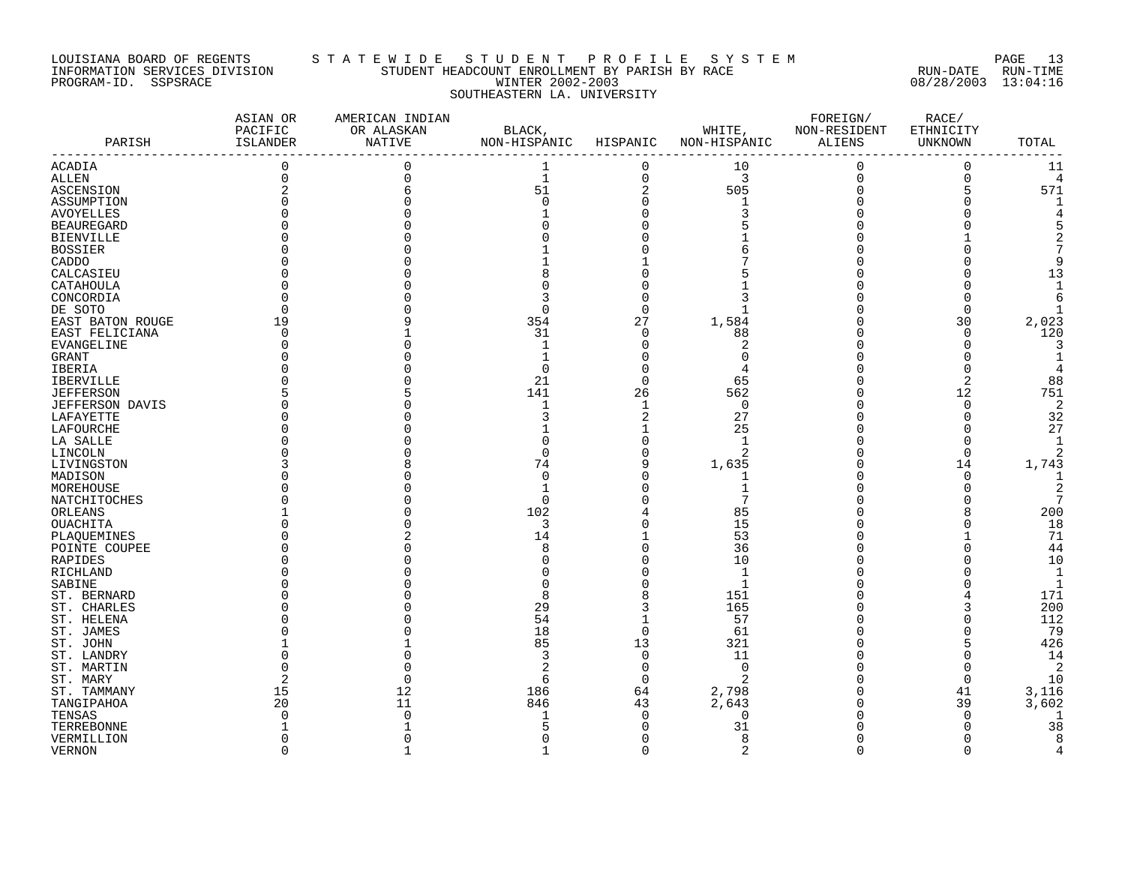#### LOUISIANA BOARD OF REGENTS S T A T E W I D E S T U D E N T P R O F I L E S Y S T E M PAGE 13 INFORMATION SERVICES DIVISION STUDENT HEADCOUNT ENROLLMENT BY PARISH BY RACE RUN-DATE RUN-TIME PROGRAM-ID. SSPSRACE WINTER 2002-2003 08/28/2003 13:04:16 SOUTHEASTERN LA. UNIVERSITY

| PARISH            | ASIAN OR<br>PACIFIC<br>ISLANDER | AMERICAN INDIAN<br>OR ALASKAN<br>NATIVE | BLACK,<br>NON-HISPANIC | HISPANIC       | WHITE,<br>NON-HISPANIC | FOREIGN/<br>NON-RESIDENT<br>ALIENS | RACE/<br>ETHNICITY<br><b>UNKNOWN</b> | TOTAL          |
|-------------------|---------------------------------|-----------------------------------------|------------------------|----------------|------------------------|------------------------------------|--------------------------------------|----------------|
| ACADIA            | 0                               | 0                                       | 1                      | $\mathbf 0$    | 10                     | $\mathbf 0$                        | 0                                    | 11             |
| ALLEN             | $\Omega$                        |                                         | $\mathbf 1$            | 0              | $\overline{3}$         | $\mathbf 0$                        | 0                                    | $\overline{4}$ |
| ASCENSION         |                                 |                                         | 51                     | $\overline{2}$ | 505                    | $\Omega$                           | 5                                    | 571            |
| ASSUMPTION        |                                 |                                         | $\Omega$               |                | 1                      |                                    | O                                    |                |
| <b>AVOYELLES</b>  |                                 |                                         |                        |                |                        |                                    |                                      |                |
| <b>BEAUREGARD</b> |                                 |                                         |                        |                |                        |                                    |                                      | д              |
| <b>BIENVILLE</b>  |                                 |                                         |                        |                |                        |                                    |                                      |                |
| <b>BOSSIER</b>    |                                 |                                         |                        |                |                        |                                    |                                      | 7              |
|                   |                                 |                                         |                        |                |                        |                                    | O                                    | 9              |
| CADDO             |                                 |                                         |                        |                |                        |                                    | Λ                                    |                |
| CALCASIEU         |                                 |                                         |                        |                |                        |                                    |                                      | 13             |
| CATAHOULA         |                                 |                                         |                        |                |                        |                                    | Ω                                    | $\mathbf{1}$   |
| CONCORDIA         |                                 |                                         | 3                      |                | 3                      |                                    | 0                                    | 6              |
| DE SOTO           |                                 |                                         | $\Omega$               | $\cap$         |                        |                                    | $\Omega$                             |                |
| EAST BATON ROUGE  | 19                              |                                         | 354                    | 27             | 1,584                  |                                    | 30                                   | 2,023          |
| EAST FELICIANA    | ∩                               |                                         | 31                     | $\Omega$       | 88                     |                                    | $\Omega$                             | 120            |
| EVANGELINE        |                                 |                                         | 1                      | $\mathbf 0$    | $\overline{2}$         | $\Omega$                           | $\Omega$                             | 3              |
| GRANT             |                                 |                                         |                        |                | $\Omega$               |                                    | 0                                    |                |
| IBERIA            |                                 |                                         | 0                      | $\Omega$       | 4                      |                                    | 0                                    | 4              |
| <b>IBERVILLE</b>  |                                 |                                         | 21                     | $\Omega$       | 65                     |                                    | 2                                    | 88             |
| <b>JEFFERSON</b>  |                                 |                                         | 141                    | 26             | 562                    |                                    | 12                                   | 751            |
| JEFFERSON DAVIS   |                                 |                                         | 1                      | $\mathbf{1}$   | $\mathbf 0$            |                                    | 0                                    | $\sqrt{2}$     |
| LAFAYETTE         |                                 |                                         | 3                      | 2              | 27                     |                                    | 0                                    | 32             |
|                   |                                 |                                         |                        |                |                        |                                    | $\Omega$                             |                |
| LAFOURCHE         |                                 |                                         |                        |                | 25                     |                                    |                                      | 27             |
| LA SALLE          |                                 |                                         |                        |                | $\mathbf{1}$           |                                    | O                                    | 1              |
| LINCOLN           |                                 |                                         | O                      |                | $\overline{2}$         |                                    | $\Omega$                             | $\overline{a}$ |
| LIVINGSTON        |                                 |                                         | 74                     |                | 1,635                  |                                    | 14                                   | 1,743          |
| MADISON           |                                 |                                         | 0                      |                | 1                      |                                    | 0                                    | 1              |
| MOREHOUSE         |                                 |                                         |                        |                |                        |                                    | 0                                    | 2              |
| NATCHITOCHES      |                                 |                                         | $\Omega$               |                | 7                      |                                    | O                                    | 7              |
| ORLEANS           |                                 |                                         | 102                    |                | 85                     |                                    | 8                                    | 200            |
| OUACHITA          |                                 |                                         | 3                      |                | 15                     |                                    | 0                                    | 18             |
| PLAQUEMINES       |                                 |                                         | 14                     |                | 53                     |                                    | 1                                    | 71             |
| POINTE COUPEE     |                                 |                                         | 8                      |                | 36                     |                                    | $\Omega$                             | 44             |
| RAPIDES           |                                 |                                         | U                      |                | 10                     |                                    | O                                    | 10             |
| RICHLAND          |                                 |                                         |                        |                | $\mathbf{1}$           |                                    | 0                                    | $\mathbf{1}$   |
| SABINE            |                                 |                                         |                        |                | $\mathbf{1}$           |                                    | 0                                    | $\mathbf{1}$   |
| ST. BERNARD       |                                 |                                         | 8                      |                | 151                    |                                    | 4                                    | 171            |
|                   |                                 |                                         |                        |                |                        |                                    |                                      |                |
| ST. CHARLES       |                                 |                                         | 29                     |                | 165                    | $\Omega$                           | 3                                    | 200            |
| ST. HELENA        |                                 |                                         | 54                     |                | 57                     |                                    | $\Omega$                             | 112            |
| ST. JAMES         |                                 |                                         | 18                     | $\Omega$       | 61                     |                                    | 0                                    | 79             |
| ST. JOHN          |                                 |                                         | 85                     | 13             | 321                    |                                    | 5                                    | 426            |
| ST. LANDRY        |                                 |                                         | 3                      | $\mathbf 0$    | 11                     | <sup>0</sup>                       | 0                                    | 14             |
| ST. MARTIN        |                                 |                                         | $\overline{2}$         | $\mathbf 0$    | $\Omega$               |                                    | 0                                    | 2              |
| ST. MARY          |                                 |                                         | б                      | $\Omega$       | $\overline{2}$         |                                    | $\mathbf 0$                          | 10             |
| ST. TAMMANY       | 15                              | 12                                      | 186                    | 64             | 2,798                  | $\Omega$                           | 41                                   | 3,116          |
| TANGIPAHOA        | 20                              | 11                                      | 846                    | 43             | 2,643                  | $\Omega$                           | 39                                   | 3,602          |
| TENSAS            | ∩                               | ∩                                       |                        | $\Omega$       | 0                      | <sup>0</sup>                       | 0                                    | -1             |
| TERREBONNE        |                                 |                                         | 5                      |                | 31                     |                                    | 0                                    | 38             |
| VERMILLION        |                                 |                                         | 0                      | $\Omega$       | 8                      | $\Omega$                           | O                                    | 8              |
| <b>VERNON</b>     | $\Omega$                        | $\mathbf{1}$                            | 1                      | $\Omega$       | $\overline{2}$         | $\Omega$                           | 0                                    | 4              |
|                   |                                 |                                         |                        |                |                        |                                    |                                      |                |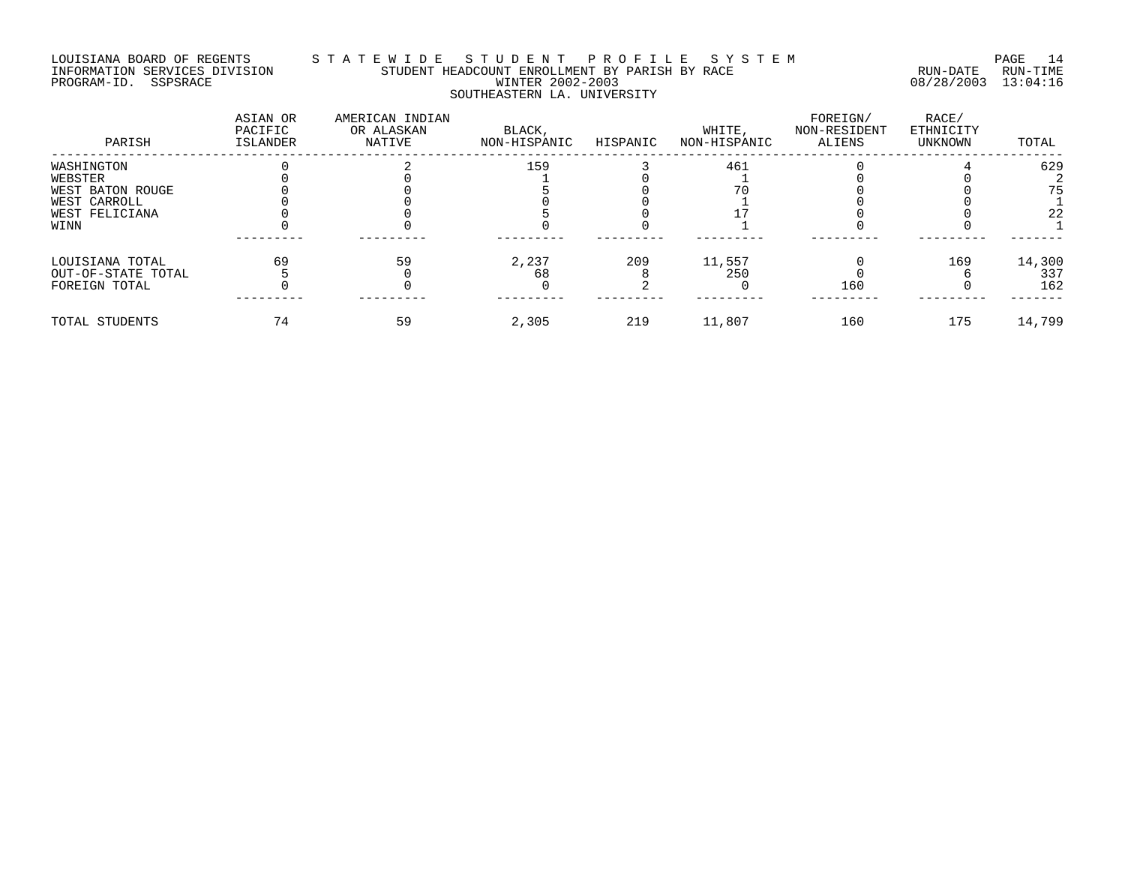#### LOUISIANA BOARD OF REGENTS S T A T E W I D E S T U D E N T P R O F I L E S Y S T E M PAGE 14 INFORMATION SERVICES DIVISION STUDENT HEADCOUNT ENROLLMENT BY PARISH BY RACE RUN-DATE RUN-TIME PROGRAM-ID. SSPSRACE WINTER 2002-2003 08/28/2003 13:04:16 SOUTHEASTERN LA. UNIVERSITY

| PARISH             | ASIAN OR<br>PACIFIC<br>ISLANDER | AMERICAN INDIAN<br>OR ALASKAN<br>NATIVE | BLACK,<br>NON-HISPANIC | HISPANIC | WHITE.<br>NON-HISPANIC | FOREIGN/<br>NON-RESIDENT<br>ALIENS | RACE/<br>ETHNICITY<br>UNKNOWN | TOTAL  |
|--------------------|---------------------------------|-----------------------------------------|------------------------|----------|------------------------|------------------------------------|-------------------------------|--------|
| WASHINGTON         |                                 |                                         | 159                    |          | 461                    |                                    |                               | 629    |
| WEBSTER            |                                 |                                         |                        |          |                        |                                    |                               |        |
| WEST BATON ROUGE   |                                 |                                         |                        |          |                        |                                    |                               | 75     |
| WEST CARROLL       |                                 |                                         |                        |          |                        |                                    |                               |        |
| WEST FELICIANA     |                                 |                                         |                        |          |                        |                                    |                               | 22     |
| WINN               |                                 |                                         |                        |          |                        |                                    |                               |        |
| LOUISIANA TOTAL    | 69                              | 59                                      | 2,237                  | 209      | 11,557                 |                                    | 169                           | 14,300 |
| OUT-OF-STATE TOTAL |                                 |                                         | 68                     |          | 250                    |                                    |                               | 337    |
| FOREIGN TOTAL      |                                 |                                         |                        |          |                        | 160                                |                               | 162    |
| TOTAL STUDENTS     | 74                              | 59                                      | 2,305                  | 219      | 11,807                 | 160                                | 175                           | 14,799 |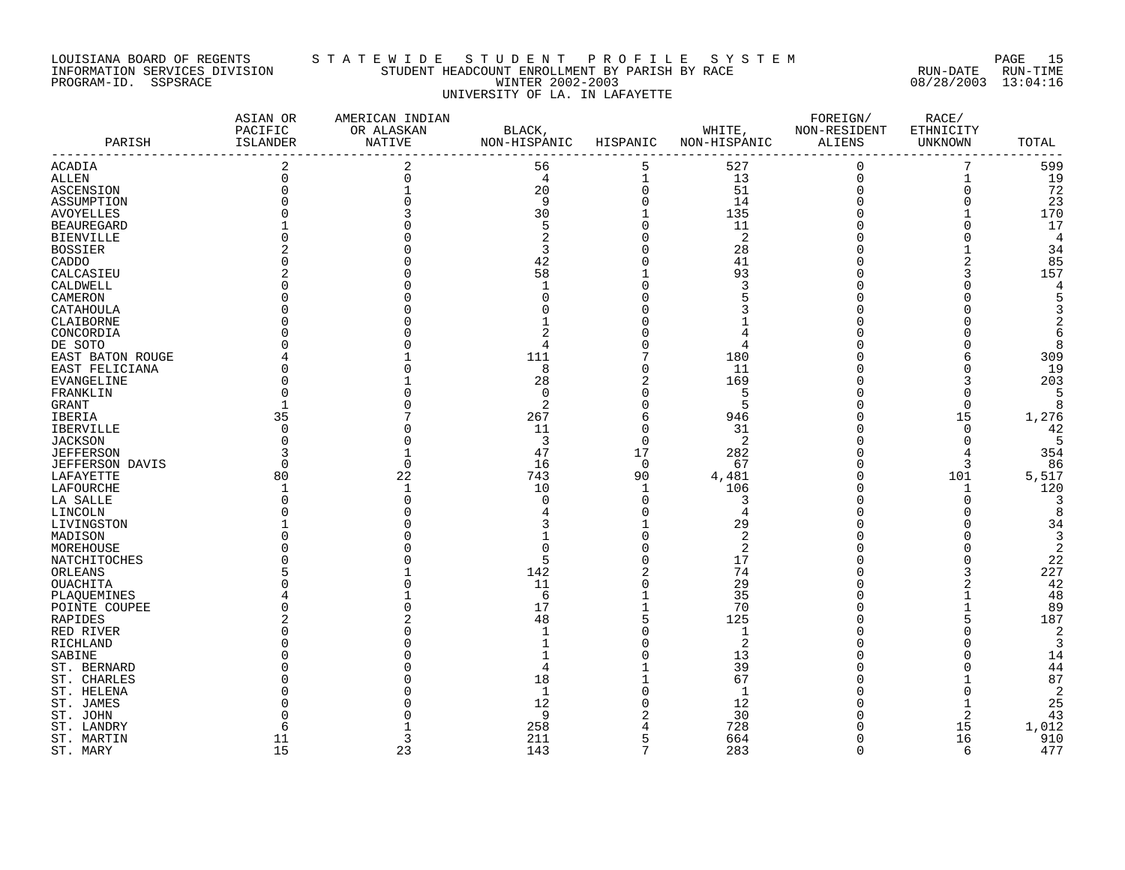#### LOUISIANA BOARD OF REGENTS S T A T E W I D E S T U D E N T P R O F I L E S Y S T E M PAGE 15 INFORMATION SERVICES DIVISION STUDENT HEADCOUNT ENROLLMENT BY PARISH BY RACE RUN-DATE RUN-TIME PROGRAM-ID. SSPSRACE WINTER 2002-2003 08/28/2003 13:04:16 UNIVERSITY OF LA. IN LAFAYETTE

|                        | ASIAN OR<br>PACIFIC | AMERICAN INDIAN<br>OR ALASKAN | BLACK,       |              | WHITE,         | FOREIGN/<br>NON-RESIDENT |                             |                |
|------------------------|---------------------|-------------------------------|--------------|--------------|----------------|--------------------------|-----------------------------|----------------|
| PARISH                 | ISLANDER            | NATIVE                        | NON-HISPANIC | HISPANIC     | NON-HISPANIC   | ALIENS                   | ETHNICITY<br><b>UNKNOWN</b> | TOTAL          |
| <b>ACADIA</b>          | 2                   | 2                             | 56           | 5            | 527            | $\mathbf 0$              | 7                           | 599            |
| <b>ALLEN</b>           | 0                   | $\Omega$                      | 4            | 1            | 13             | $\mathbf 0$              | 1                           | 19             |
| ASCENSION              |                     |                               | 20           | $\mathbf 0$  | 51             | $\Omega$                 | 0                           | 72             |
| ASSUMPTION             |                     |                               | 9            | $\Omega$     | 14             | $\Omega$                 | $\Omega$                    | 23             |
| <b>AVOYELLES</b>       |                     |                               | 30           |              | 135            |                          |                             | 170            |
| <b>BEAUREGARD</b>      |                     |                               | 5            | $\Omega$     | 11             | $\Omega$                 | 0                           | 17             |
| <b>BIENVILLE</b>       |                     |                               | 2            | $\Omega$     | 2              | $\Omega$                 | O                           | 4              |
| <b>BOSSIER</b>         |                     |                               | 3            |              | 28             |                          |                             | 34             |
| CADDO                  |                     |                               | 42           |              | 41             |                          | 2                           | 85             |
| CALCASIEU              |                     |                               | 58           |              | 93             |                          | 3                           | 157            |
| CALDWELL               |                     |                               | $\mathbf{1}$ |              | 3              |                          | O                           | 4              |
| CAMERON                |                     |                               | U            |              |                |                          | O                           | 5              |
|                        |                     |                               |              |              |                |                          | O                           | 3              |
| CATAHOULA              |                     |                               |              |              |                |                          | U                           | 2              |
| CLAIBORNE              |                     |                               |              |              |                |                          |                             |                |
| CONCORDIA              |                     |                               |              |              |                |                          | O                           | 6              |
| DE SOTO                |                     |                               | 4            |              | 4              |                          | 0                           | 8              |
| EAST BATON ROUGE       |                     |                               | 111          |              | 180            |                          | 6                           | 309            |
| EAST FELICIANA         |                     |                               | 8            | O            | 11             |                          | $\Omega$                    | 19             |
| EVANGELINE             |                     |                               | 28           | 2            | 169            |                          | 3                           | 203            |
| FRANKLIN               |                     |                               | $\Omega$     | U            | 5              |                          | $\Omega$                    | 5              |
| GRANT                  |                     |                               | 2            |              | 5              |                          | 0                           | 8              |
| IBERIA                 | 35                  |                               | 267          | 6            | 946            |                          | 15                          | 1,276          |
| <b>IBERVILLE</b>       | ∩                   |                               | 11           | $\Omega$     | 31             | $\Omega$                 | $\Omega$                    | 42             |
| <b>JACKSON</b>         |                     |                               | 3            | $\Omega$     | 2              | <sup>0</sup>             | $\Omega$                    | 5              |
| <b>JEFFERSON</b>       |                     |                               | 47           | 17           | 282            | $\Omega$                 | 4                           | 354            |
| <b>JEFFERSON DAVIS</b> | $\Omega$            | ∩                             | 16           | $\Omega$     | 67             | $\Omega$                 | 3                           | 86             |
| LAFAYETTE              | 80                  | 22                            | 743          | 90           | 4,481          | $\Omega$                 | 101                         | 5,517          |
| LAFOURCHE              |                     |                               | 10           | $\mathbf{1}$ | 106            | $\Omega$                 | 1                           | 120            |
| LA SALLE               |                     |                               | $\Omega$     | $\Omega$     | 3              | $\Omega$                 | 0                           | 3              |
| LINCOLN                |                     |                               |              | O            | 4              | $\Omega$                 | O                           | 8              |
| LIVINGSTON             |                     |                               |              |              | 29             |                          | O                           | 34             |
| MADISON                |                     |                               |              |              | $\overline{2}$ |                          | $\Omega$                    | 3              |
| MOREHOUSE              |                     |                               | O            |              | $\overline{2}$ |                          | O                           | $\overline{2}$ |
| NATCHITOCHES           |                     |                               | 5            |              | 17             |                          | 0                           | 22             |
| ORLEANS                |                     |                               | 142          |              | 74             |                          | 3                           | 227            |
| <b>OUACHITA</b>        |                     |                               | 11           |              | 29             |                          | $\overline{2}$              | 42             |
|                        |                     |                               | 6            |              | 35             |                          | 1                           | 48             |
| PLAQUEMINES            |                     |                               | 17           |              | 70             | $\Omega$                 | $\mathbf{1}$                | 89             |
| POINTE COUPEE          |                     |                               |              |              | 125            |                          | 5                           |                |
| RAPIDES                |                     |                               | 48           |              |                |                          |                             | 187            |
| RED RIVER              |                     |                               |              |              | $\mathbf{1}$   |                          | O                           | $\overline{2}$ |
| RICHLAND               |                     |                               |              |              | $\overline{2}$ |                          | Ω                           | 3              |
| SABINE                 |                     |                               |              |              | 13             |                          | Ω                           | 14             |
| ST. BERNARD            |                     |                               |              |              | 39             | <sup>0</sup>             | Ω                           | 44             |
| ST. CHARLES            |                     |                               | 18           |              | 67             |                          |                             | 87             |
| ST. HELENA             |                     |                               | 1            |              | $\mathbf{1}$   |                          | $\Omega$                    | $\overline{2}$ |
| ST. JAMES              |                     |                               | 12           |              | 12             |                          |                             | 25             |
| ST. JOHN               |                     |                               | 9            |              | 30             | <sup>0</sup>             | 2                           | 43             |
| ST. LANDRY             |                     |                               | 258          |              | 728            |                          | 15                          | 1,012          |
| ST. MARTIN             | 11                  | 3                             | 211          |              | 664            | $\Omega$                 | 16                          | 910            |
| ST. MARY               | 15                  | 23                            | 143          | 7            | 283            | $\Omega$                 | 6                           | 477            |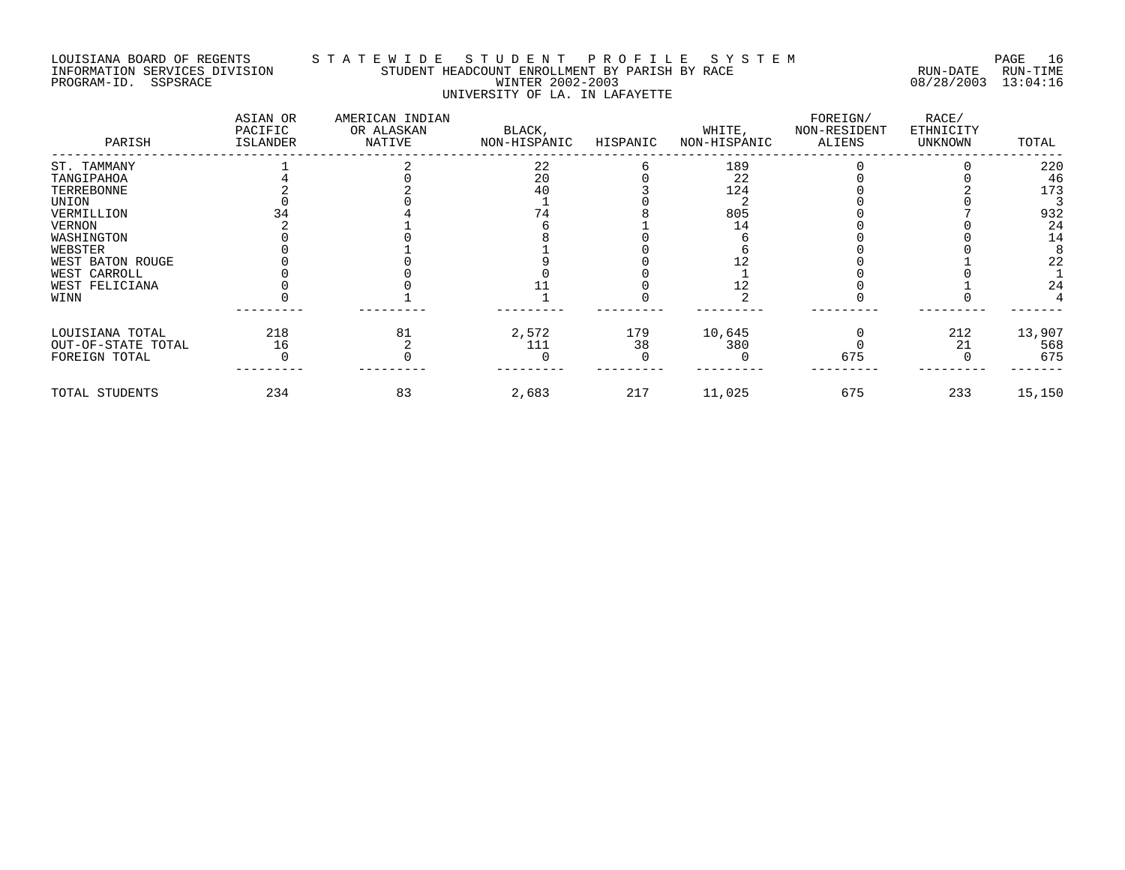#### LOUISIANA BOARD OF REGENTS S T A T E W I D E S T U D E N T P R O F I L E S Y S T E M PAGE 16 INFORMATION SERVICES DIVISION STUDENT HEADCOUNT ENROLLMENT BY PARISH BY RACE RUN-DATE RUN-TIME PROGRAM-ID. SSPSRACE WINTER 2002-2003 08/28/2003 13:04:16 UNIVERSITY OF LA. IN LAFAYETTE

| PARISH             | ASIAN OR<br>PACIFIC<br>ISLANDER | AMERICAN INDIAN<br>OR ALASKAN<br>NATIVE | BLACK,<br>NON-HISPANIC | HISPANIC | WHITE,<br>NON-HISPANIC | FOREIGN/<br>NON-RESIDENT<br>ALIENS | RACE/<br>ETHNICITY<br>UNKNOWN | TOTAL  |
|--------------------|---------------------------------|-----------------------------------------|------------------------|----------|------------------------|------------------------------------|-------------------------------|--------|
| ST. TAMMANY        |                                 |                                         | 22                     |          | 189                    |                                    |                               | 220    |
| TANGIPAHOA         |                                 |                                         | 20                     |          | 22                     |                                    |                               | 46     |
| TERREBONNE         |                                 |                                         | 40                     |          | 124                    |                                    |                               | 173    |
| UNION              |                                 |                                         |                        |          |                        |                                    |                               |        |
| VERMILLION         |                                 |                                         |                        |          | 805                    |                                    |                               | 932    |
| <b>VERNON</b>      |                                 |                                         |                        |          |                        |                                    |                               | 24     |
| WASHINGTON         |                                 |                                         |                        |          |                        |                                    |                               | 14     |
| WEBSTER            |                                 |                                         |                        |          |                        |                                    |                               |        |
| WEST BATON ROUGE   |                                 |                                         |                        |          |                        |                                    |                               | 22     |
| WEST CARROLL       |                                 |                                         |                        |          |                        |                                    |                               |        |
| WEST FELICIANA     |                                 |                                         |                        |          |                        |                                    |                               | 24     |
| WINN               |                                 |                                         |                        |          |                        |                                    |                               |        |
| LOUISIANA TOTAL    | 218                             | 81                                      | 2,572                  | 179      | 10,645                 |                                    | 212                           | 13,907 |
| OUT-OF-STATE TOTAL | 16                              |                                         | 111                    | 38       | 380                    |                                    | 21                            | 568    |
| FOREIGN TOTAL      |                                 |                                         |                        |          |                        | 675                                |                               | 675    |
| TOTAL STUDENTS     | 234                             | 83                                      | 2,683                  | 217      | 11,025                 | 675                                | 233                           | 15,150 |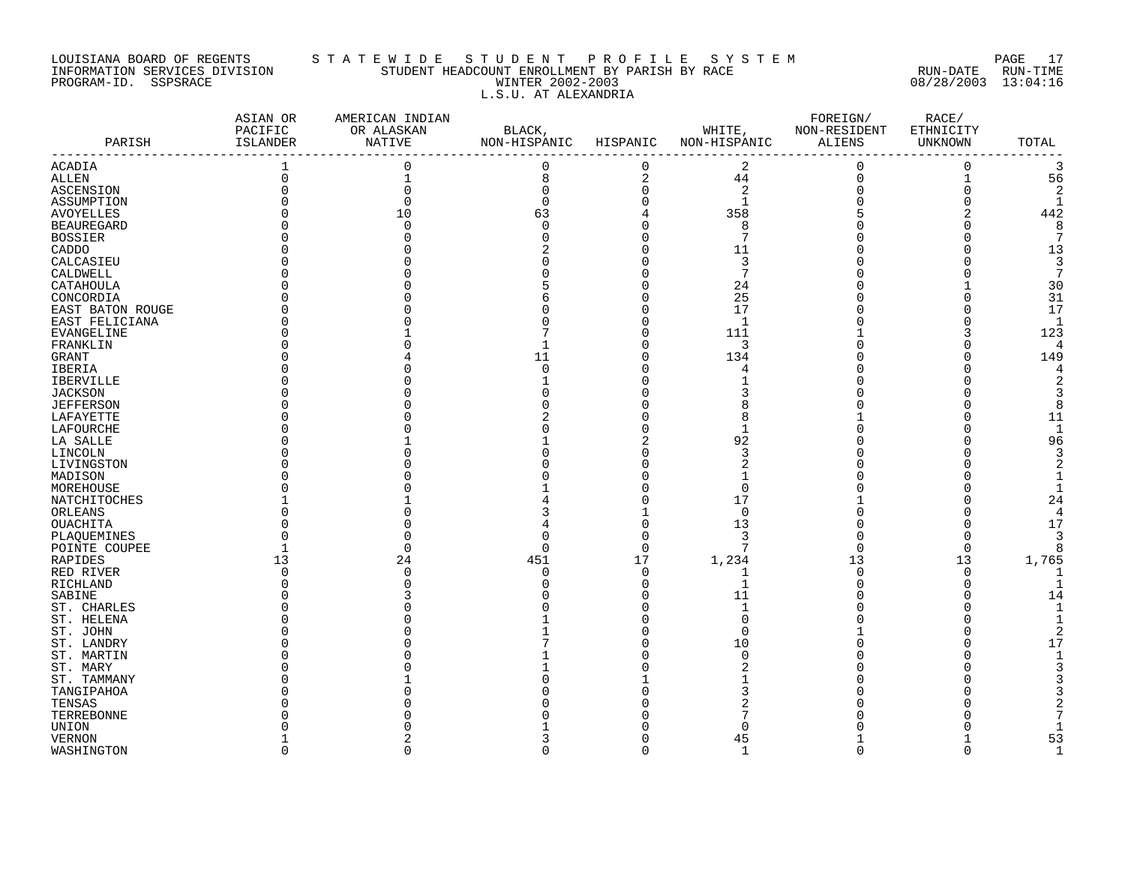#### LOUISIANA BOARD OF REGENTS S T A T E W I D E S T U D E N T P R O F I L E S Y S T E M PAGE 17 INFORMATION SERVICES DIVISION STUDENT HEADCOUNT ENROLLMENT BY PARISH BY RACE RUN-DATE RUN-TIME PROGRAM-ID. SSPSRACE WINTER 2002-2003 08/28/2003 13:04:16 L.S.U. AT ALEXANDRIA

|                           | ASIAN OR<br>PACIFIC | AMERICAN INDIAN<br>OR ALASKAN | BLACK,                |             |                     | FOREIGN/<br>WHITE, NON-RESIDENT |                      |              |
|---------------------------|---------------------|-------------------------------|-----------------------|-------------|---------------------|---------------------------------|----------------------|--------------|
| PARISH                    | ISLANDER            | NATIVE                        | NON-HISPANIC HISPANIC |             | NON-HISPANIC ALIENS |                                 | ETHNICITY<br>UNKNOWN | TOTAL        |
| <b>ACADIA</b>             |                     | $\Omega$                      | 0                     | $\mathbf 0$ | 2                   | $\mathbf 0$                     | $\mathbf 0$          | 3            |
| <b>ALLEN</b>              | $\mathbf 0$         |                               | 8                     | $\sqrt{2}$  | 44                  | $\mathsf 0$                     | $1\,$                | 56           |
| ASCENSION                 |                     |                               | 0                     | $\mathbf 0$ | $\overline{a}$      |                                 | 0                    | 2            |
| ASSUMPTION                |                     |                               | $\Omega$              | $\Omega$    | $\mathbf{1}$        |                                 | $\Omega$             | 1            |
| <b>AVOYELLES</b>          |                     | 10                            | 63                    |             | 358                 |                                 |                      | 442          |
| <b>BEAUREGARD</b>         |                     |                               | $\Omega$              | $\Omega$    | 8                   |                                 | O                    | 8            |
| <b>BOSSIER</b>            |                     |                               |                       | $\Omega$    | $7\phantom{.0}$     |                                 |                      |              |
| CADDO                     |                     |                               |                       |             | 11                  |                                 |                      | 13           |
| CALCASIEU                 |                     |                               |                       |             | 3                   |                                 |                      | 3            |
| CALDWELL                  |                     |                               |                       |             | 7                   |                                 |                      | 7            |
| CATAHOULA                 |                     |                               |                       |             | 24                  |                                 |                      | 30           |
| CONCORDIA                 |                     |                               |                       |             | 25                  |                                 |                      | 31           |
| EAST BATON ROUGE          |                     |                               |                       |             | 17                  |                                 |                      | 17           |
| EAST FELICIANA            |                     |                               |                       |             | $\mathbf{1}$        |                                 | $\cap$               | -1           |
| EVANGELINE                |                     |                               |                       |             | 111                 |                                 |                      | 123          |
| FRANKLIN                  |                     |                               |                       | $\Omega$    | 3                   |                                 | U                    | Δ            |
| GRANT                     |                     |                               | 11                    | $\Omega$    | 134                 |                                 | $\Omega$             | 149          |
| IBERIA                    |                     |                               | U                     |             | 4                   |                                 |                      | 4            |
| <b>IBERVILLE</b>          |                     |                               |                       |             |                     |                                 |                      |              |
| <b>JACKSON</b>            |                     |                               |                       |             |                     |                                 |                      |              |
| <b>JEFFERSON</b>          |                     |                               |                       |             |                     |                                 |                      |              |
| LAFAYETTE                 |                     |                               |                       |             | 8                   |                                 |                      | 11           |
| LAFOURCHE                 |                     |                               |                       |             |                     |                                 |                      | -1           |
| LA SALLE                  |                     |                               |                       | 2           | 92                  |                                 |                      | 96           |
| LINCOLN                   |                     |                               |                       |             | 3                   |                                 |                      |              |
| LIVINGSTON                |                     |                               |                       |             | $\overline{c}$      |                                 |                      |              |
|                           |                     |                               |                       |             |                     |                                 |                      |              |
| MADISON                   |                     |                               |                       |             | $\mathbf 0$         |                                 |                      |              |
| MOREHOUSE<br>NATCHITOCHES |                     |                               |                       |             | 17                  |                                 |                      | 24           |
|                           |                     |                               |                       |             | $\Omega$            |                                 |                      | Δ            |
| ORLEANS<br>OUACHITA       |                     |                               |                       | $\Omega$    | 13                  |                                 |                      | 17           |
| PLAQUEMINES               |                     |                               |                       | $\Omega$    | 3                   |                                 | $\Omega$             |              |
|                           |                     |                               | $\Omega$              | $\Omega$    | 7                   | $\Omega$                        | $\Omega$             |              |
| POINTE COUPEE             | 13                  | 24                            | 451                   | 17          | 1,234               | 13                              | 13                   | 1,765        |
| RAPIDES                   |                     |                               | $\Omega$              | $\Omega$    | 1                   | $\Omega$                        | $\Omega$             |              |
| RED RIVER<br>RICHLAND     |                     |                               |                       | $\Omega$    | $\mathbf 1$         | $\Omega$                        | $\Omega$             |              |
| SABINE                    |                     |                               |                       |             | 11                  |                                 |                      | 14           |
| ST. CHARLES               |                     |                               |                       |             |                     |                                 |                      |              |
| ST. HELENA                |                     |                               |                       |             | $\Omega$            |                                 |                      |              |
|                           |                     |                               |                       |             | O                   |                                 |                      |              |
| ST. JOHN<br>ST. LANDRY    |                     |                               |                       |             | 10                  |                                 |                      | 17           |
| ST. MARTIN                |                     |                               |                       |             | $\Omega$            |                                 |                      |              |
| ST. MARY                  |                     |                               |                       |             |                     |                                 |                      |              |
| ST. TAMMANY               |                     |                               |                       |             |                     |                                 |                      |              |
|                           |                     |                               |                       |             |                     |                                 |                      |              |
| TANGIPAHOA                |                     |                               |                       |             |                     |                                 |                      |              |
| TENSAS                    |                     |                               |                       |             |                     |                                 |                      |              |
| TERREBONNE                |                     |                               |                       |             | O                   |                                 |                      |              |
| UNION<br><b>VERNON</b>    |                     |                               |                       |             | 45                  |                                 |                      | 53           |
|                           |                     |                               | $\Omega$              | $\Omega$    | $\overline{1}$      | $\Omega$                        | $\Omega$             | $\mathbf{1}$ |
| WASHINGTON                |                     |                               |                       |             |                     |                                 |                      |              |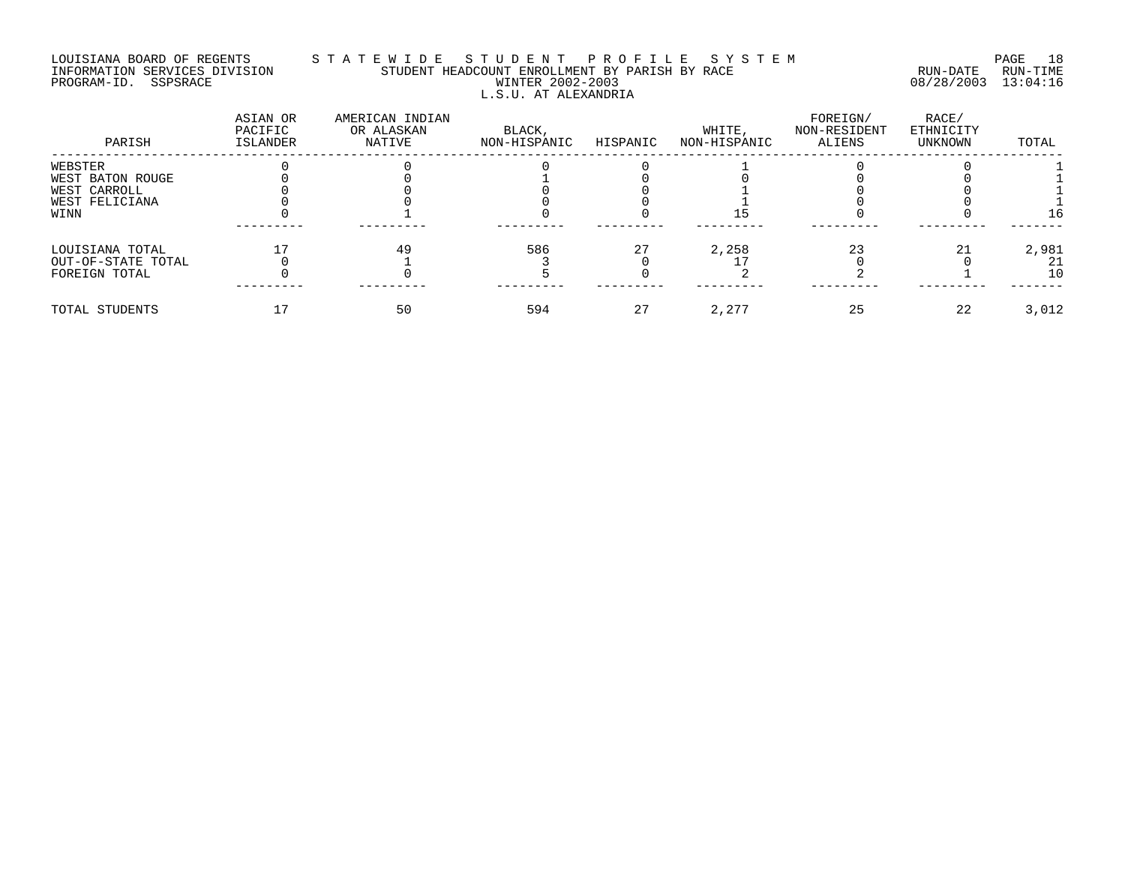### LOUISIANA BOARD OF REGENTS S T A T E W I D E S T U D E N T P R O F I L E S Y S T E M PAGE 18 INFORMATION SERVICES DIVISION STUDENT HEADCOUNT ENROLLMENT BY PARISH BY RACE RUN-DATE RUN-TIME PROGRAM-ID. SSPSRACE WINTER 2002-2003 08/28/2003 13:04:16 L.S.U. AT ALEXANDRIA

| PARISH             | ASIAN OR<br>PACIFIC<br>ISLANDER | AMERICAN INDIAN<br>OR ALASKAN<br>NATIVE | BLACK,<br>NON-HISPANIC | HISPANIC | WHITE,<br>NON-HISPANIC | FOREIGN/<br>NON-RESIDENT<br>ALIENS | RACE/<br>ETHNICITY<br>UNKNOWN | TOTAL |
|--------------------|---------------------------------|-----------------------------------------|------------------------|----------|------------------------|------------------------------------|-------------------------------|-------|
| WEBSTER            |                                 |                                         |                        |          |                        |                                    |                               |       |
| WEST BATON ROUGE   |                                 |                                         |                        |          |                        |                                    |                               |       |
| WEST CARROLL       |                                 |                                         |                        |          |                        |                                    |                               |       |
| WEST FELICIANA     |                                 |                                         |                        |          |                        |                                    |                               |       |
| WINN               |                                 |                                         |                        |          |                        |                                    |                               | 16    |
| LOUISIANA TOTAL    |                                 | 49                                      | 586                    | 27       | 2,258                  | 23                                 |                               | 2,981 |
| OUT-OF-STATE TOTAL |                                 |                                         |                        |          |                        |                                    |                               | 21    |
| FOREIGN TOTAL      |                                 |                                         |                        |          |                        |                                    |                               | 10    |
| TOTAL STUDENTS     |                                 | 50                                      | 594                    | 27       | 2,277                  | 25                                 | 22                            | 3,012 |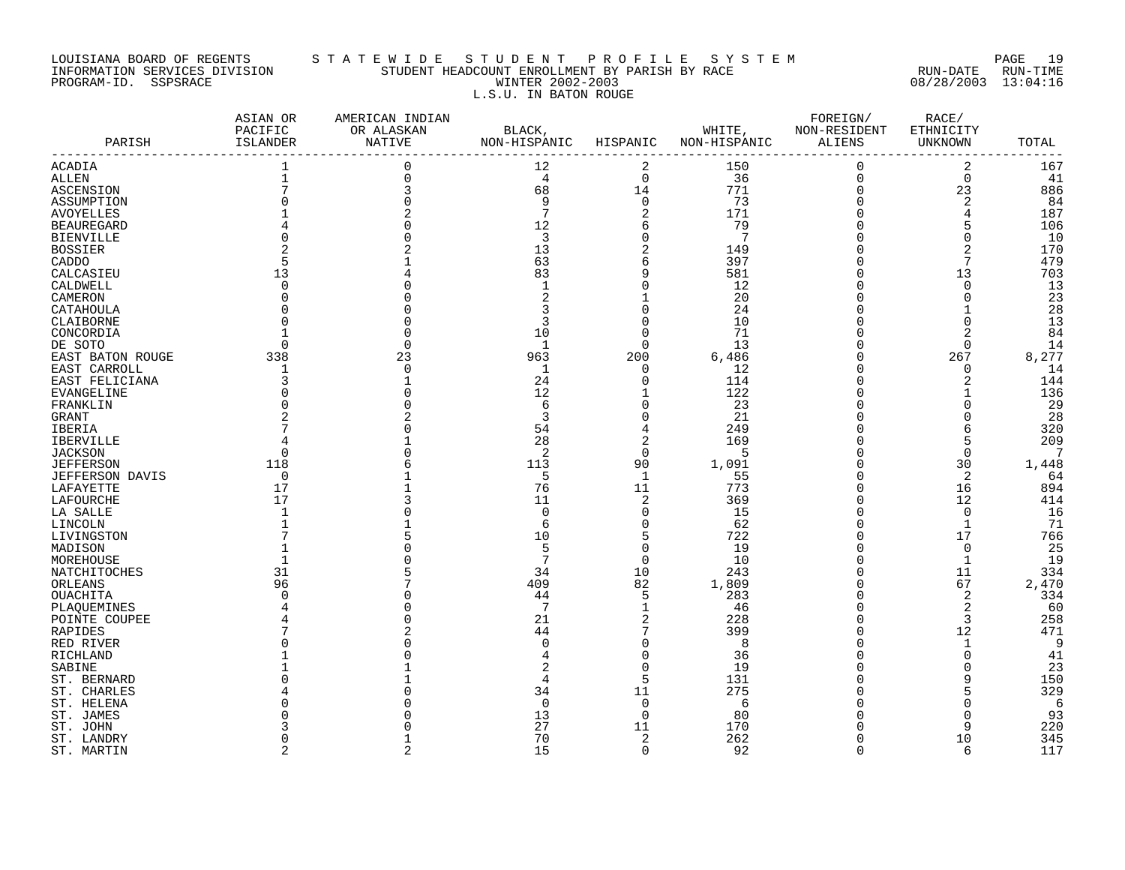#### LOUISIANA BOARD OF REGENTS S T A T E W I D E S T U D E N T P R O F I L E S Y S T E M PAGE 19 INFORMATION SERVICES DIVISION STUDENT HEADCOUNT ENROLLMENT BY PARISH BY RACE RUN-DATE RUN-TIME PROGRAM-ID. SSPSRACE WINTER 2002-2003 08/28/2003 13:04:16 L.S.U. IN BATON ROUGE

| PARISH                 | ASIAN OR<br>PACIFIC<br>ISLANDER | AMERICAN INDIAN<br>OR ALASKAN<br>NATIVE | BLACK,<br>NON-HISPANIC | HISPANIC       | WHITE,<br>NON-HISPANIC | FOREIGN/<br>NON-RESIDENT<br>ALIENS | RACE/<br>ETHNICITY<br>UNKNOWN | TOTAL |
|------------------------|---------------------------------|-----------------------------------------|------------------------|----------------|------------------------|------------------------------------|-------------------------------|-------|
| ACADIA                 | 1                               | 0                                       | 12                     | 2              | 150                    | 0                                  | $\overline{2}$                | 167   |
| <b>ALLEN</b>           | $\mathbf 1$                     |                                         | 4                      | $\mathbf 0$    | 36                     | $\mathbf 0$                        | $\Omega$                      | 41    |
| ASCENSION              |                                 |                                         | 68                     | 14             | 771                    | $\Omega$                           | 23                            | 886   |
| ASSUMPTION             |                                 |                                         | 9                      | $\Omega$       | 73                     | $\Omega$                           | $\overline{2}$                | 84    |
| <b>AVOYELLES</b>       |                                 |                                         | 7                      | 2              | 171                    |                                    | 4                             | 187   |
| <b>BEAUREGARD</b>      |                                 |                                         | 12                     | 6              | 79                     | U                                  | 5                             | 106   |
| <b>BIENVILLE</b>       |                                 |                                         | 3                      | $\Omega$       | $7\phantom{.0}$        |                                    | $\cap$                        | 10    |
| <b>BOSSIER</b>         |                                 |                                         | 13                     | 2              | 149                    |                                    |                               | 170   |
| CADDO                  |                                 |                                         | 63                     | 6              | 397                    |                                    |                               | 479   |
| CALCASIEU              | 13                              |                                         | 83                     | 9              | 581                    |                                    | 13                            | 703   |
| CALDWELL               | $\Omega$                        |                                         | $\mathbf{1}$           | $\Omega$       | 12                     |                                    | $\Omega$                      | 13    |
| CAMERON                |                                 |                                         |                        |                | 20                     |                                    | $\Omega$                      | 23    |
|                        |                                 |                                         |                        | $\Omega$       | 24                     |                                    |                               | 28    |
| CATAHOULA              |                                 |                                         | 3                      | $\mathbf 0$    | 10                     |                                    |                               | 13    |
| CLAIBORNE              |                                 |                                         |                        |                |                        |                                    |                               |       |
| CONCORDIA              |                                 |                                         | 10                     | $\Omega$       | 71                     |                                    |                               | 84    |
| DE SOTO                |                                 |                                         | $\mathbf 1$            | $\Omega$       | 13                     |                                    | $\Omega$                      | 14    |
| EAST BATON ROUGE       | 338                             | 23                                      | 963                    | 200            | 6,486                  |                                    | 267                           | 8,277 |
| EAST CARROLL           | 1                               |                                         | $\mathbf 1$            | $\mathbf 0$    | 12                     |                                    | $\cap$                        | 14    |
| EAST FELICIANA         | 3                               |                                         | 24                     | $\mathbf 0$    | 114                    |                                    | 2                             | 144   |
| <b>EVANGELINE</b>      |                                 |                                         | 12                     | $\mathbf{1}$   | 122                    |                                    |                               | 136   |
| FRANKLIN               |                                 |                                         | 6                      | $\mathbf 0$    | 23                     |                                    |                               | 29    |
| GRANT                  |                                 |                                         | 3                      | $\Omega$       | 21                     |                                    |                               | 28    |
| IBERIA                 |                                 |                                         | 54                     | 4              | 249                    |                                    |                               | 320   |
| <b>IBERVILLE</b>       |                                 |                                         | 28                     | $\overline{2}$ | 169                    |                                    |                               | 209   |
| <b>JACKSON</b>         | ∩                               |                                         | $\overline{2}$         | $\Omega$       | 5                      |                                    | $\Omega$                      | 7     |
| <b>JEFFERSON</b>       | 118                             |                                         | 113                    | 90             | 1,091                  |                                    | 30                            | 1,448 |
| <b>JEFFERSON DAVIS</b> | $\Omega$                        |                                         | 5                      | 1              | 55                     |                                    | 2                             | 64    |
| LAFAYETTE              | 17                              |                                         | 76                     | 11             | 773                    |                                    | 16                            | 894   |
| LAFOURCHE              | 17                              |                                         | 11                     | $\overline{2}$ | 369                    | U                                  | 12                            | 414   |
| LA SALLE               |                                 |                                         | $\Omega$               | $\Omega$       | 15                     |                                    | $\Omega$                      | 16    |
| LINCOLN                |                                 |                                         | 6                      | $\mathbf 0$    | 62                     |                                    | 1                             | 71    |
| LIVINGSTON             |                                 |                                         | 10                     | 5              | 722                    |                                    | 17                            | 766   |
| MADISON                |                                 |                                         | 5                      | $\Omega$       | 19                     |                                    | $\Omega$                      | 25    |
| MOREHOUSE              |                                 |                                         | 7                      | $\Omega$       | 10                     |                                    | $\mathbf{1}$                  | 19    |
| NATCHITOCHES           | 31                              |                                         | 34                     | 10             | 243                    |                                    | 11                            | 334   |
| ORLEANS                | 96                              |                                         | 409                    | 82             | 1,809                  |                                    | 67                            | 2,470 |
| OUACHITA               |                                 |                                         | 44                     | 5              | 283                    |                                    | 2                             | 334   |
| PLAQUEMINES            |                                 |                                         | 7                      | 1              | 46                     |                                    | 2                             | 60    |
| POINTE COUPEE          |                                 |                                         | 21                     | 2              | 228                    |                                    | 3                             | 258   |
|                        |                                 |                                         | 44                     | 7              | 399                    |                                    | 12                            | 471   |
| <b>RAPIDES</b>         |                                 |                                         | $\Omega$               |                |                        |                                    |                               | 9     |
| RED RIVER              |                                 |                                         |                        | $\mathbf 0$    | 8                      |                                    | 1<br>$\cap$                   |       |
| RICHLAND               |                                 |                                         |                        | $\Omega$       | 36                     |                                    |                               | 41    |
| SABINE                 |                                 |                                         |                        | $\Omega$       | 19                     |                                    |                               | 23    |
| ST. BERNARD            |                                 |                                         | 4                      | 5              | 131                    |                                    |                               | 150   |
| ST. CHARLES            |                                 |                                         | 34                     | 11             | 275                    |                                    |                               | 329   |
| ST. HELENA             |                                 |                                         | $\Omega$               | $\Omega$       | 6                      |                                    |                               | 6     |
| ST. JAMES              |                                 |                                         | 13                     | $\Omega$       | 80                     |                                    |                               | 93    |
| ST. JOHN               |                                 |                                         | 27                     | 11             | 170                    |                                    | Q                             | 220   |
| ST. LANDRY             |                                 |                                         | 70                     | 2              | 262                    | U                                  | 10                            | 345   |
| ST. MARTIN             | $\mathfrak{D}$                  | $\overline{a}$                          | 15                     | $\Omega$       | 92                     | $\cap$                             | 6                             | 117   |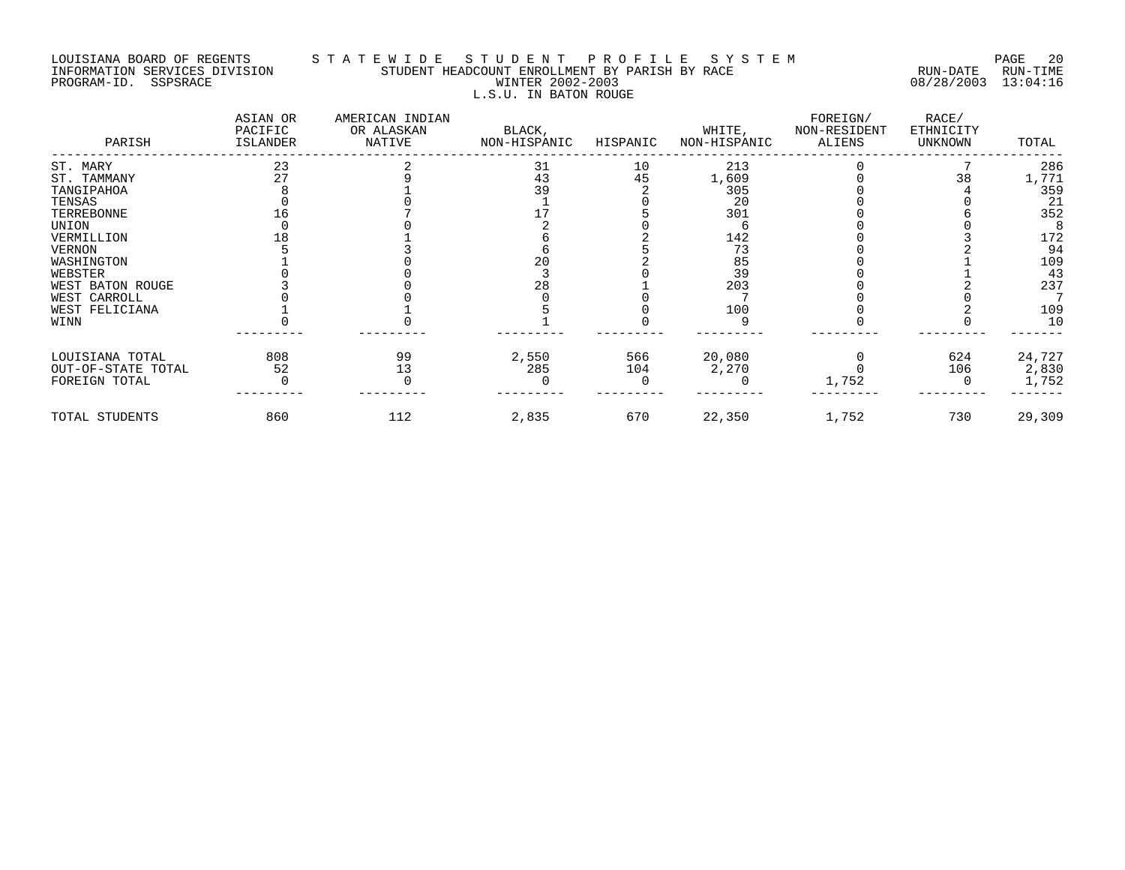#### LOUISIANA BOARD OF REGENTS S T A T E W I D E S T U D E N T P R O F I L E S Y S T E M PAGE 20 INFORMATION SERVICES DIVISION STUDENT HEADCOUNT ENROLLMENT BY PARISH BY RACE RUN-DATE RUN-TIME PROGRAM-ID. SSPSRACE WINTER 2002-2003 08/28/2003 13:04:16 L.S.U. IN BATON ROUGE

| PARISH             | ASIAN OR<br>PACIFIC<br>ISLANDER | AMERICAN INDIAN<br>OR ALASKAN<br>NATIVE | BLACK,<br>NON-HISPANIC | HISPANIC | WHITE,<br>NON-HISPANIC | FOREIGN/<br>NON-RESIDENT<br>ALIENS | RACE/<br>ETHNICITY<br>UNKNOWN | TOTAL  |
|--------------------|---------------------------------|-----------------------------------------|------------------------|----------|------------------------|------------------------------------|-------------------------------|--------|
| ST. MARY           | 23                              |                                         | 31                     | 10       | 213                    |                                    |                               | 286    |
| ST. TAMMANY        | 27                              |                                         | 43                     | 45       | 1,609                  |                                    | 38                            | 1,771  |
| TANGIPAHOA         |                                 |                                         | 39                     |          | 305                    |                                    |                               | 359    |
| TENSAS             |                                 |                                         |                        |          | 20                     |                                    |                               | 21     |
| TERREBONNE         |                                 |                                         |                        |          | 301                    |                                    |                               | 352    |
| UNION              |                                 |                                         |                        |          |                        |                                    |                               |        |
| VERMILLION         |                                 |                                         |                        |          | 142                    |                                    |                               | 172    |
| <b>VERNON</b>      |                                 |                                         |                        |          | 73                     |                                    |                               | 94     |
| WASHINGTON         |                                 |                                         | 20                     |          | 85                     |                                    |                               | 109    |
| WEBSTER            |                                 |                                         |                        |          | 39                     |                                    |                               | 43     |
| WEST BATON ROUGE   |                                 |                                         | 28                     |          | 203                    |                                    |                               | 237    |
| WEST CARROLL       |                                 |                                         |                        |          |                        |                                    |                               |        |
| WEST FELICIANA     |                                 |                                         |                        |          | 100                    |                                    |                               | 109    |
| WINN               |                                 |                                         |                        |          |                        |                                    |                               | 10     |
| LOUISIANA TOTAL    | 808                             | 99                                      | 2,550                  | 566      | 20,080                 |                                    | 624                           | 24,727 |
| OUT-OF-STATE TOTAL | 52                              | 13                                      | 285                    | 104      | 2,270                  |                                    | 106                           | 2,830  |
| FOREIGN TOTAL      |                                 |                                         |                        |          |                        | 1,752                              |                               | 1,752  |
| TOTAL STUDENTS     | 860                             | 112                                     | 2,835                  | 670      | 22,350                 | 1,752                              | 730                           | 29,309 |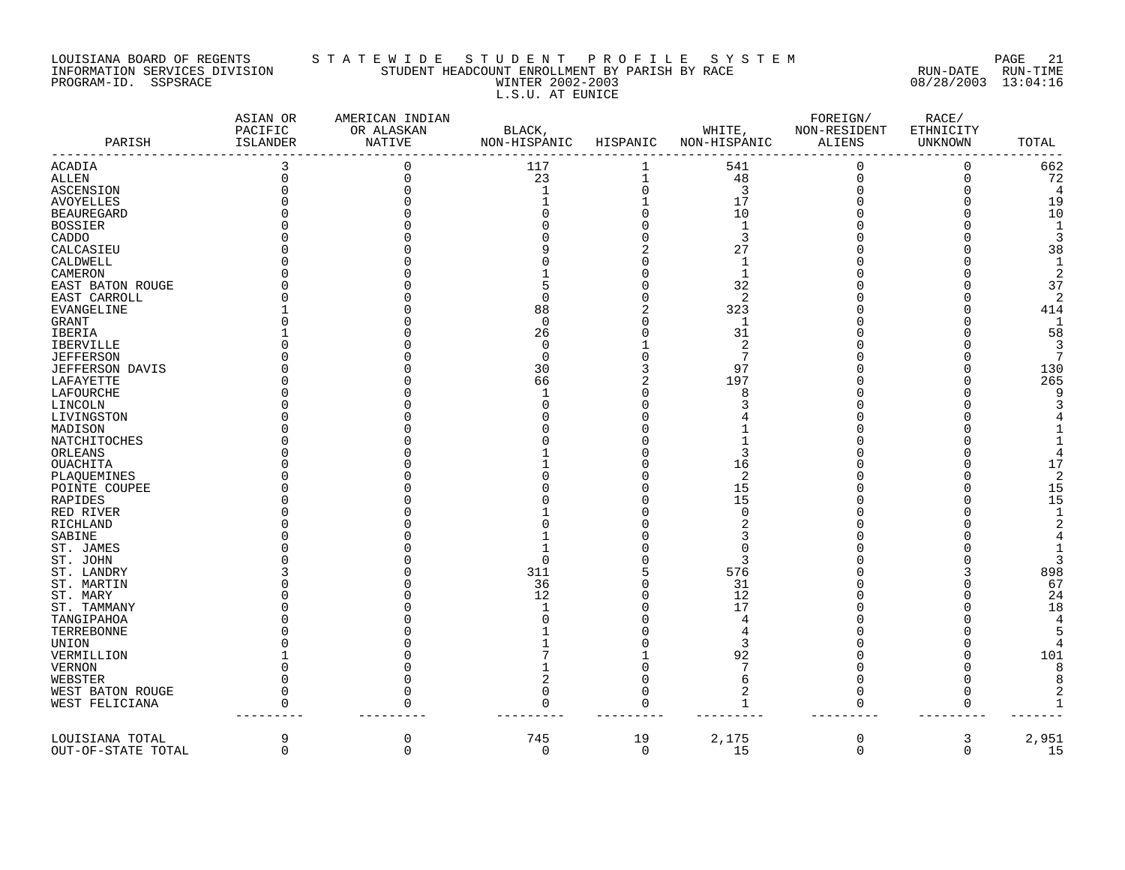#### LOUISIANA BOARD OF REGENTS S T A T E W I D E S T U D E N T P R O F I L E S Y S T E M PAGE 21 INFORMATION SERVICES DIVISION STUDENT HEADCOUNT ENROLLMENT BY PARISH BY RACE RUN-DATE RUN-TIME PROGRAM-ID. SSPSRACE WINTER 2002-2003 08/28/2003 13:04:16 L.S.U. AT EUNICE

| PARISH<br><b>ISLANDER</b><br><b>NATIVE</b><br>NON-HISPANIC<br>HISPANIC<br>NON-HISPANIC<br>TOTAL<br>ALIENS<br>UNKNOWN<br>662<br>ACADIA<br>3<br>117<br>541<br>0<br>$\Omega$<br>0<br>ALLEN<br>0<br>23<br>$\mathbf 1$<br>48<br>0<br>72<br>O<br>$\Omega$<br>3<br>$\Omega$<br>$\Omega$<br>4<br>ASCENSION<br>1<br>17<br>19<br><b>AVOYELLES</b><br>$10$<br><b>BEAUREGARD</b><br>10<br>$\mathbf{1}$<br>1<br><b>BOSSIER</b><br>3<br>3<br>CADDO<br>38<br>27<br>CALCASIEU<br>CALDWELL<br>$\mathbf 1$<br>1<br>$\overline{2}$<br>CAMERON<br>-1<br>32<br>37<br>EAST BATON ROUGE<br>2<br>2<br>$\Omega$<br>EAST CARROLL<br>88<br>323<br>414<br><b>EVANGELINE</b><br>GRANT<br>$\Omega$<br>1<br>1<br>58<br>IBERIA<br>26<br>31<br>$\overline{2}$<br>3<br>IBERVILLE<br>0<br>7<br>7<br><b>JEFFERSON</b><br>$\Omega$<br>30<br>97<br>130<br>JEFFERSON DAVIS<br>265<br>LAFAYETTE<br>66<br>2<br>197<br>LAFOURCHE<br>8<br>9<br>$\mathbf{3}$<br>LINCOLN<br>LIVINGSTON<br>MADISON<br>$\mathbf{1}$<br>NATCHITOCHES<br>$\overline{4}$<br>3<br>ORLEANS<br>17<br><b>OUACHITA</b><br>16<br>$\overline{2}$<br>2<br>PLAQUEMINES<br>15<br>POINTE COUPEE<br>15<br>15<br>15<br>RAPIDES<br>$\mathbf{1}$<br>RED RIVER<br>$\cap$<br>$\overline{2}$<br>RICHLAND<br>SABINE<br>$\overline{4}$<br>$\mathbf{1}$<br>ST. JAMES<br>3<br>ST. JOHN<br>$\Omega$<br>3<br>311<br>576<br>898<br>ST. LANDRY<br>36<br>67<br>31<br>ST. MARTIN<br>12<br>12<br>24<br>ST. MARY<br>18<br>17<br>ST. TAMMANY<br>4<br>TANGIPAHOA<br>4<br>5<br>TERREBONNE<br>UNION<br>3<br>4<br>92<br>101<br>VERMILLION<br>7<br>8<br><b>VERNON</b><br>8<br>6<br>WEBSTER<br>$\Omega$<br>$\overline{2}$<br>2<br>WEST BATON ROUGE<br>$\Omega$<br>U<br>$\Omega$<br>$\Omega$<br>WEST FELICIANA<br>0<br>$\Omega$<br>$\Omega$<br>U<br>$\Omega$<br>U<br>1<br>9<br>0<br>745<br>19<br>2,175<br>0<br>2,951<br>LOUISIANA TOTAL<br>3<br>$\Omega$<br>0<br>$\mathbf 0$<br>$\Omega$<br>15<br>$\Omega$<br>$\Omega$<br>15<br>OUT-OF-STATE TOTAL | ASIAN OR<br>PACIFIC | AMERICAN INDIAN<br>OR ALASKAN | BLACK, | WHITE, | FOREIGN/<br>NON-RESIDENT | RACE/<br>ETHNICITY |  |
|--------------------------------------------------------------------------------------------------------------------------------------------------------------------------------------------------------------------------------------------------------------------------------------------------------------------------------------------------------------------------------------------------------------------------------------------------------------------------------------------------------------------------------------------------------------------------------------------------------------------------------------------------------------------------------------------------------------------------------------------------------------------------------------------------------------------------------------------------------------------------------------------------------------------------------------------------------------------------------------------------------------------------------------------------------------------------------------------------------------------------------------------------------------------------------------------------------------------------------------------------------------------------------------------------------------------------------------------------------------------------------------------------------------------------------------------------------------------------------------------------------------------------------------------------------------------------------------------------------------------------------------------------------------------------------------------------------------------------------------------------------------------------------------------------------------------------------------------------------------------------------------------------------------------------------------------|---------------------|-------------------------------|--------|--------|--------------------------|--------------------|--|
|                                                                                                                                                                                                                                                                                                                                                                                                                                                                                                                                                                                                                                                                                                                                                                                                                                                                                                                                                                                                                                                                                                                                                                                                                                                                                                                                                                                                                                                                                                                                                                                                                                                                                                                                                                                                                                                                                                                                            |                     |                               |        |        |                          |                    |  |
|                                                                                                                                                                                                                                                                                                                                                                                                                                                                                                                                                                                                                                                                                                                                                                                                                                                                                                                                                                                                                                                                                                                                                                                                                                                                                                                                                                                                                                                                                                                                                                                                                                                                                                                                                                                                                                                                                                                                            |                     |                               |        |        |                          |                    |  |
|                                                                                                                                                                                                                                                                                                                                                                                                                                                                                                                                                                                                                                                                                                                                                                                                                                                                                                                                                                                                                                                                                                                                                                                                                                                                                                                                                                                                                                                                                                                                                                                                                                                                                                                                                                                                                                                                                                                                            |                     |                               |        |        |                          |                    |  |
|                                                                                                                                                                                                                                                                                                                                                                                                                                                                                                                                                                                                                                                                                                                                                                                                                                                                                                                                                                                                                                                                                                                                                                                                                                                                                                                                                                                                                                                                                                                                                                                                                                                                                                                                                                                                                                                                                                                                            |                     |                               |        |        |                          |                    |  |
|                                                                                                                                                                                                                                                                                                                                                                                                                                                                                                                                                                                                                                                                                                                                                                                                                                                                                                                                                                                                                                                                                                                                                                                                                                                                                                                                                                                                                                                                                                                                                                                                                                                                                                                                                                                                                                                                                                                                            |                     |                               |        |        |                          |                    |  |
|                                                                                                                                                                                                                                                                                                                                                                                                                                                                                                                                                                                                                                                                                                                                                                                                                                                                                                                                                                                                                                                                                                                                                                                                                                                                                                                                                                                                                                                                                                                                                                                                                                                                                                                                                                                                                                                                                                                                            |                     |                               |        |        |                          |                    |  |
|                                                                                                                                                                                                                                                                                                                                                                                                                                                                                                                                                                                                                                                                                                                                                                                                                                                                                                                                                                                                                                                                                                                                                                                                                                                                                                                                                                                                                                                                                                                                                                                                                                                                                                                                                                                                                                                                                                                                            |                     |                               |        |        |                          |                    |  |
|                                                                                                                                                                                                                                                                                                                                                                                                                                                                                                                                                                                                                                                                                                                                                                                                                                                                                                                                                                                                                                                                                                                                                                                                                                                                                                                                                                                                                                                                                                                                                                                                                                                                                                                                                                                                                                                                                                                                            |                     |                               |        |        |                          |                    |  |
|                                                                                                                                                                                                                                                                                                                                                                                                                                                                                                                                                                                                                                                                                                                                                                                                                                                                                                                                                                                                                                                                                                                                                                                                                                                                                                                                                                                                                                                                                                                                                                                                                                                                                                                                                                                                                                                                                                                                            |                     |                               |        |        |                          |                    |  |
|                                                                                                                                                                                                                                                                                                                                                                                                                                                                                                                                                                                                                                                                                                                                                                                                                                                                                                                                                                                                                                                                                                                                                                                                                                                                                                                                                                                                                                                                                                                                                                                                                                                                                                                                                                                                                                                                                                                                            |                     |                               |        |        |                          |                    |  |
|                                                                                                                                                                                                                                                                                                                                                                                                                                                                                                                                                                                                                                                                                                                                                                                                                                                                                                                                                                                                                                                                                                                                                                                                                                                                                                                                                                                                                                                                                                                                                                                                                                                                                                                                                                                                                                                                                                                                            |                     |                               |        |        |                          |                    |  |
|                                                                                                                                                                                                                                                                                                                                                                                                                                                                                                                                                                                                                                                                                                                                                                                                                                                                                                                                                                                                                                                                                                                                                                                                                                                                                                                                                                                                                                                                                                                                                                                                                                                                                                                                                                                                                                                                                                                                            |                     |                               |        |        |                          |                    |  |
|                                                                                                                                                                                                                                                                                                                                                                                                                                                                                                                                                                                                                                                                                                                                                                                                                                                                                                                                                                                                                                                                                                                                                                                                                                                                                                                                                                                                                                                                                                                                                                                                                                                                                                                                                                                                                                                                                                                                            |                     |                               |        |        |                          |                    |  |
|                                                                                                                                                                                                                                                                                                                                                                                                                                                                                                                                                                                                                                                                                                                                                                                                                                                                                                                                                                                                                                                                                                                                                                                                                                                                                                                                                                                                                                                                                                                                                                                                                                                                                                                                                                                                                                                                                                                                            |                     |                               |        |        |                          |                    |  |
|                                                                                                                                                                                                                                                                                                                                                                                                                                                                                                                                                                                                                                                                                                                                                                                                                                                                                                                                                                                                                                                                                                                                                                                                                                                                                                                                                                                                                                                                                                                                                                                                                                                                                                                                                                                                                                                                                                                                            |                     |                               |        |        |                          |                    |  |
|                                                                                                                                                                                                                                                                                                                                                                                                                                                                                                                                                                                                                                                                                                                                                                                                                                                                                                                                                                                                                                                                                                                                                                                                                                                                                                                                                                                                                                                                                                                                                                                                                                                                                                                                                                                                                                                                                                                                            |                     |                               |        |        |                          |                    |  |
|                                                                                                                                                                                                                                                                                                                                                                                                                                                                                                                                                                                                                                                                                                                                                                                                                                                                                                                                                                                                                                                                                                                                                                                                                                                                                                                                                                                                                                                                                                                                                                                                                                                                                                                                                                                                                                                                                                                                            |                     |                               |        |        |                          |                    |  |
|                                                                                                                                                                                                                                                                                                                                                                                                                                                                                                                                                                                                                                                                                                                                                                                                                                                                                                                                                                                                                                                                                                                                                                                                                                                                                                                                                                                                                                                                                                                                                                                                                                                                                                                                                                                                                                                                                                                                            |                     |                               |        |        |                          |                    |  |
|                                                                                                                                                                                                                                                                                                                                                                                                                                                                                                                                                                                                                                                                                                                                                                                                                                                                                                                                                                                                                                                                                                                                                                                                                                                                                                                                                                                                                                                                                                                                                                                                                                                                                                                                                                                                                                                                                                                                            |                     |                               |        |        |                          |                    |  |
|                                                                                                                                                                                                                                                                                                                                                                                                                                                                                                                                                                                                                                                                                                                                                                                                                                                                                                                                                                                                                                                                                                                                                                                                                                                                                                                                                                                                                                                                                                                                                                                                                                                                                                                                                                                                                                                                                                                                            |                     |                               |        |        |                          |                    |  |
|                                                                                                                                                                                                                                                                                                                                                                                                                                                                                                                                                                                                                                                                                                                                                                                                                                                                                                                                                                                                                                                                                                                                                                                                                                                                                                                                                                                                                                                                                                                                                                                                                                                                                                                                                                                                                                                                                                                                            |                     |                               |        |        |                          |                    |  |
|                                                                                                                                                                                                                                                                                                                                                                                                                                                                                                                                                                                                                                                                                                                                                                                                                                                                                                                                                                                                                                                                                                                                                                                                                                                                                                                                                                                                                                                                                                                                                                                                                                                                                                                                                                                                                                                                                                                                            |                     |                               |        |        |                          |                    |  |
|                                                                                                                                                                                                                                                                                                                                                                                                                                                                                                                                                                                                                                                                                                                                                                                                                                                                                                                                                                                                                                                                                                                                                                                                                                                                                                                                                                                                                                                                                                                                                                                                                                                                                                                                                                                                                                                                                                                                            |                     |                               |        |        |                          |                    |  |
|                                                                                                                                                                                                                                                                                                                                                                                                                                                                                                                                                                                                                                                                                                                                                                                                                                                                                                                                                                                                                                                                                                                                                                                                                                                                                                                                                                                                                                                                                                                                                                                                                                                                                                                                                                                                                                                                                                                                            |                     |                               |        |        |                          |                    |  |
|                                                                                                                                                                                                                                                                                                                                                                                                                                                                                                                                                                                                                                                                                                                                                                                                                                                                                                                                                                                                                                                                                                                                                                                                                                                                                                                                                                                                                                                                                                                                                                                                                                                                                                                                                                                                                                                                                                                                            |                     |                               |        |        |                          |                    |  |
|                                                                                                                                                                                                                                                                                                                                                                                                                                                                                                                                                                                                                                                                                                                                                                                                                                                                                                                                                                                                                                                                                                                                                                                                                                                                                                                                                                                                                                                                                                                                                                                                                                                                                                                                                                                                                                                                                                                                            |                     |                               |        |        |                          |                    |  |
|                                                                                                                                                                                                                                                                                                                                                                                                                                                                                                                                                                                                                                                                                                                                                                                                                                                                                                                                                                                                                                                                                                                                                                                                                                                                                                                                                                                                                                                                                                                                                                                                                                                                                                                                                                                                                                                                                                                                            |                     |                               |        |        |                          |                    |  |
|                                                                                                                                                                                                                                                                                                                                                                                                                                                                                                                                                                                                                                                                                                                                                                                                                                                                                                                                                                                                                                                                                                                                                                                                                                                                                                                                                                                                                                                                                                                                                                                                                                                                                                                                                                                                                                                                                                                                            |                     |                               |        |        |                          |                    |  |
|                                                                                                                                                                                                                                                                                                                                                                                                                                                                                                                                                                                                                                                                                                                                                                                                                                                                                                                                                                                                                                                                                                                                                                                                                                                                                                                                                                                                                                                                                                                                                                                                                                                                                                                                                                                                                                                                                                                                            |                     |                               |        |        |                          |                    |  |
|                                                                                                                                                                                                                                                                                                                                                                                                                                                                                                                                                                                                                                                                                                                                                                                                                                                                                                                                                                                                                                                                                                                                                                                                                                                                                                                                                                                                                                                                                                                                                                                                                                                                                                                                                                                                                                                                                                                                            |                     |                               |        |        |                          |                    |  |
|                                                                                                                                                                                                                                                                                                                                                                                                                                                                                                                                                                                                                                                                                                                                                                                                                                                                                                                                                                                                                                                                                                                                                                                                                                                                                                                                                                                                                                                                                                                                                                                                                                                                                                                                                                                                                                                                                                                                            |                     |                               |        |        |                          |                    |  |
|                                                                                                                                                                                                                                                                                                                                                                                                                                                                                                                                                                                                                                                                                                                                                                                                                                                                                                                                                                                                                                                                                                                                                                                                                                                                                                                                                                                                                                                                                                                                                                                                                                                                                                                                                                                                                                                                                                                                            |                     |                               |        |        |                          |                    |  |
|                                                                                                                                                                                                                                                                                                                                                                                                                                                                                                                                                                                                                                                                                                                                                                                                                                                                                                                                                                                                                                                                                                                                                                                                                                                                                                                                                                                                                                                                                                                                                                                                                                                                                                                                                                                                                                                                                                                                            |                     |                               |        |        |                          |                    |  |
|                                                                                                                                                                                                                                                                                                                                                                                                                                                                                                                                                                                                                                                                                                                                                                                                                                                                                                                                                                                                                                                                                                                                                                                                                                                                                                                                                                                                                                                                                                                                                                                                                                                                                                                                                                                                                                                                                                                                            |                     |                               |        |        |                          |                    |  |
|                                                                                                                                                                                                                                                                                                                                                                                                                                                                                                                                                                                                                                                                                                                                                                                                                                                                                                                                                                                                                                                                                                                                                                                                                                                                                                                                                                                                                                                                                                                                                                                                                                                                                                                                                                                                                                                                                                                                            |                     |                               |        |        |                          |                    |  |
|                                                                                                                                                                                                                                                                                                                                                                                                                                                                                                                                                                                                                                                                                                                                                                                                                                                                                                                                                                                                                                                                                                                                                                                                                                                                                                                                                                                                                                                                                                                                                                                                                                                                                                                                                                                                                                                                                                                                            |                     |                               |        |        |                          |                    |  |
|                                                                                                                                                                                                                                                                                                                                                                                                                                                                                                                                                                                                                                                                                                                                                                                                                                                                                                                                                                                                                                                                                                                                                                                                                                                                                                                                                                                                                                                                                                                                                                                                                                                                                                                                                                                                                                                                                                                                            |                     |                               |        |        |                          |                    |  |
|                                                                                                                                                                                                                                                                                                                                                                                                                                                                                                                                                                                                                                                                                                                                                                                                                                                                                                                                                                                                                                                                                                                                                                                                                                                                                                                                                                                                                                                                                                                                                                                                                                                                                                                                                                                                                                                                                                                                            |                     |                               |        |        |                          |                    |  |
|                                                                                                                                                                                                                                                                                                                                                                                                                                                                                                                                                                                                                                                                                                                                                                                                                                                                                                                                                                                                                                                                                                                                                                                                                                                                                                                                                                                                                                                                                                                                                                                                                                                                                                                                                                                                                                                                                                                                            |                     |                               |        |        |                          |                    |  |
|                                                                                                                                                                                                                                                                                                                                                                                                                                                                                                                                                                                                                                                                                                                                                                                                                                                                                                                                                                                                                                                                                                                                                                                                                                                                                                                                                                                                                                                                                                                                                                                                                                                                                                                                                                                                                                                                                                                                            |                     |                               |        |        |                          |                    |  |
|                                                                                                                                                                                                                                                                                                                                                                                                                                                                                                                                                                                                                                                                                                                                                                                                                                                                                                                                                                                                                                                                                                                                                                                                                                                                                                                                                                                                                                                                                                                                                                                                                                                                                                                                                                                                                                                                                                                                            |                     |                               |        |        |                          |                    |  |
|                                                                                                                                                                                                                                                                                                                                                                                                                                                                                                                                                                                                                                                                                                                                                                                                                                                                                                                                                                                                                                                                                                                                                                                                                                                                                                                                                                                                                                                                                                                                                                                                                                                                                                                                                                                                                                                                                                                                            |                     |                               |        |        |                          |                    |  |
|                                                                                                                                                                                                                                                                                                                                                                                                                                                                                                                                                                                                                                                                                                                                                                                                                                                                                                                                                                                                                                                                                                                                                                                                                                                                                                                                                                                                                                                                                                                                                                                                                                                                                                                                                                                                                                                                                                                                            |                     |                               |        |        |                          |                    |  |
|                                                                                                                                                                                                                                                                                                                                                                                                                                                                                                                                                                                                                                                                                                                                                                                                                                                                                                                                                                                                                                                                                                                                                                                                                                                                                                                                                                                                                                                                                                                                                                                                                                                                                                                                                                                                                                                                                                                                            |                     |                               |        |        |                          |                    |  |
|                                                                                                                                                                                                                                                                                                                                                                                                                                                                                                                                                                                                                                                                                                                                                                                                                                                                                                                                                                                                                                                                                                                                                                                                                                                                                                                                                                                                                                                                                                                                                                                                                                                                                                                                                                                                                                                                                                                                            |                     |                               |        |        |                          |                    |  |
|                                                                                                                                                                                                                                                                                                                                                                                                                                                                                                                                                                                                                                                                                                                                                                                                                                                                                                                                                                                                                                                                                                                                                                                                                                                                                                                                                                                                                                                                                                                                                                                                                                                                                                                                                                                                                                                                                                                                            |                     |                               |        |        |                          |                    |  |
|                                                                                                                                                                                                                                                                                                                                                                                                                                                                                                                                                                                                                                                                                                                                                                                                                                                                                                                                                                                                                                                                                                                                                                                                                                                                                                                                                                                                                                                                                                                                                                                                                                                                                                                                                                                                                                                                                                                                            |                     |                               |        |        |                          |                    |  |
|                                                                                                                                                                                                                                                                                                                                                                                                                                                                                                                                                                                                                                                                                                                                                                                                                                                                                                                                                                                                                                                                                                                                                                                                                                                                                                                                                                                                                                                                                                                                                                                                                                                                                                                                                                                                                                                                                                                                            |                     |                               |        |        |                          |                    |  |
|                                                                                                                                                                                                                                                                                                                                                                                                                                                                                                                                                                                                                                                                                                                                                                                                                                                                                                                                                                                                                                                                                                                                                                                                                                                                                                                                                                                                                                                                                                                                                                                                                                                                                                                                                                                                                                                                                                                                            |                     |                               |        |        |                          |                    |  |
|                                                                                                                                                                                                                                                                                                                                                                                                                                                                                                                                                                                                                                                                                                                                                                                                                                                                                                                                                                                                                                                                                                                                                                                                                                                                                                                                                                                                                                                                                                                                                                                                                                                                                                                                                                                                                                                                                                                                            |                     |                               |        |        |                          |                    |  |
|                                                                                                                                                                                                                                                                                                                                                                                                                                                                                                                                                                                                                                                                                                                                                                                                                                                                                                                                                                                                                                                                                                                                                                                                                                                                                                                                                                                                                                                                                                                                                                                                                                                                                                                                                                                                                                                                                                                                            |                     |                               |        |        |                          |                    |  |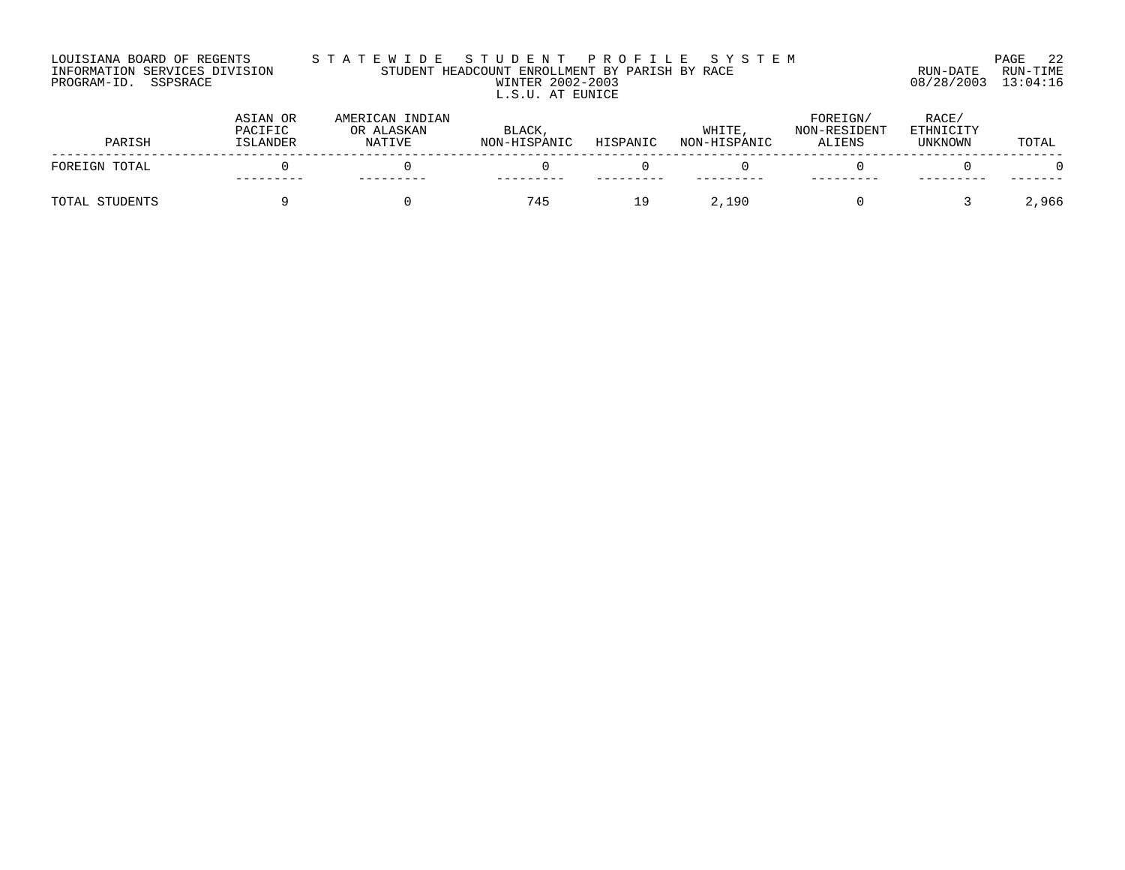### LOUISIANA BOARD OF REGENTS S T A T E W I D E S T U D E N T P R O F I L E S Y S T E M PAGE 22 INFORMATION SERVICES DIVISION STUDENT HEADCOUNT ENROLLMENT BY PARISH BY RACE RUN-DATE RUN-TIME PROGRAM-ID. SSPSRACE WINTER 2002-2003 08/28/2003 13:04:16 L.S.U. AT EUNICE

| PARISH         | ASIAN OR<br>PACIFIC<br>ISLANDER | AMERICAN INDIAN<br>OR ALASKAN<br>NATIVE | BLACK,<br>NON-HISPANIC | HISPANIC | WHITE<br>NON-HISPANIC | FOREIGN/<br>NON-RESIDENT<br>ALIENS | RACE/<br>ETHNICITY<br>UNKNOWN | TOTAL |
|----------------|---------------------------------|-----------------------------------------|------------------------|----------|-----------------------|------------------------------------|-------------------------------|-------|
| FOREIGN TOTAL  |                                 |                                         |                        |          |                       |                                    |                               |       |
|                |                                 |                                         |                        |          |                       |                                    |                               |       |
| TOTAL STUDENTS |                                 |                                         | 745                    | 19       | 2,190                 |                                    |                               | 2,966 |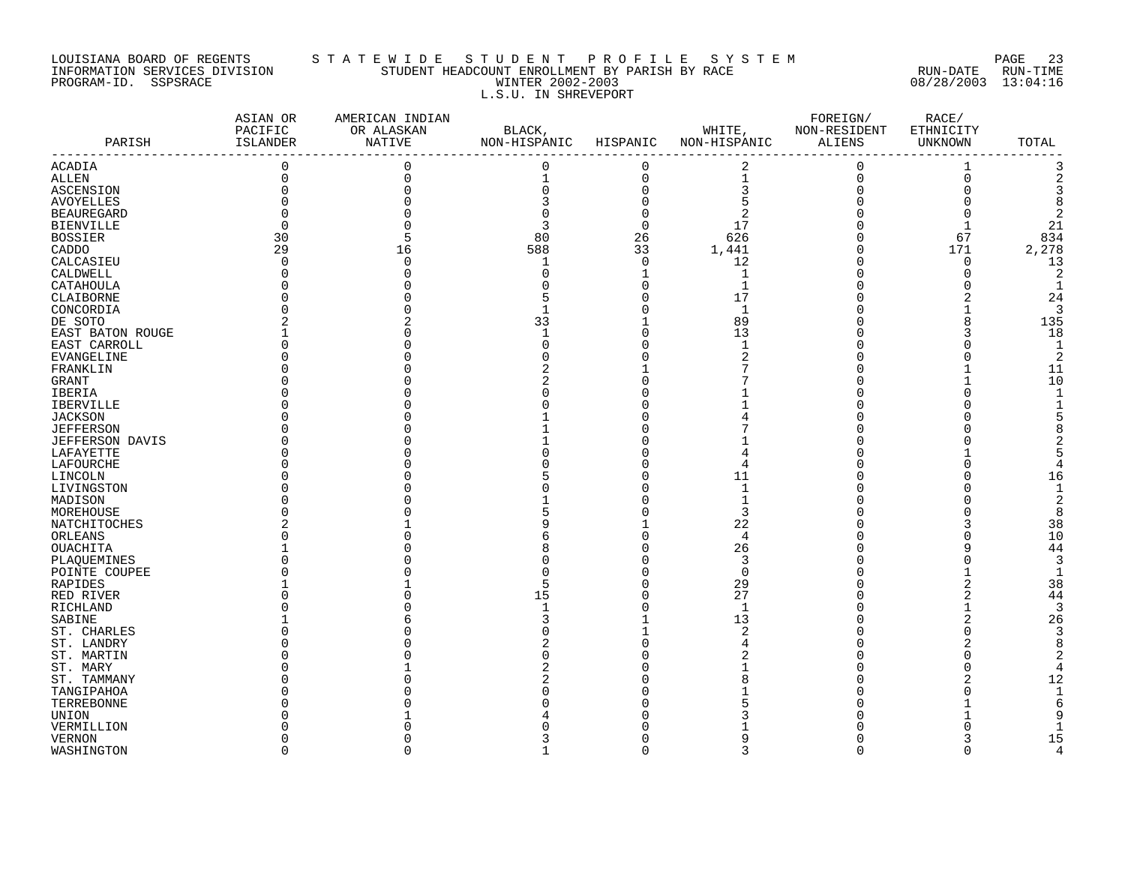# LOUISIANA BOARD OF REGENTS STATEWIDE STUDENT PROFILE SYSTEM NAGE 23 INFORMATION SERVICES DIVISION STUDENT HEADCOUNT ENROLLMENT BY PARISH BY RACE RUN-DATE RUN-TIME PROGRAM-ID. SSPSRACE WINTER 2002-2003 08/28/2003 13:04:16 L.S.U. IN SHREVEPORT

| PARISH                 | ASIAN OR<br>PACIFIC<br>ISLANDER<br>--------------------- | AMERICAN INDIAN<br>OR ALASKAN<br>NATIVE | BLACK,<br>NON-HISPANIC HISPANIC |             | WHITE, NON-RESIDENT<br>NON-HISPANIC ALIENS   | FOREIGN/    | RACE/<br>ETHNICITY<br>UNKNOWN | TOTAL          |
|------------------------|----------------------------------------------------------|-----------------------------------------|---------------------------------|-------------|----------------------------------------------|-------------|-------------------------------|----------------|
| ACADIA                 | $\overline{0}$                                           | $\mathbf 0$                             | 0                               | $\mathbf 0$ | 2                                            | $\mathbf 0$ | 1                             |                |
| <b>ALLEN</b>           | 0                                                        | $\Omega$                                | 1                               | $\mathbf 0$ |                                              | $\mathbf 0$ | $\mathbf 0$                   |                |
| <b>ASCENSION</b>       | $\mathbf 0$                                              |                                         | 0                               | $\mathbf 0$ | $\begin{array}{c}\n1 \\ 3 \\ 5\n\end{array}$ | $\mathbf 0$ | $\Omega$                      |                |
| <b>AVOYELLES</b>       |                                                          |                                         |                                 | $\mathbf 0$ |                                              |             |                               | 8              |
| <b>BEAUREGARD</b>      |                                                          |                                         |                                 | $\mathbf 0$ | $\sqrt{2}$                                   |             | 0                             | 2              |
| <b>BIENVILLE</b>       |                                                          |                                         |                                 | $\mathbf 0$ | 17                                           |             | $\mathbf{1}$                  | 21             |
| <b>BOSSIER</b>         | 30                                                       |                                         | 80                              | 26          | 626                                          | $\Omega$    | 67                            | 834            |
| CADDO                  | 29                                                       | 16                                      | 588                             | 33          | 1,441                                        | $\mathbf 0$ | 171                           | 2,278          |
| CALCASIEU              | $\Omega$                                                 |                                         | $\mathbf{1}$                    | $\mathbf 0$ | 12                                           | $\mathbf 0$ | $\mathbf 0$                   | 13             |
| CALDWELL               |                                                          |                                         | 0                               |             | $\mathbf{1}$                                 | $\Omega$    | $\mathbf 0$                   | 2              |
| CATAHOULA              |                                                          |                                         |                                 | $\Omega$    | $\mathbf{1}$                                 |             | $\Omega$                      |                |
| CLAIBORNE              |                                                          |                                         |                                 |             | 17                                           |             |                               | 24             |
| CONCORDIA              |                                                          |                                         |                                 |             | $\mathbf{1}$                                 |             |                               | 3              |
| DE SOTO                |                                                          |                                         | 33                              |             | 89                                           | $\Omega$    | 8                             | 135            |
| EAST BATON ROUGE       |                                                          |                                         |                                 |             | 13                                           |             |                               | 18             |
| EAST CARROLL           |                                                          |                                         |                                 |             | $\mathbf{1}$                                 |             | $\Omega$                      | $\overline{1}$ |
| <b>EVANGELINE</b>      |                                                          |                                         |                                 |             |                                              |             | U                             | 2              |
| FRANKLIN               |                                                          |                                         |                                 |             |                                              |             |                               | 11             |
| GRANT                  |                                                          |                                         |                                 |             |                                              |             |                               | 10             |
| IBERIA                 |                                                          |                                         |                                 |             |                                              |             | O                             |                |
| <b>IBERVILLE</b>       |                                                          |                                         |                                 |             |                                              |             |                               |                |
| <b>JACKSON</b>         |                                                          |                                         |                                 |             |                                              |             |                               |                |
| <b>JEFFERSON</b>       |                                                          |                                         |                                 |             |                                              |             |                               |                |
| <b>JEFFERSON DAVIS</b> |                                                          |                                         |                                 |             |                                              |             |                               |                |
| LAFAYETTE              |                                                          |                                         |                                 |             |                                              |             |                               |                |
| LAFOURCHE              |                                                          |                                         |                                 |             | 4                                            |             | U                             |                |
| LINCOLN                |                                                          |                                         |                                 |             | 11                                           |             | $\Omega$                      | 16             |
| LIVINGSTON             |                                                          |                                         |                                 |             | $\mathbf 1$                                  |             |                               |                |
| MADISON                |                                                          |                                         |                                 |             | $\mathbf{1}$                                 |             |                               |                |
| MOREHOUSE              |                                                          |                                         |                                 |             | 3                                            |             |                               | 8              |
| NATCHITOCHES           |                                                          |                                         |                                 |             | 22                                           |             |                               | 38             |
| ORLEANS                |                                                          |                                         |                                 |             | $\overline{4}$                               |             | O                             | 10             |
| <b>OUACHITA</b>        |                                                          |                                         |                                 |             | 26                                           |             | 9                             | 44             |
| PLAQUEMINES            |                                                          |                                         |                                 |             | 3                                            |             |                               | 3              |
| POINTE COUPEE          |                                                          |                                         |                                 |             | $\mathbf 0$                                  |             |                               | $\mathbf{1}$   |
| RAPIDES                |                                                          |                                         |                                 |             | 29                                           |             | 2                             | 38             |
| RED RIVER              |                                                          |                                         | 15                              |             | 27                                           |             | 2                             | 44             |
| RICHLAND               |                                                          |                                         |                                 |             | $\mathbf{1}$                                 |             |                               | 3              |
| SABINE                 |                                                          |                                         |                                 |             | 13                                           |             |                               | 26             |
| ST. CHARLES            |                                                          |                                         |                                 |             | 2                                            |             | $\Omega$                      | 3              |
| ST. LANDRY             |                                                          |                                         |                                 |             |                                              |             |                               | 8              |
| ST. MARTIN             |                                                          |                                         |                                 |             |                                              |             |                               |                |
| ST. MARY               |                                                          |                                         |                                 |             |                                              |             |                               |                |
| ST. TAMMANY            |                                                          |                                         |                                 |             |                                              |             |                               | 12             |
| TANGIPAHOA             |                                                          |                                         |                                 |             |                                              |             |                               |                |
| TERREBONNE             |                                                          |                                         |                                 |             |                                              |             |                               |                |
| UNION                  |                                                          |                                         |                                 |             |                                              |             |                               |                |
| VERMILLION             |                                                          |                                         |                                 |             |                                              |             |                               |                |
| <b>VERNON</b>          |                                                          |                                         |                                 |             |                                              |             |                               | 15             |
| WASHINGTON             | $\Omega$                                                 | ∩                                       | 1                               | $\Omega$    | 3                                            | $\Omega$    | $\Omega$                      | 4              |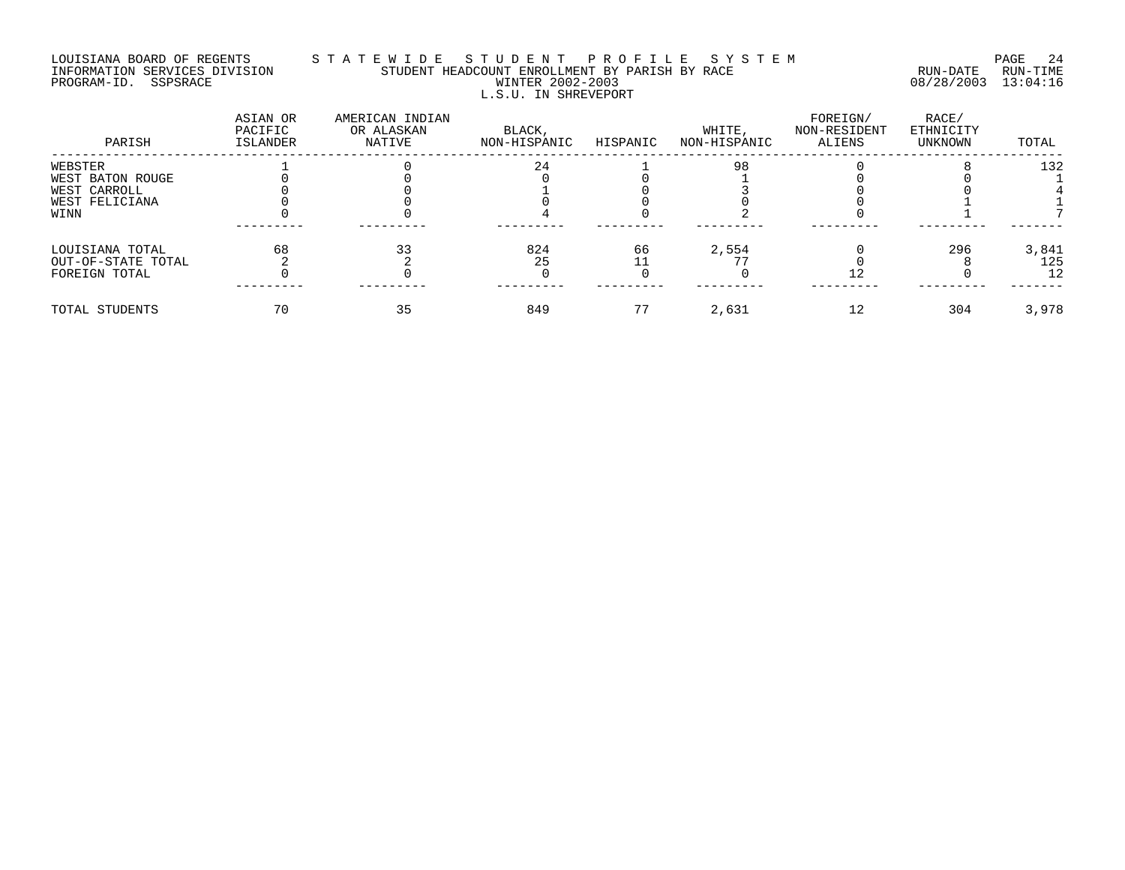#### LOUISIANA BOARD OF REGENTS S T A T E W I D E S T U D E N T P R O F I L E S Y S T E M PAGE 24 INFORMATION SERVICES DIVISION STUDENT HEADCOUNT ENROLLMENT BY PARISH BY RACE RUN-DATE RUN-TIME PROGRAM-ID. SSPSRACE WINTER 2002-2003 08/28/2003 13:04:16 L.S.U. IN SHREVEPORT

| PARISH             | ASIAN OR<br>PACIFIC<br>ISLANDER | AMERICAN INDIAN<br>OR ALASKAN<br>NATIVE | BLACK,<br>NON-HISPANIC | HISPANIC | WHITE,<br>NON-HISPANIC | FOREIGN/<br>NON-RESIDENT<br>ALIENS | RACE/<br>ETHNICITY<br>UNKNOWN | TOTAL |
|--------------------|---------------------------------|-----------------------------------------|------------------------|----------|------------------------|------------------------------------|-------------------------------|-------|
| WEBSTER            |                                 |                                         | 24                     |          | 98                     |                                    |                               | 132   |
| WEST BATON ROUGE   |                                 |                                         |                        |          |                        |                                    |                               |       |
| WEST CARROLL       |                                 |                                         |                        |          |                        |                                    |                               |       |
| WEST FELICIANA     |                                 |                                         |                        |          |                        |                                    |                               |       |
| WINN               |                                 |                                         |                        |          |                        |                                    |                               |       |
| LOUISIANA TOTAL    | 68                              |                                         | 824                    | 66       | 2,554                  |                                    | 296                           | 3,841 |
| OUT-OF-STATE TOTAL |                                 |                                         | 25                     |          |                        |                                    |                               | 125   |
| FOREIGN TOTAL      |                                 |                                         |                        |          |                        | ΙZ.                                |                               | 12    |
| TOTAL STUDENTS     | 70                              | 35                                      | 849                    |          | 2,631                  | 12                                 | 304                           | 3,978 |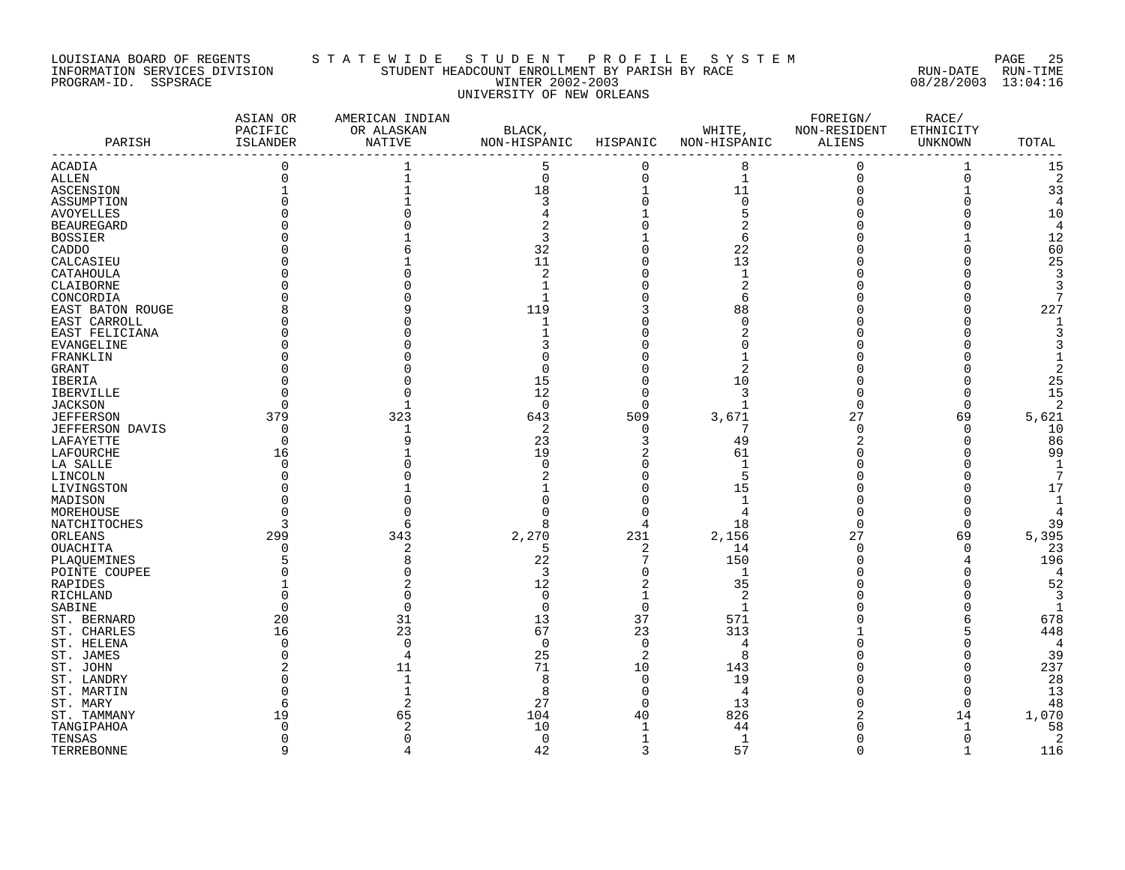#### LOUISIANA BOARD OF REGENTS S T A T E W I D E S T U D E N T P R O F I L E S Y S T E M PAGE 25 INFORMATION SERVICES DIVISION STUDENT HEADCOUNT ENROLLMENT BY PARISH BY RACE RUN-DATE RUN-TIME PROGRAM-ID. SSPSRACE WINTER 2002-2003 08/28/2003 13:04:16 UNIVERSITY OF NEW ORLEANS

| 0<br>5<br>8<br>$\mathbf{1}$<br>0<br>15<br>$\Omega$<br>1<br>$\mathbf 0$<br>$\mathbf{1}$<br>$\Omega$<br>$\Omega$<br>$\Omega$<br>$\overline{2}$<br>11<br>18<br>33<br>3<br>$\Omega$<br>5<br>10<br>4<br>12<br>BOSSIER<br>3<br>6<br>60<br>32<br>22<br>11<br>13<br>25<br>CALCASIEU<br>CATAHOULA<br>2<br>$\mathbf{1}$<br>3<br>2<br>CLAIBORNE<br>$\mathbf{1}$<br>ς<br>$\mathbf{1}$<br>CONCORDIA<br>6<br>227<br>119<br>88<br>EAST BATON ROUGE<br>EAST CARROLL<br>$\mathbf{1}$<br>$\Omega$<br>EAST FELICIANA<br>EVANGELINE<br>FRANKLIN<br>U<br>GRANT<br>15<br>10<br>25<br>IBERIA<br>12<br>3<br>15<br>IBERVILLE<br><b>JACKSON</b><br>0<br>$\Omega$<br>1<br>$\Omega$<br>2<br>O<br>C<br>509<br>5,621<br>379<br>323<br>643<br>27<br>69<br>3,671<br><b>JEFFERSON</b><br>2<br>10<br>JEFFERSON DAVIS<br>$\Omega$<br>$\sqrt{ }$<br>$\Omega$<br>O<br>-1<br>86<br>23<br>49<br>LAFAYETTE<br>∩<br>3<br>99<br>19<br>61<br>LAFOURCHE<br>16<br>$\overline{1}$<br>LA SALLE<br>$\Omega$<br>∩<br>5<br>LINCOLN<br>15<br>LIVINGSTON<br>17<br>$\mathbf{1}$<br>MADISON<br>MOREHOUSE<br>NATCHITOCHES<br>18<br>$\Omega$<br>39<br>8<br>C<br>231<br>5,395<br>299<br>343<br>2,270<br>2,156<br>27<br>69<br>ORLEANS<br><b>OUACHITA</b><br>23<br>5<br>2<br>14<br>$\sqrt{ }$<br>$\Omega$<br>O<br>22<br>196<br>150<br>PLAQUEMINES<br>POINTE COUPEE<br>3<br>$\mathbf{1}$<br>52<br>12<br>35<br>RAPIDES<br>2<br>RICHLAND<br>0<br>SABINE<br>$\Omega$<br>$\Omega$<br>-1<br>O<br>37<br>ST. BERNARD<br>31<br>13<br>571<br>678<br>20<br>23<br>448<br>23<br>67<br>313<br>ST. CHARLES<br>16<br>$\Omega$<br>$\Omega$<br>ST. HELENA<br>∩<br>$\cap$<br>4<br>4<br>39<br>25<br>2<br>8<br>ST. JAMES<br>71<br>10<br>237<br>143<br>ST. JOHN<br>11<br>19<br>28<br>ST. LANDRY<br>$\mathbf 1$<br>8<br>$\Omega$<br>13<br>ST. MARTIN<br>8<br>4<br>$\Omega$<br>27<br>13<br>48<br>ST. MARY<br>$\Omega$<br>$\Omega$<br>1,070<br>40<br>826<br>ST. TAMMANY<br>19<br>104<br>14<br>65<br>58<br>10<br>TANGIPAHOA<br>44<br>-1<br>TENSAS<br>$\mathbf 0$<br>1<br>2<br>$\Omega$<br>∩<br>42<br>57<br>$\alpha$<br>3<br>$\cap$<br>116<br>$\mathbf{1}$ | PARISH           | ASIAN OR<br>PACIFIC<br>ISLANDER | AMERICAN INDIAN<br>OR ALASKAN<br>NATIVE | BLACK,<br>NON-HISPANIC | HISPANIC | WHITE,<br>NON-HISPANIC | FOREIGN/<br>NON-RESIDENT<br>ALIENS | RACE/<br>ETHNICITY<br>UNKNOWN | TOTAL |
|----------------------------------------------------------------------------------------------------------------------------------------------------------------------------------------------------------------------------------------------------------------------------------------------------------------------------------------------------------------------------------------------------------------------------------------------------------------------------------------------------------------------------------------------------------------------------------------------------------------------------------------------------------------------------------------------------------------------------------------------------------------------------------------------------------------------------------------------------------------------------------------------------------------------------------------------------------------------------------------------------------------------------------------------------------------------------------------------------------------------------------------------------------------------------------------------------------------------------------------------------------------------------------------------------------------------------------------------------------------------------------------------------------------------------------------------------------------------------------------------------------------------------------------------------------------------------------------------------------------------------------------------------------------------------------------------------------------------------------------------------------------------------------------------------------------------------------------------------------------------------------------------------------------------------------------------------------------------------------------------------------------------------------------------------------------------|------------------|---------------------------------|-----------------------------------------|------------------------|----------|------------------------|------------------------------------|-------------------------------|-------|
|                                                                                                                                                                                                                                                                                                                                                                                                                                                                                                                                                                                                                                                                                                                                                                                                                                                                                                                                                                                                                                                                                                                                                                                                                                                                                                                                                                                                                                                                                                                                                                                                                                                                                                                                                                                                                                                                                                                                                                                                                                                                      | <b>ACADIA</b>    |                                 |                                         |                        |          |                        |                                    |                               |       |
|                                                                                                                                                                                                                                                                                                                                                                                                                                                                                                                                                                                                                                                                                                                                                                                                                                                                                                                                                                                                                                                                                                                                                                                                                                                                                                                                                                                                                                                                                                                                                                                                                                                                                                                                                                                                                                                                                                                                                                                                                                                                      | ALLEN            |                                 |                                         |                        |          |                        |                                    |                               |       |
|                                                                                                                                                                                                                                                                                                                                                                                                                                                                                                                                                                                                                                                                                                                                                                                                                                                                                                                                                                                                                                                                                                                                                                                                                                                                                                                                                                                                                                                                                                                                                                                                                                                                                                                                                                                                                                                                                                                                                                                                                                                                      | <b>ASCENSION</b> |                                 |                                         |                        |          |                        |                                    |                               |       |
|                                                                                                                                                                                                                                                                                                                                                                                                                                                                                                                                                                                                                                                                                                                                                                                                                                                                                                                                                                                                                                                                                                                                                                                                                                                                                                                                                                                                                                                                                                                                                                                                                                                                                                                                                                                                                                                                                                                                                                                                                                                                      | ASSUMPTION       |                                 |                                         |                        |          |                        |                                    |                               |       |
|                                                                                                                                                                                                                                                                                                                                                                                                                                                                                                                                                                                                                                                                                                                                                                                                                                                                                                                                                                                                                                                                                                                                                                                                                                                                                                                                                                                                                                                                                                                                                                                                                                                                                                                                                                                                                                                                                                                                                                                                                                                                      | <b>AVOYELLES</b> |                                 |                                         |                        |          |                        |                                    |                               |       |
|                                                                                                                                                                                                                                                                                                                                                                                                                                                                                                                                                                                                                                                                                                                                                                                                                                                                                                                                                                                                                                                                                                                                                                                                                                                                                                                                                                                                                                                                                                                                                                                                                                                                                                                                                                                                                                                                                                                                                                                                                                                                      | BEAUREGARD       |                                 |                                         |                        |          |                        |                                    |                               |       |
|                                                                                                                                                                                                                                                                                                                                                                                                                                                                                                                                                                                                                                                                                                                                                                                                                                                                                                                                                                                                                                                                                                                                                                                                                                                                                                                                                                                                                                                                                                                                                                                                                                                                                                                                                                                                                                                                                                                                                                                                                                                                      |                  |                                 |                                         |                        |          |                        |                                    |                               |       |
|                                                                                                                                                                                                                                                                                                                                                                                                                                                                                                                                                                                                                                                                                                                                                                                                                                                                                                                                                                                                                                                                                                                                                                                                                                                                                                                                                                                                                                                                                                                                                                                                                                                                                                                                                                                                                                                                                                                                                                                                                                                                      | CADDO            |                                 |                                         |                        |          |                        |                                    |                               |       |
|                                                                                                                                                                                                                                                                                                                                                                                                                                                                                                                                                                                                                                                                                                                                                                                                                                                                                                                                                                                                                                                                                                                                                                                                                                                                                                                                                                                                                                                                                                                                                                                                                                                                                                                                                                                                                                                                                                                                                                                                                                                                      |                  |                                 |                                         |                        |          |                        |                                    |                               |       |
|                                                                                                                                                                                                                                                                                                                                                                                                                                                                                                                                                                                                                                                                                                                                                                                                                                                                                                                                                                                                                                                                                                                                                                                                                                                                                                                                                                                                                                                                                                                                                                                                                                                                                                                                                                                                                                                                                                                                                                                                                                                                      |                  |                                 |                                         |                        |          |                        |                                    |                               |       |
|                                                                                                                                                                                                                                                                                                                                                                                                                                                                                                                                                                                                                                                                                                                                                                                                                                                                                                                                                                                                                                                                                                                                                                                                                                                                                                                                                                                                                                                                                                                                                                                                                                                                                                                                                                                                                                                                                                                                                                                                                                                                      |                  |                                 |                                         |                        |          |                        |                                    |                               |       |
|                                                                                                                                                                                                                                                                                                                                                                                                                                                                                                                                                                                                                                                                                                                                                                                                                                                                                                                                                                                                                                                                                                                                                                                                                                                                                                                                                                                                                                                                                                                                                                                                                                                                                                                                                                                                                                                                                                                                                                                                                                                                      |                  |                                 |                                         |                        |          |                        |                                    |                               |       |
|                                                                                                                                                                                                                                                                                                                                                                                                                                                                                                                                                                                                                                                                                                                                                                                                                                                                                                                                                                                                                                                                                                                                                                                                                                                                                                                                                                                                                                                                                                                                                                                                                                                                                                                                                                                                                                                                                                                                                                                                                                                                      |                  |                                 |                                         |                        |          |                        |                                    |                               |       |
|                                                                                                                                                                                                                                                                                                                                                                                                                                                                                                                                                                                                                                                                                                                                                                                                                                                                                                                                                                                                                                                                                                                                                                                                                                                                                                                                                                                                                                                                                                                                                                                                                                                                                                                                                                                                                                                                                                                                                                                                                                                                      |                  |                                 |                                         |                        |          |                        |                                    |                               |       |
|                                                                                                                                                                                                                                                                                                                                                                                                                                                                                                                                                                                                                                                                                                                                                                                                                                                                                                                                                                                                                                                                                                                                                                                                                                                                                                                                                                                                                                                                                                                                                                                                                                                                                                                                                                                                                                                                                                                                                                                                                                                                      |                  |                                 |                                         |                        |          |                        |                                    |                               |       |
|                                                                                                                                                                                                                                                                                                                                                                                                                                                                                                                                                                                                                                                                                                                                                                                                                                                                                                                                                                                                                                                                                                                                                                                                                                                                                                                                                                                                                                                                                                                                                                                                                                                                                                                                                                                                                                                                                                                                                                                                                                                                      |                  |                                 |                                         |                        |          |                        |                                    |                               |       |
|                                                                                                                                                                                                                                                                                                                                                                                                                                                                                                                                                                                                                                                                                                                                                                                                                                                                                                                                                                                                                                                                                                                                                                                                                                                                                                                                                                                                                                                                                                                                                                                                                                                                                                                                                                                                                                                                                                                                                                                                                                                                      |                  |                                 |                                         |                        |          |                        |                                    |                               |       |
|                                                                                                                                                                                                                                                                                                                                                                                                                                                                                                                                                                                                                                                                                                                                                                                                                                                                                                                                                                                                                                                                                                                                                                                                                                                                                                                                                                                                                                                                                                                                                                                                                                                                                                                                                                                                                                                                                                                                                                                                                                                                      |                  |                                 |                                         |                        |          |                        |                                    |                               |       |
|                                                                                                                                                                                                                                                                                                                                                                                                                                                                                                                                                                                                                                                                                                                                                                                                                                                                                                                                                                                                                                                                                                                                                                                                                                                                                                                                                                                                                                                                                                                                                                                                                                                                                                                                                                                                                                                                                                                                                                                                                                                                      |                  |                                 |                                         |                        |          |                        |                                    |                               |       |
|                                                                                                                                                                                                                                                                                                                                                                                                                                                                                                                                                                                                                                                                                                                                                                                                                                                                                                                                                                                                                                                                                                                                                                                                                                                                                                                                                                                                                                                                                                                                                                                                                                                                                                                                                                                                                                                                                                                                                                                                                                                                      |                  |                                 |                                         |                        |          |                        |                                    |                               |       |
|                                                                                                                                                                                                                                                                                                                                                                                                                                                                                                                                                                                                                                                                                                                                                                                                                                                                                                                                                                                                                                                                                                                                                                                                                                                                                                                                                                                                                                                                                                                                                                                                                                                                                                                                                                                                                                                                                                                                                                                                                                                                      |                  |                                 |                                         |                        |          |                        |                                    |                               |       |
|                                                                                                                                                                                                                                                                                                                                                                                                                                                                                                                                                                                                                                                                                                                                                                                                                                                                                                                                                                                                                                                                                                                                                                                                                                                                                                                                                                                                                                                                                                                                                                                                                                                                                                                                                                                                                                                                                                                                                                                                                                                                      |                  |                                 |                                         |                        |          |                        |                                    |                               |       |
|                                                                                                                                                                                                                                                                                                                                                                                                                                                                                                                                                                                                                                                                                                                                                                                                                                                                                                                                                                                                                                                                                                                                                                                                                                                                                                                                                                                                                                                                                                                                                                                                                                                                                                                                                                                                                                                                                                                                                                                                                                                                      |                  |                                 |                                         |                        |          |                        |                                    |                               |       |
|                                                                                                                                                                                                                                                                                                                                                                                                                                                                                                                                                                                                                                                                                                                                                                                                                                                                                                                                                                                                                                                                                                                                                                                                                                                                                                                                                                                                                                                                                                                                                                                                                                                                                                                                                                                                                                                                                                                                                                                                                                                                      |                  |                                 |                                         |                        |          |                        |                                    |                               |       |
|                                                                                                                                                                                                                                                                                                                                                                                                                                                                                                                                                                                                                                                                                                                                                                                                                                                                                                                                                                                                                                                                                                                                                                                                                                                                                                                                                                                                                                                                                                                                                                                                                                                                                                                                                                                                                                                                                                                                                                                                                                                                      |                  |                                 |                                         |                        |          |                        |                                    |                               |       |
|                                                                                                                                                                                                                                                                                                                                                                                                                                                                                                                                                                                                                                                                                                                                                                                                                                                                                                                                                                                                                                                                                                                                                                                                                                                                                                                                                                                                                                                                                                                                                                                                                                                                                                                                                                                                                                                                                                                                                                                                                                                                      |                  |                                 |                                         |                        |          |                        |                                    |                               |       |
|                                                                                                                                                                                                                                                                                                                                                                                                                                                                                                                                                                                                                                                                                                                                                                                                                                                                                                                                                                                                                                                                                                                                                                                                                                                                                                                                                                                                                                                                                                                                                                                                                                                                                                                                                                                                                                                                                                                                                                                                                                                                      |                  |                                 |                                         |                        |          |                        |                                    |                               |       |
|                                                                                                                                                                                                                                                                                                                                                                                                                                                                                                                                                                                                                                                                                                                                                                                                                                                                                                                                                                                                                                                                                                                                                                                                                                                                                                                                                                                                                                                                                                                                                                                                                                                                                                                                                                                                                                                                                                                                                                                                                                                                      |                  |                                 |                                         |                        |          |                        |                                    |                               |       |
|                                                                                                                                                                                                                                                                                                                                                                                                                                                                                                                                                                                                                                                                                                                                                                                                                                                                                                                                                                                                                                                                                                                                                                                                                                                                                                                                                                                                                                                                                                                                                                                                                                                                                                                                                                                                                                                                                                                                                                                                                                                                      |                  |                                 |                                         |                        |          |                        |                                    |                               |       |
|                                                                                                                                                                                                                                                                                                                                                                                                                                                                                                                                                                                                                                                                                                                                                                                                                                                                                                                                                                                                                                                                                                                                                                                                                                                                                                                                                                                                                                                                                                                                                                                                                                                                                                                                                                                                                                                                                                                                                                                                                                                                      |                  |                                 |                                         |                        |          |                        |                                    |                               |       |
|                                                                                                                                                                                                                                                                                                                                                                                                                                                                                                                                                                                                                                                                                                                                                                                                                                                                                                                                                                                                                                                                                                                                                                                                                                                                                                                                                                                                                                                                                                                                                                                                                                                                                                                                                                                                                                                                                                                                                                                                                                                                      |                  |                                 |                                         |                        |          |                        |                                    |                               |       |
|                                                                                                                                                                                                                                                                                                                                                                                                                                                                                                                                                                                                                                                                                                                                                                                                                                                                                                                                                                                                                                                                                                                                                                                                                                                                                                                                                                                                                                                                                                                                                                                                                                                                                                                                                                                                                                                                                                                                                                                                                                                                      |                  |                                 |                                         |                        |          |                        |                                    |                               |       |
|                                                                                                                                                                                                                                                                                                                                                                                                                                                                                                                                                                                                                                                                                                                                                                                                                                                                                                                                                                                                                                                                                                                                                                                                                                                                                                                                                                                                                                                                                                                                                                                                                                                                                                                                                                                                                                                                                                                                                                                                                                                                      |                  |                                 |                                         |                        |          |                        |                                    |                               |       |
|                                                                                                                                                                                                                                                                                                                                                                                                                                                                                                                                                                                                                                                                                                                                                                                                                                                                                                                                                                                                                                                                                                                                                                                                                                                                                                                                                                                                                                                                                                                                                                                                                                                                                                                                                                                                                                                                                                                                                                                                                                                                      |                  |                                 |                                         |                        |          |                        |                                    |                               |       |
|                                                                                                                                                                                                                                                                                                                                                                                                                                                                                                                                                                                                                                                                                                                                                                                                                                                                                                                                                                                                                                                                                                                                                                                                                                                                                                                                                                                                                                                                                                                                                                                                                                                                                                                                                                                                                                                                                                                                                                                                                                                                      |                  |                                 |                                         |                        |          |                        |                                    |                               |       |
|                                                                                                                                                                                                                                                                                                                                                                                                                                                                                                                                                                                                                                                                                                                                                                                                                                                                                                                                                                                                                                                                                                                                                                                                                                                                                                                                                                                                                                                                                                                                                                                                                                                                                                                                                                                                                                                                                                                                                                                                                                                                      |                  |                                 |                                         |                        |          |                        |                                    |                               |       |
|                                                                                                                                                                                                                                                                                                                                                                                                                                                                                                                                                                                                                                                                                                                                                                                                                                                                                                                                                                                                                                                                                                                                                                                                                                                                                                                                                                                                                                                                                                                                                                                                                                                                                                                                                                                                                                                                                                                                                                                                                                                                      |                  |                                 |                                         |                        |          |                        |                                    |                               |       |
|                                                                                                                                                                                                                                                                                                                                                                                                                                                                                                                                                                                                                                                                                                                                                                                                                                                                                                                                                                                                                                                                                                                                                                                                                                                                                                                                                                                                                                                                                                                                                                                                                                                                                                                                                                                                                                                                                                                                                                                                                                                                      |                  |                                 |                                         |                        |          |                        |                                    |                               |       |
|                                                                                                                                                                                                                                                                                                                                                                                                                                                                                                                                                                                                                                                                                                                                                                                                                                                                                                                                                                                                                                                                                                                                                                                                                                                                                                                                                                                                                                                                                                                                                                                                                                                                                                                                                                                                                                                                                                                                                                                                                                                                      |                  |                                 |                                         |                        |          |                        |                                    |                               |       |
|                                                                                                                                                                                                                                                                                                                                                                                                                                                                                                                                                                                                                                                                                                                                                                                                                                                                                                                                                                                                                                                                                                                                                                                                                                                                                                                                                                                                                                                                                                                                                                                                                                                                                                                                                                                                                                                                                                                                                                                                                                                                      |                  |                                 |                                         |                        |          |                        |                                    |                               |       |
|                                                                                                                                                                                                                                                                                                                                                                                                                                                                                                                                                                                                                                                                                                                                                                                                                                                                                                                                                                                                                                                                                                                                                                                                                                                                                                                                                                                                                                                                                                                                                                                                                                                                                                                                                                                                                                                                                                                                                                                                                                                                      |                  |                                 |                                         |                        |          |                        |                                    |                               |       |
|                                                                                                                                                                                                                                                                                                                                                                                                                                                                                                                                                                                                                                                                                                                                                                                                                                                                                                                                                                                                                                                                                                                                                                                                                                                                                                                                                                                                                                                                                                                                                                                                                                                                                                                                                                                                                                                                                                                                                                                                                                                                      |                  |                                 |                                         |                        |          |                        |                                    |                               |       |
|                                                                                                                                                                                                                                                                                                                                                                                                                                                                                                                                                                                                                                                                                                                                                                                                                                                                                                                                                                                                                                                                                                                                                                                                                                                                                                                                                                                                                                                                                                                                                                                                                                                                                                                                                                                                                                                                                                                                                                                                                                                                      |                  |                                 |                                         |                        |          |                        |                                    |                               |       |
|                                                                                                                                                                                                                                                                                                                                                                                                                                                                                                                                                                                                                                                                                                                                                                                                                                                                                                                                                                                                                                                                                                                                                                                                                                                                                                                                                                                                                                                                                                                                                                                                                                                                                                                                                                                                                                                                                                                                                                                                                                                                      |                  |                                 |                                         |                        |          |                        |                                    |                               |       |
|                                                                                                                                                                                                                                                                                                                                                                                                                                                                                                                                                                                                                                                                                                                                                                                                                                                                                                                                                                                                                                                                                                                                                                                                                                                                                                                                                                                                                                                                                                                                                                                                                                                                                                                                                                                                                                                                                                                                                                                                                                                                      |                  |                                 |                                         |                        |          |                        |                                    |                               |       |
|                                                                                                                                                                                                                                                                                                                                                                                                                                                                                                                                                                                                                                                                                                                                                                                                                                                                                                                                                                                                                                                                                                                                                                                                                                                                                                                                                                                                                                                                                                                                                                                                                                                                                                                                                                                                                                                                                                                                                                                                                                                                      |                  |                                 |                                         |                        |          |                        |                                    |                               |       |
|                                                                                                                                                                                                                                                                                                                                                                                                                                                                                                                                                                                                                                                                                                                                                                                                                                                                                                                                                                                                                                                                                                                                                                                                                                                                                                                                                                                                                                                                                                                                                                                                                                                                                                                                                                                                                                                                                                                                                                                                                                                                      |                  |                                 |                                         |                        |          |                        |                                    |                               |       |
|                                                                                                                                                                                                                                                                                                                                                                                                                                                                                                                                                                                                                                                                                                                                                                                                                                                                                                                                                                                                                                                                                                                                                                                                                                                                                                                                                                                                                                                                                                                                                                                                                                                                                                                                                                                                                                                                                                                                                                                                                                                                      |                  |                                 |                                         |                        |          |                        |                                    |                               |       |
|                                                                                                                                                                                                                                                                                                                                                                                                                                                                                                                                                                                                                                                                                                                                                                                                                                                                                                                                                                                                                                                                                                                                                                                                                                                                                                                                                                                                                                                                                                                                                                                                                                                                                                                                                                                                                                                                                                                                                                                                                                                                      |                  |                                 |                                         |                        |          |                        |                                    |                               |       |
|                                                                                                                                                                                                                                                                                                                                                                                                                                                                                                                                                                                                                                                                                                                                                                                                                                                                                                                                                                                                                                                                                                                                                                                                                                                                                                                                                                                                                                                                                                                                                                                                                                                                                                                                                                                                                                                                                                                                                                                                                                                                      | TERREBONNE       |                                 |                                         |                        |          |                        |                                    |                               |       |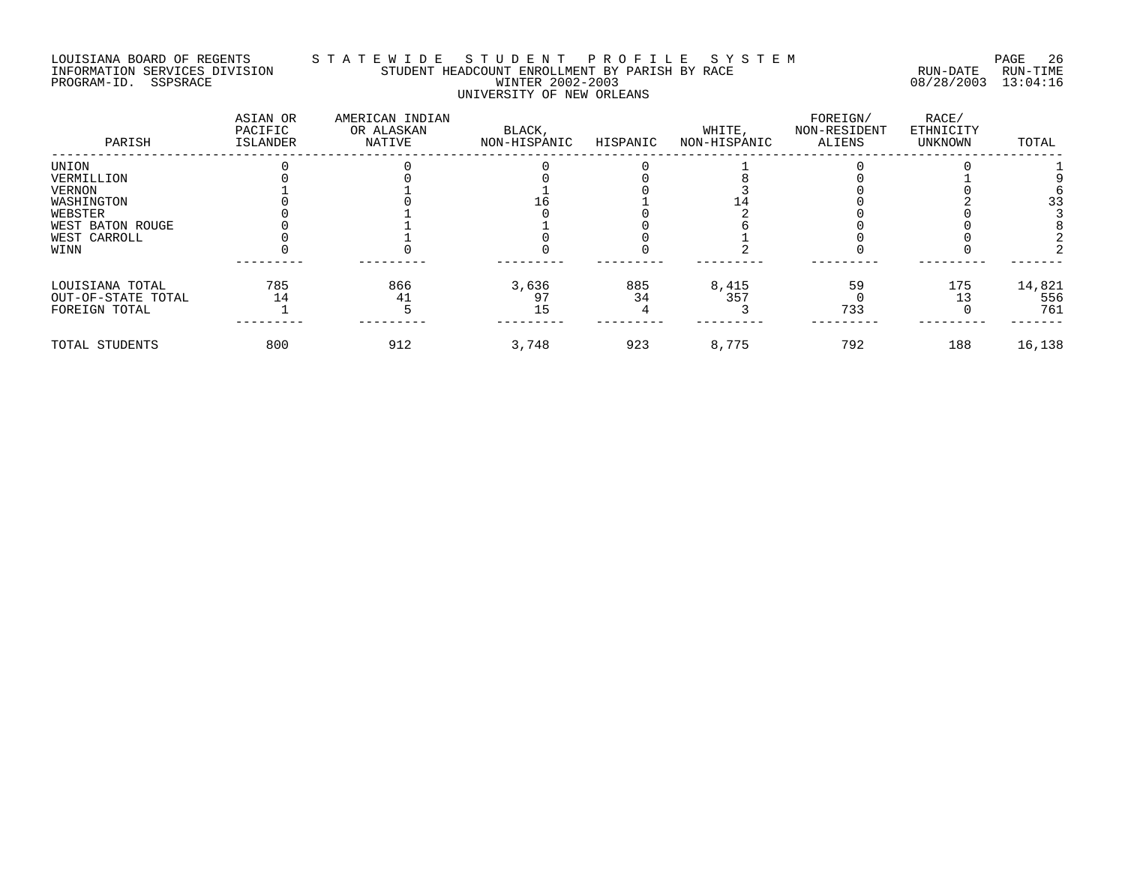#### LOUISIANA BOARD OF REGENTS S T A T E W I D E S T U D E N T P R O F I L E S Y S T E M PAGE 26 INFORMATION SERVICES DIVISION STUDENT HEADCOUNT ENROLLMENT BY PARISH BY RACE RUN-DATE RUN-TIME PROGRAM-ID. SSPSRACE WINTER 2002-2003 08/28/2003 13:04:16 UNIVERSITY OF NEW ORLEANS

| PARISH             | ASIAN OR<br>PACIFIC<br>ISLANDER | AMERICAN INDIAN<br>OR ALASKAN<br>NATIVE | BLACK,<br>NON-HISPANIC | HISPANIC | WHITE,<br>NON-HISPANIC | FOREIGN/<br>NON-RESIDENT<br>ALIENS | RACE/<br>ETHNICITY<br>UNKNOWN | TOTAL  |
|--------------------|---------------------------------|-----------------------------------------|------------------------|----------|------------------------|------------------------------------|-------------------------------|--------|
| UNION              |                                 |                                         |                        |          |                        |                                    |                               |        |
| VERMILLION         |                                 |                                         |                        |          |                        |                                    |                               |        |
| VERNON             |                                 |                                         |                        |          |                        |                                    |                               |        |
| WASHINGTON         |                                 |                                         |                        |          |                        |                                    |                               | 33     |
| WEBSTER            |                                 |                                         |                        |          |                        |                                    |                               |        |
| WEST BATON ROUGE   |                                 |                                         |                        |          |                        |                                    |                               |        |
| WEST CARROLL       |                                 |                                         |                        |          |                        |                                    |                               |        |
| WINN               |                                 |                                         |                        |          |                        |                                    |                               |        |
| LOUISIANA TOTAL    | 785                             | 866                                     | 3,636                  | 885      | 8,415                  | 59                                 | 175                           | 14,821 |
| OUT-OF-STATE TOTAL |                                 |                                         | 97                     |          | 357                    |                                    |                               | 556    |
| FOREIGN TOTAL      |                                 |                                         | 15                     |          |                        | 733                                |                               | 761    |
| TOTAL STUDENTS     | 800                             | 912                                     | 3,748                  | 923      | 8,775                  | 792                                | 188                           | 16,138 |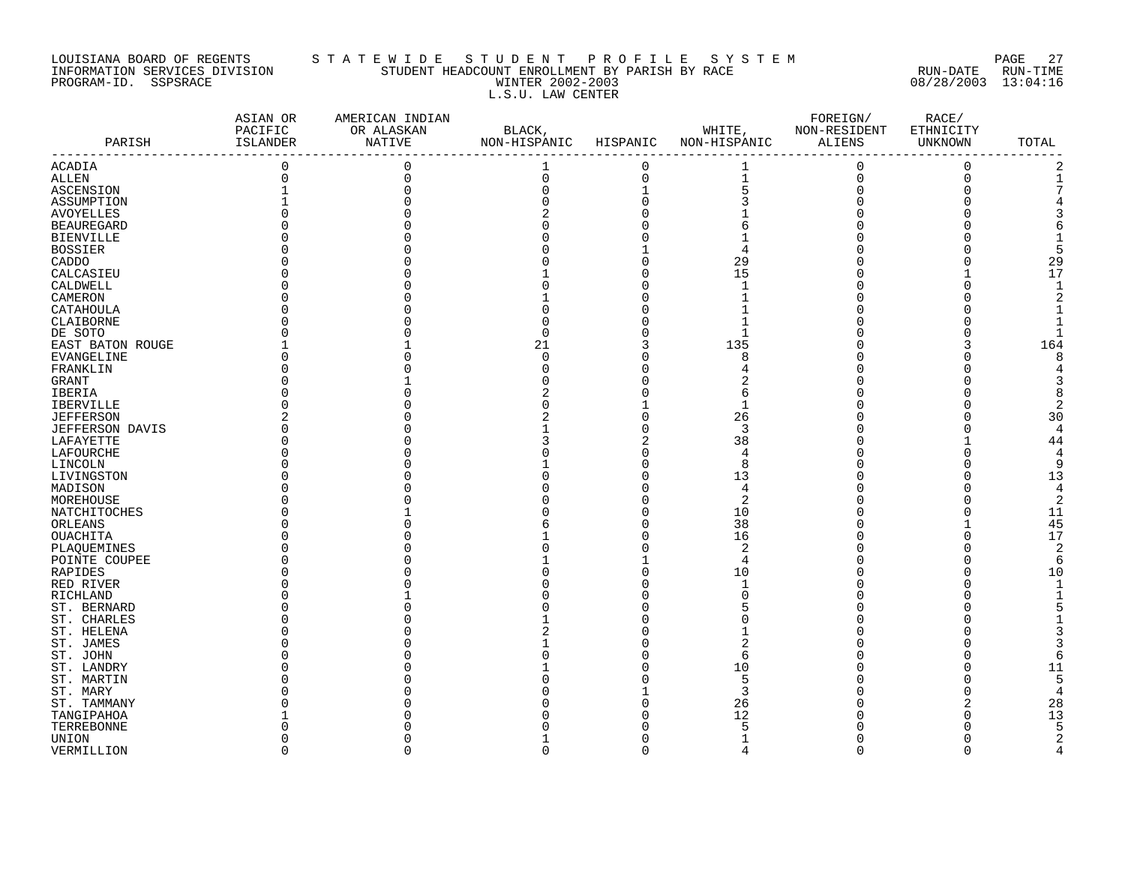#### LOUISIANA BOARD OF REGENTS S T A T E W I D E S T U D E N T P R O F I L E S Y S T E M PAGE 27 INFORMATION SERVICES DIVISION STUDENT HEADCOUNT ENROLLMENT BY PARISH BY RACE RUN-DATE RUN-TIME PROGRAM-ID. SSPSRACE WINTER 2002-2003 08/28/2003 13:04:16 L.S.U. LAW CENTER

| PARISH                 | ASIAN OR<br>PACIFIC<br>ISLANDER | AMERICAN INDIAN<br>OR ALASKAN<br>NATIVE | BLACK,<br>NON-HISPANIC | HISPANIC    | WHITE,<br>NON-HISPANIC | FOREIGN/<br>NON-RESIDENT<br>ALIENS | RACE/<br>ETHNICITY<br>UNKNOWN | TOTAL          |
|------------------------|---------------------------------|-----------------------------------------|------------------------|-------------|------------------------|------------------------------------|-------------------------------|----------------|
| ACADIA                 | $\mathbf 0$                     | 0                                       | 1                      | $\mathbf 0$ | 1                      | $\mathbf{0}$                       | $\mathbf 0$                   |                |
| ALLEN                  | 0                               | $\Omega$                                | 0                      | $\mathbf 0$ | $\mathbf{1}$           | $\mathbf 0$                        | $\overline{0}$                |                |
| ASCENSION              |                                 |                                         | U                      | $\mathbf 1$ | 5                      |                                    | 0                             |                |
| ASSUMPTION             |                                 |                                         |                        | $\Omega$    |                        |                                    |                               |                |
| <b>AVOYELLES</b>       |                                 |                                         |                        |             |                        |                                    |                               |                |
| <b>BEAUREGARD</b>      |                                 |                                         |                        |             |                        |                                    |                               |                |
| <b>BIENVILLE</b>       |                                 |                                         |                        |             |                        |                                    |                               |                |
| BOSSIER                |                                 |                                         |                        |             | 4                      |                                    |                               |                |
| CADDO                  |                                 |                                         |                        |             | 29                     |                                    | O                             | 29             |
| CALCASIEU              |                                 |                                         |                        |             | 15                     |                                    |                               | 17             |
| CALDWELL               |                                 |                                         |                        |             | 1                      |                                    | U                             | $\mathbf{1}$   |
| CAMERON                |                                 |                                         |                        | U           |                        |                                    | O                             |                |
|                        |                                 |                                         |                        |             |                        |                                    |                               |                |
| CATAHOULA              |                                 |                                         |                        |             |                        |                                    |                               |                |
| CLAIBORNE              |                                 |                                         |                        |             |                        |                                    |                               |                |
| DE SOTO                |                                 |                                         | Ω                      |             | -1                     |                                    |                               |                |
| EAST BATON ROUGE       |                                 |                                         | 21                     | 3           | 135                    |                                    | 3                             | 164            |
| <b>EVANGELINE</b>      |                                 |                                         | $\Omega$               | O           | 8                      |                                    | $\Omega$                      |                |
| FRANKLIN               |                                 |                                         |                        | O           |                        |                                    |                               |                |
| GRANT                  |                                 |                                         |                        |             |                        |                                    |                               |                |
| IBERIA                 |                                 |                                         |                        |             | 6                      |                                    |                               |                |
| <b>IBERVILLE</b>       |                                 |                                         |                        |             | 1                      |                                    | O                             |                |
| <b>JEFFERSON</b>       |                                 |                                         |                        |             | 26                     |                                    | $\Omega$                      | 30             |
| <b>JEFFERSON DAVIS</b> |                                 |                                         |                        |             | 3                      |                                    | $\Omega$                      | $\Delta$       |
| LAFAYETTE              |                                 |                                         |                        | 2           | 38                     |                                    | 1                             | 44             |
| LAFOURCHE              |                                 |                                         |                        | U           | 4                      |                                    | O                             |                |
| LINCOLN                |                                 |                                         |                        | O           | 8                      |                                    | O                             | 9              |
| LIVINGSTON             |                                 |                                         |                        | U           | 13                     |                                    | O                             | 13             |
| MADISON                |                                 |                                         |                        | U           | 4                      |                                    | O                             | 4              |
| MOREHOUSE              |                                 |                                         |                        | O           | $\overline{2}$         |                                    | $\Omega$                      | 2              |
| NATCHITOCHES           |                                 |                                         |                        | $\Omega$    | 10                     |                                    | O                             | 11             |
| ORLEANS                |                                 |                                         |                        | O           | 38                     |                                    |                               | 45             |
| OUACHITA               |                                 |                                         |                        | O           | 16                     |                                    | 0                             | 17             |
| PLAQUEMINES            |                                 |                                         |                        | U           | $\overline{2}$         |                                    | $\Omega$                      | $\overline{2}$ |
| POINTE COUPEE          |                                 |                                         |                        |             | 4                      |                                    | $\Omega$                      |                |
|                        |                                 |                                         |                        | O           | 10                     |                                    | 0                             | 10             |
| RAPIDES                |                                 |                                         |                        |             | 1                      |                                    | U                             |                |
| RED RIVER              |                                 |                                         |                        |             |                        |                                    |                               |                |
| RICHLAND               |                                 |                                         |                        |             |                        |                                    |                               |                |
| ST. BERNARD            |                                 |                                         |                        |             |                        |                                    |                               |                |
| ST. CHARLES            |                                 |                                         |                        | U           |                        |                                    |                               |                |
| ST. HELENA             |                                 |                                         |                        |             |                        |                                    |                               |                |
| ST. JAMES              |                                 |                                         |                        |             | 2                      |                                    |                               |                |
| ST. JOHN               |                                 |                                         |                        | ∩           | 6                      |                                    | O                             |                |
| ST. LANDRY             |                                 |                                         |                        | U           | 10                     |                                    | $\Omega$                      | 11             |
| ST. MARTIN             |                                 |                                         |                        |             | 5                      |                                    | $\Omega$                      | 5              |
| ST. MARY               |                                 |                                         |                        |             | 3                      |                                    | $\Omega$                      |                |
| ST. TAMMANY            |                                 |                                         |                        | O           | 26                     |                                    |                               | 28             |
| TANGIPAHOA             |                                 |                                         |                        |             | 12                     |                                    | O                             | 13             |
| TERREBONNE             |                                 |                                         |                        |             | 5                      |                                    |                               |                |
| UNION                  |                                 |                                         |                        | ∩           | 1                      |                                    | O                             |                |
| VERMILLION             | $\Omega$                        | $\Omega$                                | $\Omega$               | $\Omega$    | $\overline{4}$         | $\Omega$                           | $\Omega$                      | $\Delta$       |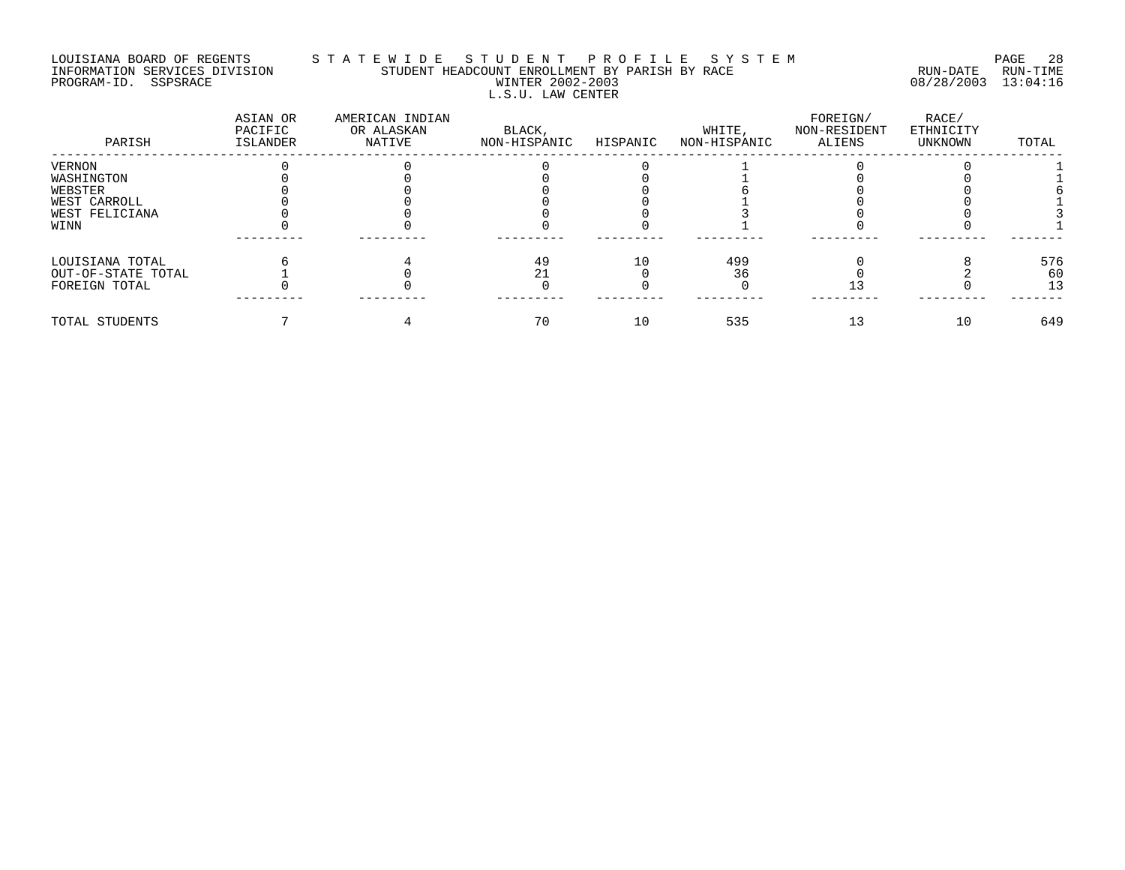#### LOUISIANA BOARD OF REGENTS S T A T E W I D E S T U D E N T P R O F I L E S Y S T E M PAGE 28 INFORMATION SERVICES DIVISION STUDENT HEADCOUNT ENROLLMENT BY PARISH BY RACE RUN-DATE RUN-TIME PROGRAM-ID. SSPSRACE WINTER 2002-2003 08/28/2003 13:04:16 L.S.U. LAW CENTER

| PARISH             | ASIAN OR<br>PACIFIC<br>ISLANDER | AMERICAN INDIAN<br>OR ALASKAN<br>NATIVE | BLACK,<br>NON-HISPANIC | HISPANIC | WHITE,<br>NON-HISPANIC | FOREIGN/<br>NON-RESIDENT<br>ALIENS | RACE/<br>ETHNICITY<br>UNKNOWN | TOTAL |
|--------------------|---------------------------------|-----------------------------------------|------------------------|----------|------------------------|------------------------------------|-------------------------------|-------|
| <b>VERNON</b>      |                                 |                                         |                        |          |                        |                                    |                               |       |
| WASHINGTON         |                                 |                                         |                        |          |                        |                                    |                               |       |
| WEBSTER            |                                 |                                         |                        |          |                        |                                    |                               |       |
| WEST CARROLL       |                                 |                                         |                        |          |                        |                                    |                               |       |
| WEST FELICIANA     |                                 |                                         |                        |          |                        |                                    |                               |       |
| WINN               |                                 |                                         |                        |          |                        |                                    |                               |       |
| LOUISIANA TOTAL    |                                 |                                         | 49                     | 10       | 499                    |                                    |                               | 576   |
| OUT-OF-STATE TOTAL |                                 |                                         | 21                     |          | 36                     |                                    |                               | 60    |
| FOREIGN TOTAL      |                                 |                                         |                        |          |                        |                                    |                               | 13    |
| TOTAL STUDENTS     |                                 |                                         | 70                     | 10       | 535                    | 13                                 | 10                            | 649   |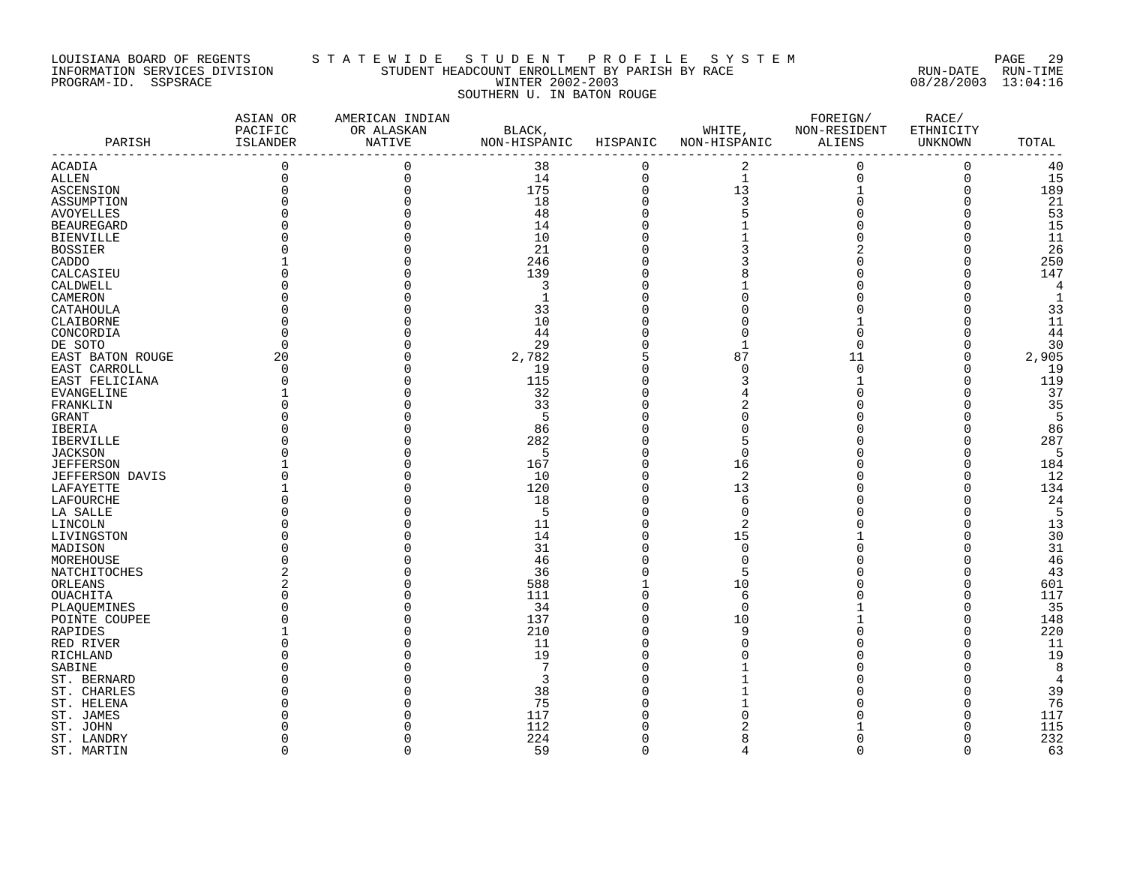#### LOUISIANA BOARD OF REGENTS S T A T E W I D E S T U D E N T P R O F I L E S Y S T E M PAGE 29 INFORMATION SERVICES DIVISION STUDENT HEADCOUNT ENROLLMENT BY PARISH BY RACE RUN-DATE RUN-TIME PROGRAM-ID. SSPSRACE WINTER 2002-2003 08/28/2003 13:04:16 SOUTHERN U. IN BATON ROUGE

| PARISH                    | ASIAN OR<br>PACIFIC<br>ISLANDER | AMERICAN INDIAN<br>OR ALASKAN<br><b>NATIVE</b> | BLACK,<br>NON-HISPANIC | HISPANIC    | WHITE,<br>NON-HISPANIC | FOREIGN/<br>NON-RESIDENT<br>ALIENS | RACE/<br>ETHNICITY<br>UNKNOWN | TOTAL |
|---------------------------|---------------------------------|------------------------------------------------|------------------------|-------------|------------------------|------------------------------------|-------------------------------|-------|
|                           | $\mathbf 0$                     | $\Omega$                                       | 38                     | $\mathbf 0$ |                        |                                    | $\mathbf 0$                   | 40    |
| ACADIA                    | $\mathbf 0$                     | $\Omega$                                       | 14                     | $\mathbf 0$ | 2<br>$\mathbf 1$       | $\mathbf 0$<br>$\mathbf 0$         | $\mathbf 0$                   | 15    |
| ALLEN                     |                                 |                                                |                        |             | 13                     |                                    |                               |       |
| ASCENSION                 | $\Omega$                        |                                                | 175                    | $\mathbf 0$ |                        |                                    | $\mathbf 0$                   | 189   |
| ASSUMPTION                |                                 |                                                | 18                     | $\Omega$    | 3                      | $\Omega$                           | 0                             | 21    |
| <b>AVOYELLES</b>          |                                 |                                                | 48                     | $\Omega$    |                        |                                    | $\Omega$                      | 53    |
| <b>BEAUREGARD</b>         |                                 |                                                | 14                     |             |                        |                                    | $\Omega$                      | 15    |
| <b>BIENVILLE</b>          |                                 |                                                | 10                     |             |                        |                                    | $\Omega$                      | 11    |
| <b>BOSSIER</b>            |                                 |                                                | 21                     |             |                        |                                    | $\Omega$                      | 26    |
| CADDO                     |                                 |                                                | 246                    |             |                        |                                    | O                             | 250   |
| CALCASIEU                 |                                 |                                                | 139                    |             |                        |                                    | O                             | 147   |
| CALDWELL                  |                                 |                                                | 3                      |             |                        |                                    | U                             | 4     |
| CAMERON                   |                                 |                                                | 1                      |             |                        |                                    | O                             | -1    |
| CATAHOULA                 |                                 |                                                | 33                     |             |                        |                                    |                               | 33    |
| CLAIBORNE                 |                                 |                                                | 10                     |             |                        |                                    |                               | 11    |
| CONCORDIA                 |                                 |                                                | 44                     |             | C                      |                                    |                               | 44    |
| DE SOTO                   |                                 |                                                | 29                     |             |                        | $\Omega$                           | 0                             | 30    |
| EAST BATON ROUGE          | 20                              |                                                | 2,782                  |             | 87                     | 11                                 | $\Omega$                      | 2,905 |
| EAST CARROLL              | $\Omega$                        |                                                | 19                     |             | $\Omega$               | $\Omega$                           | $\Omega$                      | 19    |
| EAST FELICIANA            |                                 |                                                | 115                    |             |                        |                                    | $\Omega$                      | 119   |
| <b>EVANGELINE</b>         |                                 |                                                | 32                     |             |                        |                                    | $\cap$                        | 37    |
| FRANKLIN                  |                                 |                                                | 33                     |             |                        |                                    | O                             | 35    |
| GRANT                     |                                 |                                                | 5                      |             |                        |                                    | O                             | -5    |
| IBERIA                    |                                 |                                                | 86                     |             |                        |                                    | $\Omega$                      | 86    |
| <b>IBERVILLE</b>          |                                 |                                                | 282                    |             | 5                      |                                    | $\Omega$                      | 287   |
| <b>JACKSON</b>            |                                 |                                                | 5                      |             | $\Omega$               |                                    | $\Omega$                      | 5     |
| <b>JEFFERSON</b>          |                                 |                                                | 167                    |             | 16                     |                                    | $\Omega$                      | 184   |
| JEFFERSON DAVIS           |                                 |                                                | 10                     | O           | $\overline{2}$         |                                    | O                             | 12    |
| LAFAYETTE                 |                                 |                                                | 120                    | $\Omega$    | 13                     |                                    | O                             | 134   |
| LAFOURCHE                 |                                 |                                                | 18                     | $\Omega$    | 6                      |                                    | O                             | 24    |
| LA SALLE                  |                                 |                                                | 5                      |             | $\Omega$               |                                    | $\Omega$                      | 5     |
| LINCOLN                   |                                 |                                                | 11                     |             | $\overline{2}$         |                                    | $\Omega$                      | 13    |
| LIVINGSTON                |                                 |                                                | 14                     | $\Omega$    | 15                     |                                    | $\Omega$                      | 30    |
| MADISON                   |                                 |                                                | 31                     | U           | $\Omega$               |                                    | U                             | 31    |
| MOREHOUSE                 |                                 |                                                | 46                     |             | $\Omega$               |                                    | O                             | 46    |
| NATCHITOCHES              |                                 |                                                | 36                     |             | 5                      |                                    | 0                             | 43    |
| ORLEANS                   |                                 |                                                | 588                    |             | 10                     |                                    | $\Omega$                      | 601   |
| OUACHITA                  |                                 |                                                | 111                    |             | 6                      |                                    | $\Omega$                      | 117   |
| PLAOUEMINES               |                                 |                                                | 34                     |             | $\Omega$               |                                    | $\Omega$                      | 35    |
| POINTE COUPEE             |                                 |                                                | 137                    |             | 10                     |                                    | O                             | 148   |
| RAPIDES                   |                                 |                                                | 210                    |             | 9                      |                                    | $\Omega$                      | 220   |
| RED RIVER                 |                                 |                                                | 11                     |             | C                      |                                    | O                             | 11    |
| RICHLAND                  |                                 |                                                | 19                     |             |                        |                                    | U                             | 19    |
| SABINE                    |                                 |                                                | 7                      |             |                        |                                    |                               | 8     |
| ST. BERNARD               |                                 |                                                | 3                      |             |                        |                                    |                               | 4     |
|                           |                                 |                                                | 38                     |             |                        |                                    | O                             | 39    |
| ST. CHARLES<br>ST. HELENA |                                 |                                                | 75                     |             |                        |                                    | O                             | 76    |
|                           |                                 |                                                | 117                    |             |                        |                                    |                               | 117   |
| ST. JAMES                 |                                 |                                                | 112                    |             |                        |                                    | O                             | 115   |
| ST. JOHN                  |                                 |                                                | 224                    |             |                        | $\Omega$                           | $\Omega$                      | 232   |
| ST. LANDRY                |                                 | $\Omega$                                       |                        |             | 8<br>4                 |                                    |                               |       |
| ST. MARTIN                | $\Omega$                        |                                                | 59                     | $\Omega$    |                        | $\Omega$                           | $\Omega$                      | 63    |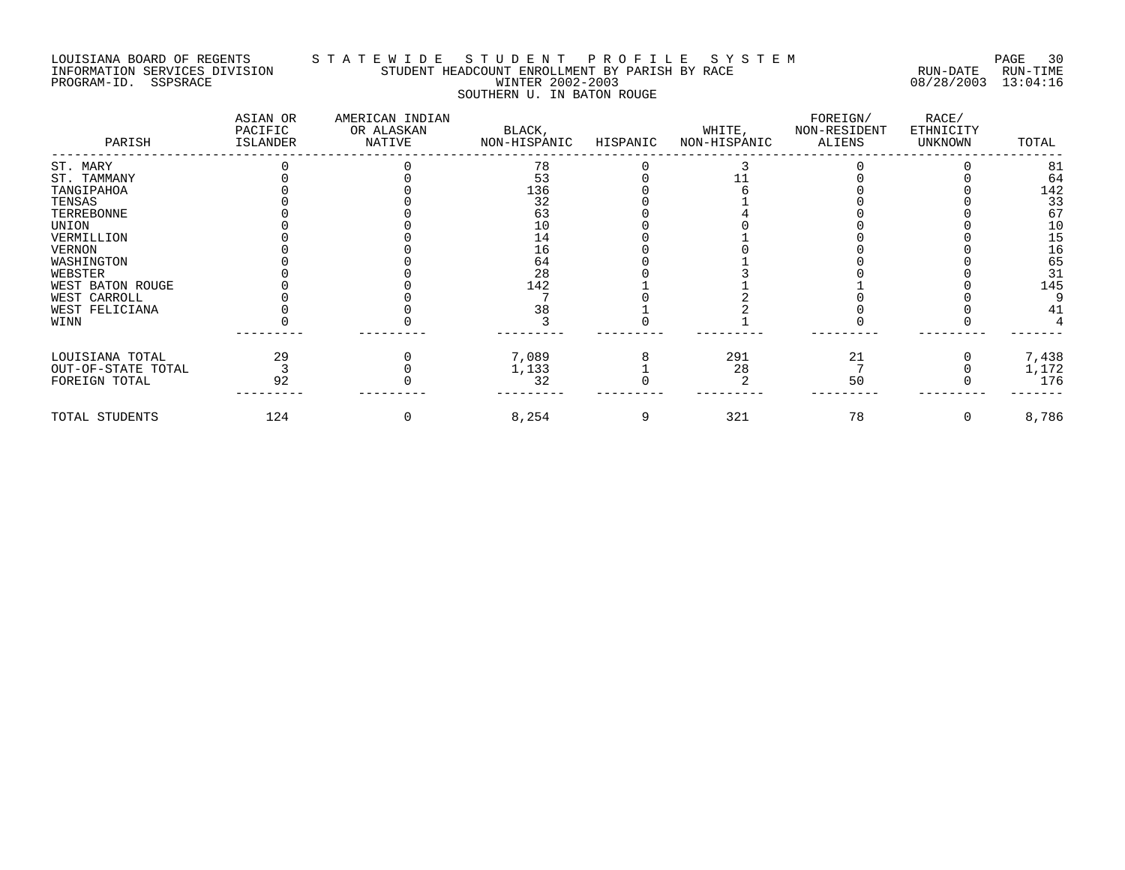#### LOUISIANA BOARD OF REGENTS S T A T E W I D E S T U D E N T P R O F I L E S Y S T E M PAGE 30 INFORMATION SERVICES DIVISION STUDENT HEADCOUNT ENROLLMENT BY PARISH BY RACE RUN-DATE RUN-TIME PROGRAM-ID. SSPSRACE WINTER 2002-2003 08/28/2003 13:04:16 SOUTHERN U. IN BATON ROUGE

| PARISH             | ASIAN OR<br>PACIFIC<br>ISLANDER | AMERICAN INDIAN<br>OR ALASKAN<br>NATIVE | BLACK,<br>NON-HISPANIC | HISPANIC | WHITE,<br>NON-HISPANIC | FOREIGN/<br>NON-RESIDENT<br>ALIENS | RACE/<br>ETHNICITY<br>UNKNOWN | TOTAL |
|--------------------|---------------------------------|-----------------------------------------|------------------------|----------|------------------------|------------------------------------|-------------------------------|-------|
| ST. MARY           |                                 |                                         | 78                     |          |                        |                                    |                               | 81    |
| ST. TAMMANY        |                                 |                                         | 53                     |          |                        |                                    |                               | 64    |
| TANGIPAHOA         |                                 |                                         | 136                    |          |                        |                                    |                               | 142   |
| TENSAS             |                                 |                                         | 32                     |          |                        |                                    |                               | 33    |
| TERREBONNE         |                                 |                                         | 63                     |          |                        |                                    |                               | 67    |
| UNION              |                                 |                                         | 10                     |          |                        |                                    |                               | 10    |
| VERMILLION         |                                 |                                         | 14                     |          |                        |                                    |                               | 15    |
| VERNON             |                                 |                                         | 16                     |          |                        |                                    |                               | 16    |
| WASHINGTON         |                                 |                                         | 64                     |          |                        |                                    |                               | 65    |
| WEBSTER            |                                 |                                         | 28                     |          |                        |                                    |                               | 31    |
| WEST BATON ROUGE   |                                 |                                         | 142                    |          |                        |                                    |                               | 145   |
| WEST CARROLL       |                                 |                                         |                        |          |                        |                                    |                               |       |
| WEST FELICIANA     |                                 |                                         | 38                     |          |                        |                                    |                               | 41    |
| WINN               |                                 |                                         |                        |          |                        |                                    |                               |       |
| LOUISIANA TOTAL    | 29                              |                                         | 7,089                  |          | 291                    | 21                                 |                               | 7,438 |
| OUT-OF-STATE TOTAL |                                 |                                         | 1,133                  |          | 28                     |                                    |                               | 1,172 |
| FOREIGN TOTAL      | 92                              |                                         | 32                     |          |                        | 50                                 |                               | 176   |
| TOTAL STUDENTS     | 124                             |                                         | 8,254                  |          | 321                    | 78                                 | 0                             | 8,786 |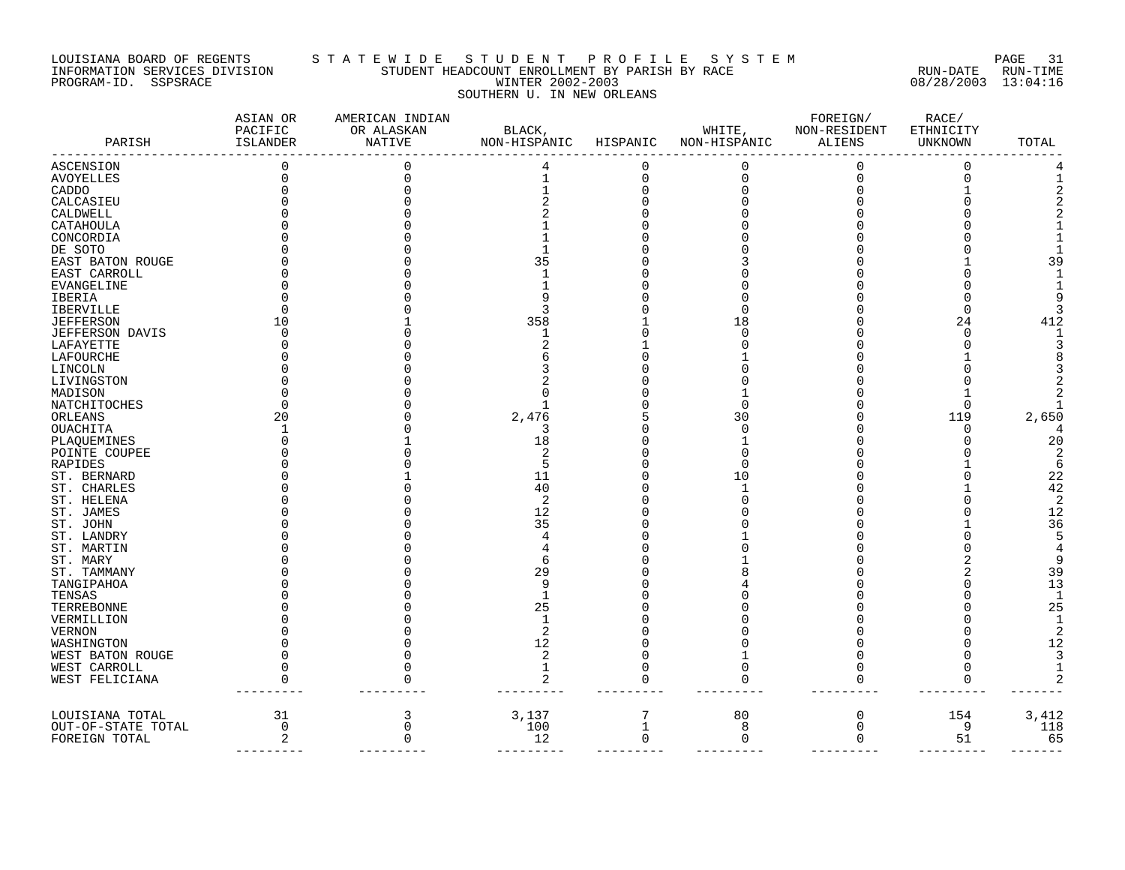### LOUISIANA BOARD OF REGENTS S T A T E W I D E S T U D E N T P R O F I L E S Y S T E M PAGE 31 INFORMATION SERVICES DIVISION STUDENT HEADCOUNT ENROLLMENT BY PARISH BY RACE RUN-DATE RUN-TIME PROGRAM-ID. SSPSRACE WINTER 2002-2003 08/28/2003 13:04:16 SOUTHERN U. IN NEW ORLEANS

| PARISH             | ASIAN OR<br>PACIFIC<br>ISLANDER | AMERICAN INDIAN<br>OR ALASKAN<br>NATIVE | BLACK,<br>NON-HISPANIC | HISPANIC     | WHITE,<br>NON-HISPANIC | FOREIGN/<br>NON-RESIDENT<br><b>ALIENS</b> | RACE/<br>ETHNICITY<br>UNKNOWN | TOTAL |
|--------------------|---------------------------------|-----------------------------------------|------------------------|--------------|------------------------|-------------------------------------------|-------------------------------|-------|
| ASCENSION          |                                 |                                         |                        | 0            | 0                      | 0                                         | 0                             |       |
| AVOYELLES          |                                 |                                         |                        | 0            |                        | $\mathbf 0$                               | $\Omega$                      |       |
| CADDO              |                                 |                                         |                        |              |                        |                                           |                               |       |
| CALCASIEU          |                                 |                                         |                        |              |                        |                                           |                               |       |
| CALDWELL           |                                 |                                         |                        |              |                        |                                           |                               |       |
| CATAHOULA          |                                 |                                         |                        |              |                        |                                           |                               |       |
| CONCORDIA          |                                 |                                         |                        |              |                        |                                           |                               |       |
| DE SOTO            |                                 |                                         |                        |              |                        |                                           |                               |       |
| EAST BATON ROUGE   |                                 |                                         | 35                     |              |                        |                                           |                               | 39    |
| EAST CARROLL       |                                 |                                         |                        |              |                        |                                           |                               |       |
| EVANGELINE         |                                 |                                         |                        |              |                        |                                           |                               |       |
| IBERIA             |                                 |                                         |                        |              |                        |                                           |                               |       |
| IBERVILLE          |                                 |                                         |                        |              |                        |                                           | n                             |       |
| JEFFERSON          | 10                              |                                         | 358                    |              | 18                     |                                           | 24                            | 412   |
| JEFFERSON DAVIS    |                                 |                                         |                        |              |                        |                                           | $\Omega$                      |       |
| LAFAYETTE          |                                 |                                         |                        |              |                        |                                           |                               |       |
| LAFOURCHE          |                                 |                                         |                        |              |                        |                                           |                               |       |
| LINCOLN            |                                 |                                         |                        |              |                        |                                           |                               |       |
| LIVINGSTON         |                                 |                                         |                        |              |                        |                                           |                               |       |
| MADISON            |                                 |                                         |                        |              |                        |                                           |                               |       |
| NATCHITOCHES       |                                 |                                         |                        |              |                        |                                           | ∩                             |       |
| ORLEANS            | 20                              |                                         | 2,476                  |              | 30                     |                                           | 119                           | 2,650 |
| OUACHITA           |                                 |                                         | 3                      |              | $\cap$                 |                                           | $\cap$                        |       |
| PLAQUEMINES        |                                 |                                         | 18                     |              |                        |                                           |                               | 20    |
| POINTE COUPEE      |                                 |                                         |                        |              |                        |                                           |                               |       |
| RAPIDES            |                                 |                                         |                        |              |                        |                                           |                               | 6     |
| ST. BERNARD        |                                 |                                         | 11                     |              | 10                     |                                           |                               | 22    |
| ST. CHARLES        |                                 |                                         | 40                     |              |                        |                                           |                               | 42    |
| ST. HELENA         |                                 |                                         | $\overline{2}$         |              |                        |                                           |                               | 2     |
| ST. JAMES          |                                 |                                         | 12                     |              |                        |                                           |                               | 12    |
| ST. JOHN           |                                 |                                         | 35                     |              |                        |                                           |                               | 36    |
| ST. LANDRY         |                                 |                                         |                        |              |                        |                                           |                               |       |
| ST. MARTIN         |                                 |                                         |                        |              |                        |                                           |                               |       |
| ST. MARY           |                                 |                                         |                        |              |                        |                                           |                               |       |
| ST. TAMMANY        |                                 |                                         | 29                     |              |                        |                                           |                               | 39    |
| TANGIPAHOA         |                                 |                                         | 9                      |              |                        |                                           |                               | 13    |
| TENSAS             |                                 |                                         |                        |              |                        |                                           |                               |       |
| TERREBONNE         |                                 |                                         | 25                     |              |                        |                                           |                               | 25    |
| VERMILLION         |                                 |                                         |                        |              |                        |                                           |                               |       |
| VERNON             |                                 |                                         |                        |              |                        |                                           |                               | 2     |
| WASHINGTON         |                                 |                                         | 12                     |              |                        |                                           |                               | 12    |
| WEST BATON ROUGE   |                                 |                                         | 2                      |              |                        |                                           |                               |       |
| WEST CARROLL       |                                 |                                         | 1                      |              | $\Omega$               |                                           | <sup>0</sup>                  |       |
| WEST FELICIANA     |                                 |                                         | 2                      |              |                        |                                           | $\Omega$                      |       |
|                    |                                 |                                         |                        |              |                        |                                           |                               |       |
| LOUISIANA TOTAL    | 31                              | 3                                       | 3,137                  | 7            | 80                     | $\mathbf 0$                               | 154                           | 3,412 |
| OUT-OF-STATE TOTAL | $\mathbf 0$                     | $\Omega$                                | 100                    | $\mathbf{1}$ | 8                      | $\mathbf 0$                               | 9                             | 118   |
| FOREIGN TOTAL      | 2                               | $\Omega$                                | 12                     | $\Omega$     | $\mathbf 0$            | $\Omega$                                  | 51                            | 65    |
|                    |                                 |                                         |                        |              |                        |                                           |                               |       |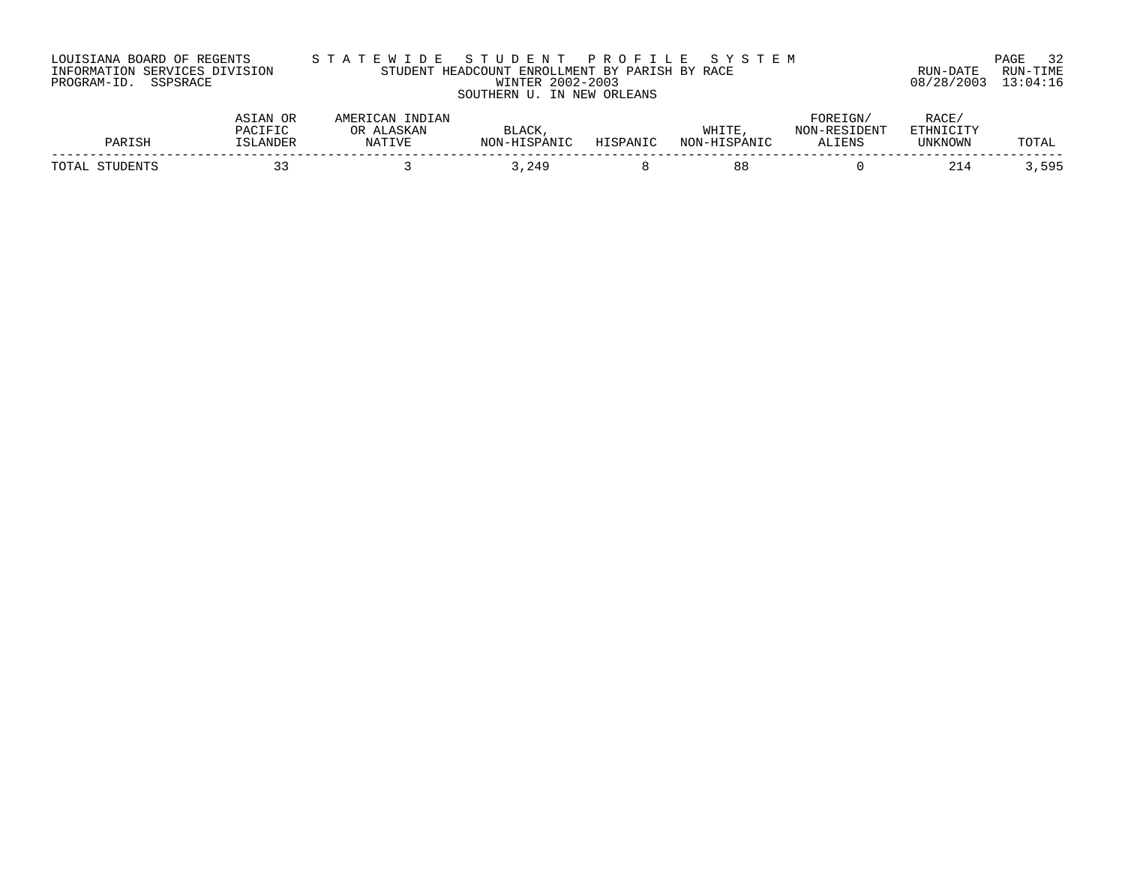| LOUISIANA BOARD OF REGENTS    |  |  |
|-------------------------------|--|--|
| INFORMATION SERVICES DIVISION |  |  |
| PROGRAM-ID. SSPSRACE          |  |  |

# LOUISIANA BOARD OF REGENTS S T A T E W I D E S T U D E N T P R O F I L E S Y S T E M PAGE 32 INFORMATION SERVICES DIVISION STUDENT HEADCOUNT ENROLLMENT BY PARISH BY RACE RUN-DATE RUN-TIME PROGRAM-ID. SSPSRACE WINTER 2002-2003 08/28/2003 13:04:16 SOUTHERN U. IN NEW ORLEANS

| סגר                     | ANDFL    | ℩ͱ | $\Lambda$ $\cap$ $V$<br>$\mathbf{L}$<br>$T\cap N$ | <b>ANTC</b> | <b>THE</b><br>мU | $\sim$<br><b>LIENS</b> | R ∆∩F<br><b>TIMIZMOMM</b>       | 'T.U       |
|-------------------------|----------|----|---------------------------------------------------|-------------|------------------|------------------------|---------------------------------|------------|
| $T$ $\cap$ $T$ $\Delta$ | <u>-</u> |    | 140                                               |             | 8 ರ              |                        | $\sim$ $\sim$<br>24<br><u>.</u> | <b>EQF</b> |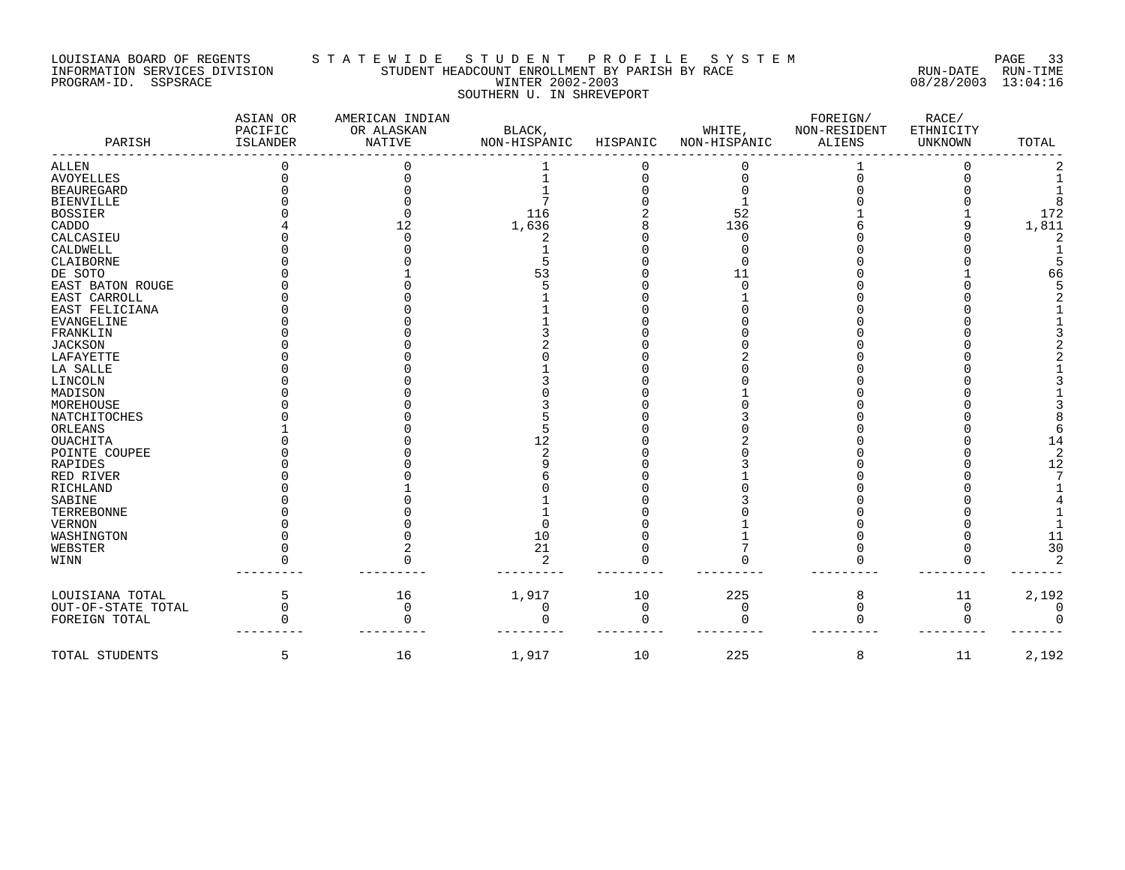#### LOUISIANA BOARD OF REGENTS S T A T E W I D E S T U D E N T P R O F I L E S Y S T E M PAGE 33 INFORMATION SERVICES DIVISION STUDENT HEADCOUNT ENROLLMENT BY PARISH BY RACE RUN-DATE RUN-TIME PROGRAM-ID. SSPSRACE WINTER 2002-2003 08/28/2003 13:04:16 SOUTHERN U. IN SHREVEPORT

| PARISH             | ASIAN OR<br>PACIFIC<br><b>ISLANDER</b> | AMERICAN INDIAN<br>OR ALASKAN<br><b>NATIVE</b> | BLACK,<br>NON-HISPANIC | HISPANIC | WHITE,<br>NON-HISPANIC | FOREIGN/<br>NON-RESIDENT<br><b>ALIENS</b> | RACE/<br>ETHNICITY<br>UNKNOWN | TOTAL |
|--------------------|----------------------------------------|------------------------------------------------|------------------------|----------|------------------------|-------------------------------------------|-------------------------------|-------|
| ALLEN              |                                        |                                                |                        |          |                        |                                           |                               |       |
| <b>AVOYELLES</b>   |                                        |                                                |                        |          |                        |                                           |                               |       |
| <b>BEAUREGARD</b>  |                                        |                                                |                        |          |                        |                                           |                               |       |
| <b>BIENVILLE</b>   |                                        |                                                |                        |          |                        |                                           |                               |       |
| <b>BOSSIER</b>     |                                        |                                                | 116                    |          | 52                     |                                           |                               | 172   |
| CADDO              |                                        | 12                                             | 1,636                  |          | 136                    |                                           |                               | 1,811 |
| CALCASIEU          |                                        |                                                |                        |          | U                      |                                           |                               |       |
| CALDWELL           |                                        |                                                |                        |          |                        |                                           |                               |       |
| CLAIBORNE          |                                        |                                                |                        |          |                        |                                           |                               |       |
| DE SOTO            |                                        |                                                | 53                     |          | 11                     |                                           |                               | 66    |
| EAST BATON ROUGE   |                                        |                                                |                        |          |                        |                                           |                               |       |
| EAST CARROLL       |                                        |                                                |                        |          |                        |                                           |                               |       |
| EAST FELICIANA     |                                        |                                                |                        |          |                        |                                           |                               |       |
| EVANGELINE         |                                        |                                                |                        |          |                        |                                           |                               |       |
| FRANKLIN           |                                        |                                                |                        |          |                        |                                           |                               |       |
| <b>JACKSON</b>     |                                        |                                                |                        |          |                        |                                           |                               |       |
| LAFAYETTE          |                                        |                                                |                        |          |                        |                                           |                               |       |
| LA SALLE           |                                        |                                                |                        |          |                        |                                           |                               |       |
| LINCOLN            |                                        |                                                |                        |          |                        |                                           |                               |       |
| MADISON            |                                        |                                                |                        |          |                        |                                           |                               |       |
| MOREHOUSE          |                                        |                                                |                        |          |                        |                                           |                               |       |
| NATCHITOCHES       |                                        |                                                |                        |          |                        |                                           |                               |       |
| ORLEANS            |                                        |                                                |                        |          |                        |                                           |                               |       |
| <b>OUACHITA</b>    |                                        |                                                | 12                     |          |                        |                                           |                               | 14    |
| POINTE COUPEE      |                                        |                                                |                        |          |                        |                                           |                               |       |
| RAPIDES            |                                        |                                                |                        |          |                        |                                           |                               | 12    |
| RED RIVER          |                                        |                                                |                        |          |                        |                                           |                               |       |
| RICHLAND           |                                        |                                                |                        |          |                        |                                           |                               |       |
| SABINE             |                                        |                                                |                        |          |                        |                                           |                               |       |
| TERREBONNE         |                                        |                                                |                        |          |                        |                                           |                               |       |
| VERNON             |                                        |                                                |                        |          |                        |                                           |                               |       |
| WASHINGTON         |                                        |                                                | 10                     |          |                        |                                           |                               | 11    |
| WEBSTER            |                                        |                                                | 21                     |          |                        |                                           |                               | 30    |
| WINN               |                                        |                                                | $\mathcal{L}$          |          |                        |                                           |                               |       |
| LOUISIANA TOTAL    | 5                                      | 16                                             | 1,917                  | 10       | 225                    | 8                                         | 11                            | 2,192 |
| OUT-OF-STATE TOTAL | U                                      | $\Omega$                                       | 0                      | $\Omega$ | 0                      | $\mathbf 0$                               | $\mathbf 0$                   |       |
| FOREIGN TOTAL      |                                        |                                                |                        |          |                        |                                           |                               |       |
|                    |                                        |                                                |                        |          |                        |                                           |                               |       |
| TOTAL STUDENTS     | 5                                      | 16                                             | 1,917                  | 10       | 225                    | 8                                         | 11                            | 2,192 |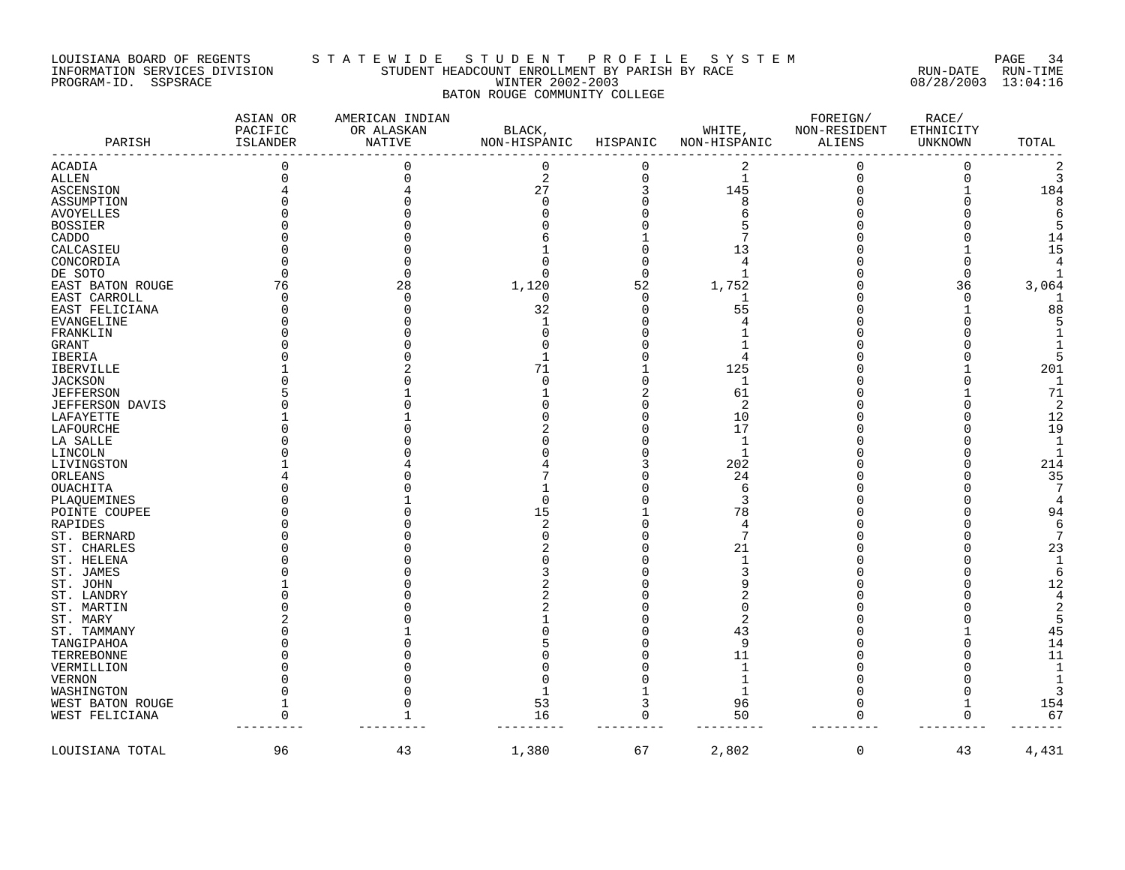#### LOUISIANA BOARD OF REGENTS S T A T E W I D E S T U D E N T P R O F I L E S Y S T E M PAGE 34 INFORMATION SERVICES DIVISION STUDENT HEADCOUNT ENROLLMENT BY PARISH BY RACE RUN-DATE RUN-TIME PROGRAM-ID. SSPSRACE WINTER 2002-2003 08/28/2003 13:04:16 BATON ROUGE COMMUNITY COLLEGE

| PARISH                 | ASIAN OR<br>PACIFIC<br>ISLANDER | AMERICAN INDIAN<br>OR ALASKAN<br>NATIVE | BLACK,<br>NON-HISPANIC | HISPANIC | WHITE,<br>NON-HISPANIC  | FOREIGN/<br>NON-RESIDENT<br>ALIENS | RACE/<br>ETHNICITY<br>UNKNOWN | TOTAL          |
|------------------------|---------------------------------|-----------------------------------------|------------------------|----------|-------------------------|------------------------------------|-------------------------------|----------------|
| <b>ACADIA</b>          | 0                               | 0                                       | $\overline{0}$         | 0        | $\overline{\mathbf{c}}$ | $\overline{0}$                     | $\mathbf 0$                   | $\overline{2}$ |
| ALLEN                  |                                 |                                         | 2                      | $\Omega$ | 1                       | 0                                  | $\Omega$                      | 3              |
| ASCENSION              |                                 |                                         | 27                     |          | 145                     |                                    |                               | 184            |
| ASSUMPTION             |                                 |                                         |                        |          | 8                       |                                    |                               | 8              |
| <b>AVOYELLES</b>       |                                 |                                         |                        |          | 6                       |                                    |                               | 6              |
| BOSSIER                |                                 |                                         |                        |          |                         |                                    |                               | 5              |
| CADDO                  |                                 |                                         |                        |          |                         |                                    |                               | 14             |
| CALCASIEU              |                                 |                                         |                        |          | 13                      |                                    |                               | 15             |
| CONCORDIA              |                                 |                                         |                        |          | 4                       |                                    |                               | $\overline{4}$ |
| DE SOTO                |                                 |                                         |                        | $\Omega$ | -1                      |                                    | n                             |                |
| EAST BATON ROUGE       | 76                              | 28                                      | 1,120                  | 52       | 1,752                   |                                    | 36                            | 3,064          |
| EAST CARROLL           | $\sqrt{ }$                      | n                                       | $\Omega$               | $\Omega$ | 1                       |                                    | $\Omega$                      | -1             |
| EAST FELICIANA         |                                 |                                         | 32                     | $\Omega$ | 55                      |                                    |                               | 88             |
| EVANGELINE             |                                 |                                         |                        |          | 4                       |                                    |                               | 5              |
| FRANKLIN               |                                 |                                         |                        |          |                         |                                    |                               | 1              |
| GRANT                  |                                 |                                         |                        |          |                         |                                    |                               |                |
| IBERIA                 |                                 |                                         |                        |          | $\Delta$                |                                    |                               | 5              |
| IBERVILLE              |                                 |                                         | 71                     |          | 125                     |                                    |                               | 201            |
| <b>JACKSON</b>         |                                 |                                         |                        |          | $\mathbf 1$             |                                    |                               | $\mathbf 1$    |
| <b>JEFFERSON</b>       |                                 |                                         |                        |          | 61                      |                                    |                               | 71             |
| <b>JEFFERSON DAVIS</b> |                                 |                                         |                        |          | 2                       |                                    |                               | $\overline{2}$ |
| LAFAYETTE              |                                 |                                         |                        |          | 10                      |                                    |                               | 12             |
| LAFOURCHE              |                                 |                                         |                        |          | 17                      |                                    |                               | 19             |
| LA SALLE               |                                 |                                         |                        |          | 1                       |                                    |                               | 1              |
| LINCOLN                |                                 |                                         |                        |          | $\mathbf{1}$            |                                    |                               | $\mathbf{1}$   |
| LIVINGSTON             |                                 |                                         |                        |          | 202                     |                                    |                               | 214            |
| ORLEANS                |                                 |                                         |                        |          | 24                      |                                    |                               | 35             |
| OUACHITA               |                                 |                                         |                        |          | 6                       |                                    |                               | 7              |
| PLAQUEMINES            |                                 |                                         |                        |          | 3                       |                                    |                               | 4              |
| POINTE COUPEE          |                                 |                                         | 15                     |          | 78                      |                                    |                               | 94             |
| RAPIDES                |                                 |                                         |                        |          | 4                       |                                    |                               | 6              |
| ST. BERNARD            |                                 |                                         |                        |          | 7                       |                                    |                               | 7              |
| ST. CHARLES            |                                 |                                         |                        |          | 21                      |                                    |                               | 23             |
| ST. HELENA             |                                 |                                         |                        |          | 1                       |                                    |                               | $\mathbf{1}$   |
| ST. JAMES              |                                 |                                         |                        |          | 3                       |                                    |                               | 6              |
| ST. JOHN               |                                 |                                         |                        |          | 9                       |                                    |                               | 12             |
| ST. LANDRY             |                                 |                                         |                        |          |                         |                                    |                               | $\overline{4}$ |
| ST. MARTIN             |                                 |                                         |                        |          | $\Omega$                |                                    |                               | $\overline{2}$ |
| ST. MARY               |                                 |                                         |                        |          | 2                       |                                    |                               | 5              |
| ST. TAMMANY            |                                 |                                         |                        |          | 43                      |                                    |                               | 45             |
| TANGIPAHOA             |                                 |                                         |                        |          | 9                       |                                    |                               | 14             |
| TERREBONNE             |                                 |                                         |                        |          | 11                      |                                    |                               | 11             |
| VERMILLION             |                                 |                                         |                        |          | $\mathbf{1}$            |                                    |                               | $\mathbf{1}$   |
| <b>VERNON</b>          |                                 |                                         |                        |          | 1                       |                                    |                               | 1              |
| WASHINGTON             |                                 |                                         |                        |          | $\mathbf{1}$            |                                    |                               | 3              |
| WEST BATON ROUGE       |                                 |                                         | 53                     | 3        | 96                      | 0                                  |                               | 154            |
| WEST FELICIANA         | $\Omega$                        |                                         | 16                     | 0        | 50                      | $\Omega$                           |                               | 67             |
|                        |                                 |                                         |                        |          |                         |                                    |                               |                |
| LOUISIANA TOTAL        | 96                              | 43                                      | 1,380                  | 67       | 2,802                   | 0                                  | 43                            | 4,431          |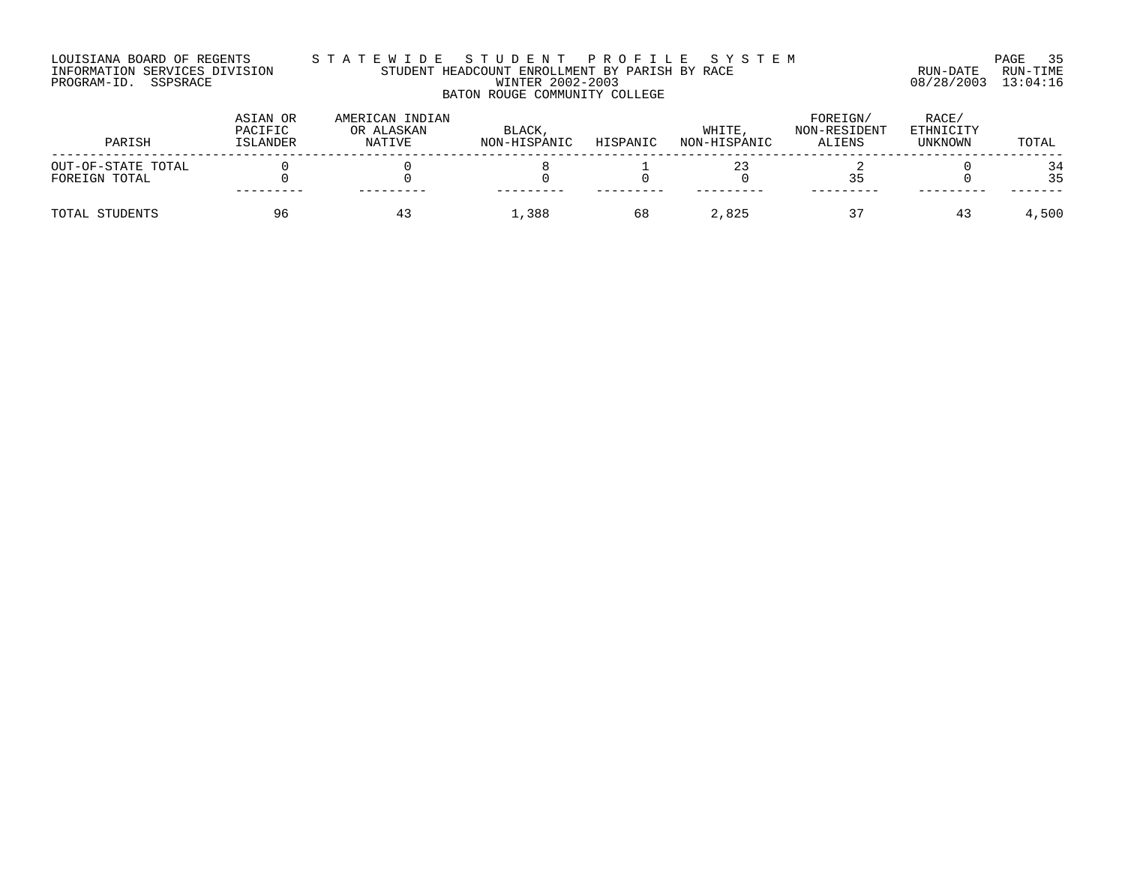#### LOUISIANA BOARD OF REGENTS S T A T E W I D E S T U D E N T P R O F I L E S Y S T E M PAGE 35 INFORMATION SERVICES DIVISION STUDENT HEADCOUNT ENROLLMENT BY PARISH BY RACE RUN-DATE RUN-TIME PROGRAM-ID. SSPSRACE WINTER 2002-2003 08/28/2003 13:04:16 BATON ROUGE COMMUNITY COLLEGE

| PARISH                              | ASIAN OR<br>PACIFIC<br>ISLANDER | AMERICAN INDIAN<br>OR ALASKAN<br>NATIVE | BLACK,<br>NON-HISPANIC | HISPANIC | WHITE<br>NON-HISPANIC | FOREIGN/<br>NON-RESIDENT<br>ALIENS | RACE/<br>ETHNICITY<br>UNKNOWN | TOTAL    |
|-------------------------------------|---------------------------------|-----------------------------------------|------------------------|----------|-----------------------|------------------------------------|-------------------------------|----------|
| OUT-OF-STATE TOTAL<br>FOREIGN TOTAL |                                 |                                         |                        |          |                       |                                    |                               | 34<br>35 |
| TOTAL STUDENTS                      | 96                              | 43                                      | 1,388                  | 68       | 2,825                 |                                    | 43                            | 4,500    |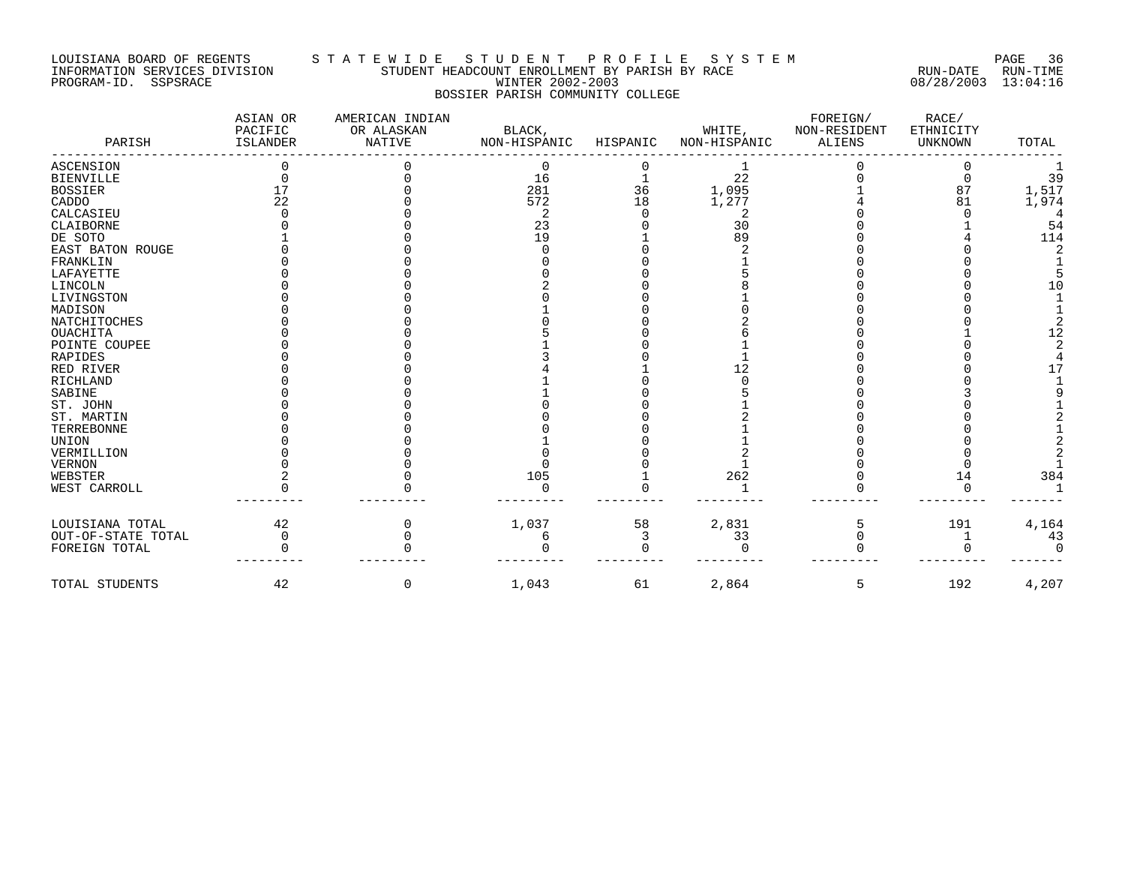#### LOUISIANA BOARD OF REGENTS S T A T E W I D E S T U D E N T P R O F I L E S Y S T E M PAGE 36 INFORMATION SERVICES DIVISION STUDENT HEADCOUNT ENROLLMENT BY PARISH BY RACE RUN-DATE RUN-TIME PROGRAM-ID. SSPSRACE WINTER 2002-2003 08/28/2003 13:04:16 BOSSIER PARISH COMMUNITY COLLEGE

| PARISH             | ASIAN OR<br>PACIFIC<br>ISLANDER | AMERICAN INDIAN<br>OR ALASKAN<br><b>NATIVE</b> | BLACK,<br>NON-HISPANIC | HISPANIC | WHITE,<br>NON-HISPANIC | FOREIGN/<br>NON-RESIDENT<br><b>ALIENS</b> | RACE/<br>ETHNICITY<br><b>UNKNOWN</b> | TOTAL |
|--------------------|---------------------------------|------------------------------------------------|------------------------|----------|------------------------|-------------------------------------------|--------------------------------------|-------|
| ASCENSION          |                                 |                                                | 0                      |          |                        |                                           |                                      |       |
| <b>BIENVILLE</b>   |                                 |                                                | 16                     |          | 22                     |                                           |                                      | 39    |
| <b>BOSSIER</b>     |                                 |                                                | 281                    | 36       | 1,095                  |                                           | 87                                   | 1,517 |
| CADDO              | 22                              |                                                | 572                    | 18       | 1,277                  |                                           | 81                                   | 1,974 |
| CALCASIEU          |                                 |                                                |                        |          |                        |                                           |                                      |       |
| CLAIBORNE          |                                 |                                                | 23                     |          | 30                     |                                           |                                      | 54    |
| DE SOTO            |                                 |                                                | 19                     |          | 89                     |                                           |                                      | 114   |
| EAST BATON ROUGE   |                                 |                                                |                        |          |                        |                                           |                                      |       |
| FRANKLIN           |                                 |                                                |                        |          |                        |                                           |                                      |       |
| LAFAYETTE          |                                 |                                                |                        |          |                        |                                           |                                      |       |
| LINCOLN            |                                 |                                                |                        |          |                        |                                           |                                      | 10    |
| LIVINGSTON         |                                 |                                                |                        |          |                        |                                           |                                      |       |
| MADISON            |                                 |                                                |                        |          |                        |                                           |                                      |       |
| NATCHITOCHES       |                                 |                                                |                        |          |                        |                                           |                                      |       |
| <b>OUACHITA</b>    |                                 |                                                |                        |          |                        |                                           |                                      |       |
| POINTE COUPEE      |                                 |                                                |                        |          |                        |                                           |                                      |       |
| RAPIDES            |                                 |                                                |                        |          |                        |                                           |                                      |       |
| RED RIVER          |                                 |                                                |                        |          |                        |                                           |                                      |       |
| RICHLAND           |                                 |                                                |                        |          |                        |                                           |                                      |       |
| SABINE             |                                 |                                                |                        |          |                        |                                           |                                      |       |
| ST. JOHN           |                                 |                                                |                        |          |                        |                                           |                                      |       |
| ST. MARTIN         |                                 |                                                |                        |          |                        |                                           |                                      |       |
| TERREBONNE         |                                 |                                                |                        |          |                        |                                           |                                      |       |
| UNION              |                                 |                                                |                        |          |                        |                                           |                                      |       |
| VERMILLION         |                                 |                                                |                        |          |                        |                                           |                                      |       |
| VERNON             |                                 |                                                |                        |          |                        |                                           |                                      |       |
| WEBSTER            |                                 |                                                | 105                    |          | 262                    |                                           | 14                                   | 384   |
| WEST CARROLL       |                                 |                                                |                        |          |                        |                                           |                                      |       |
| LOUISIANA TOTAL    | 42                              |                                                | 1,037                  | 58       | 2,831                  |                                           | 191                                  | 4,164 |
| OUT-OF-STATE TOTAL | $\Omega$                        |                                                |                        |          | 33                     |                                           |                                      | 43    |
| FOREIGN TOTAL      |                                 |                                                |                        |          | $\cap$                 |                                           |                                      |       |
| TOTAL STUDENTS     | 42                              | 0                                              | 1,043                  | 61       | 2,864                  | 5                                         | 192                                  | 4,207 |
|                    |                                 |                                                |                        |          |                        |                                           |                                      |       |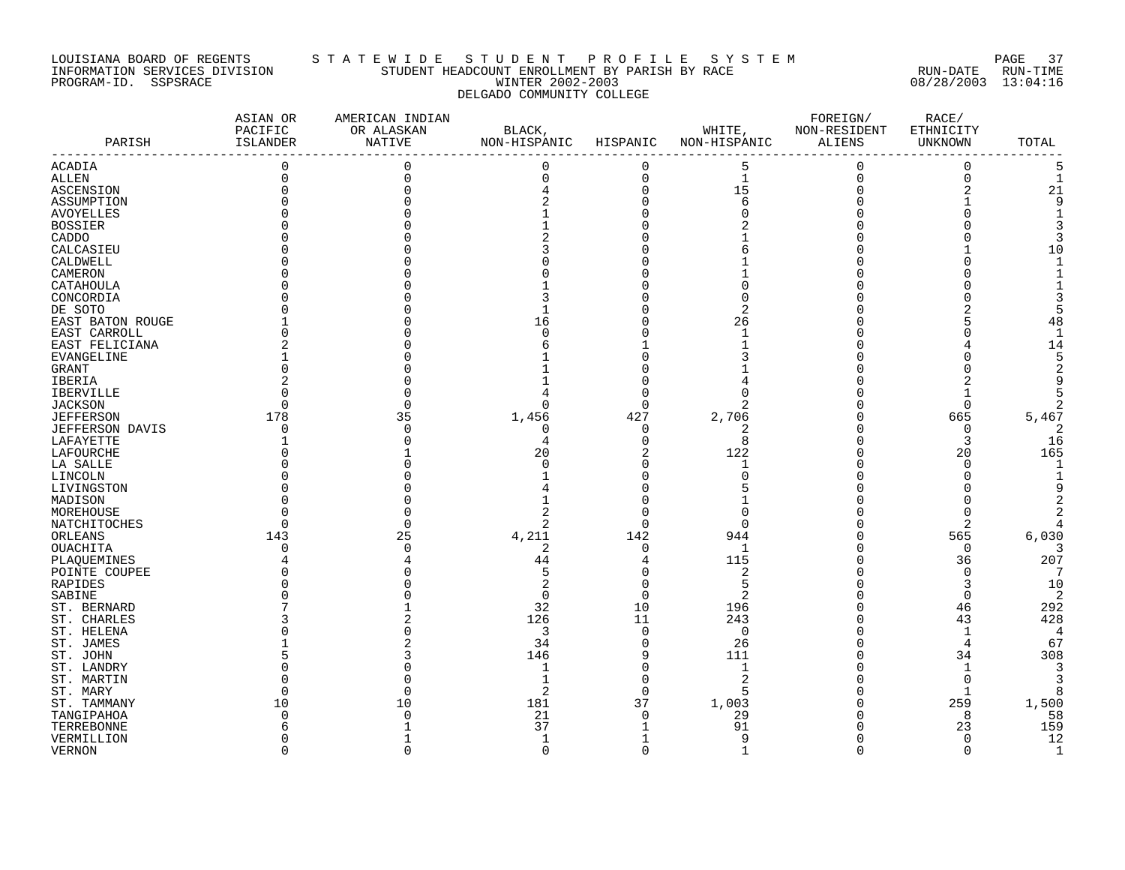#### LOUISIANA BOARD OF REGENTS S T A T E W I D E S T U D E N T P R O F I L E S Y S T E M PAGE 37 INFORMATION SERVICES DIVISION STUDENT HEADCOUNT ENROLLMENT BY PARISH BY RACE RUN-DATE RUN-TIME PROGRAM-ID. SSPSRACE WINTER 2002-2003 08/28/2003 13:04:16 DELGADO COMMUNITY COLLEGE

| 5<br>$\mathbf 0$<br>0<br>$\overline{0}$<br>$\Omega$<br>$\Omega$<br>$\mathbf 0$<br>5<br>$\mathbf 1$<br>$\mathbf 0$<br>0<br>$\Omega$<br>0<br>15<br>$\overline{2}$<br>21<br>$\Omega$<br>6<br>ASSUMPTION<br>Q<br><b>AVOYELLES</b><br><b>BOSSIER</b><br>CADDO<br>10<br>CALCASIEU<br>CALDWELL<br>CAMERON<br>CATAHOULA<br>CONCORDIA<br>DE SOTO<br>2<br>EAST BATON ROUGE<br>16<br>26<br>48<br>EAST CARROLL<br>$\mathbf{1}$<br>14<br>EAST FELICIANA<br>EVANGELINE<br><b>GRANT</b><br>IBERIA<br>$\mathbf 0$<br>O<br>∩<br><sup>0</sup><br>427<br>665<br>5,467<br>178<br>35<br>1,456<br>2,706<br>JEFFERSON DAVIS<br>$\Omega$<br>0<br>$\Omega$<br>0<br>2<br>8<br>3<br>16<br>$\Omega$<br>4<br>165<br>20<br>122<br>20<br>LAFOURCHE<br>$\Omega$<br>LA SALLE<br>O<br>1<br>1<br>LINCOLN<br>LIVINGSTON<br>MADISON<br>MOREHOUSE<br>2<br>$\Omega$<br>2<br>NATCHITOCHES<br>O<br>$\Omega$<br>4,211<br>565<br>6,030<br>25<br>142<br>944<br>ORLEANS<br>143<br><b>OUACHITA</b><br>2<br>$\Omega$<br>$\Omega$<br>$\mathbf{1}$<br>O<br>207<br>44<br>115<br>36<br>PLAQUEMINES<br>5<br>$\overline{2}$<br>$\Omega$<br>7<br>POINTE COUPEE<br>RAPIDES<br>2<br>5<br>3<br>10<br>2<br>$\mathbf 0$<br>2<br>SABINE<br>$\Omega$<br>O<br>32<br>10<br>196<br>46<br>292<br>ST. BERNARD<br>126<br>11<br>43<br>428<br>243<br>ST. CHARLES<br>3<br>$\mathbf{1}$<br>ST. HELENA<br>$\Omega$<br>$\Omega$<br>4<br>34<br>26<br>67<br>ST. JAMES<br>$\Omega$<br>4<br>111<br>308<br>ST. JOHN<br>146<br>9<br>34<br>$\mathbf{1}$<br>ST. LANDRY<br>$\Omega$<br>1<br>$\overline{c}$<br>$\Omega$<br>ST. MARTIN<br>2<br>$\Omega$<br>5<br>$\mathbf{1}$<br>8<br>1,500<br>181<br>37<br>1,003<br>259<br>10<br>10<br>58<br>21<br>$\Omega$<br>29<br>8<br>TANGIPAHOA<br>91<br>159<br>37<br>23<br>TERREBONNE<br>9<br>$\Omega$<br>12<br>VERMILLION<br>$\Omega$<br>$\mathbf{1}$<br>$\Omega$<br>$\Omega$<br>$\Omega$<br>$\Omega$<br>$\mathbf{1}$<br>∩ | PARISH           | ASIAN OR<br>PACIFIC<br>ISLANDER | AMERICAN INDIAN<br>OR ALASKAN<br>NATIVE | BLACK,<br>NON-HISPANIC | HISPANIC | WHITE,<br>NON-HISPANIC | FOREIGN/<br>NON-RESIDENT<br>ALIENS | RACE/<br>ETHNICITY<br>UNKNOWN | TOTAL |
|-------------------------------------------------------------------------------------------------------------------------------------------------------------------------------------------------------------------------------------------------------------------------------------------------------------------------------------------------------------------------------------------------------------------------------------------------------------------------------------------------------------------------------------------------------------------------------------------------------------------------------------------------------------------------------------------------------------------------------------------------------------------------------------------------------------------------------------------------------------------------------------------------------------------------------------------------------------------------------------------------------------------------------------------------------------------------------------------------------------------------------------------------------------------------------------------------------------------------------------------------------------------------------------------------------------------------------------------------------------------------------------------------------------------------------------------------------------------------------------------------------------------------------------------------------------------------------------------------------------------------------------------------------------------------------------------------------------------------------------------------------------------------------------------------------------------------------------------------------------------------------|------------------|---------------------------------|-----------------------------------------|------------------------|----------|------------------------|------------------------------------|-------------------------------|-------|
|                                                                                                                                                                                                                                                                                                                                                                                                                                                                                                                                                                                                                                                                                                                                                                                                                                                                                                                                                                                                                                                                                                                                                                                                                                                                                                                                                                                                                                                                                                                                                                                                                                                                                                                                                                                                                                                                               | ACADIA           |                                 |                                         |                        |          |                        |                                    |                               |       |
|                                                                                                                                                                                                                                                                                                                                                                                                                                                                                                                                                                                                                                                                                                                                                                                                                                                                                                                                                                                                                                                                                                                                                                                                                                                                                                                                                                                                                                                                                                                                                                                                                                                                                                                                                                                                                                                                               | ALLEN            |                                 |                                         |                        |          |                        |                                    |                               |       |
|                                                                                                                                                                                                                                                                                                                                                                                                                                                                                                                                                                                                                                                                                                                                                                                                                                                                                                                                                                                                                                                                                                                                                                                                                                                                                                                                                                                                                                                                                                                                                                                                                                                                                                                                                                                                                                                                               | ASCENSION        |                                 |                                         |                        |          |                        |                                    |                               |       |
|                                                                                                                                                                                                                                                                                                                                                                                                                                                                                                                                                                                                                                                                                                                                                                                                                                                                                                                                                                                                                                                                                                                                                                                                                                                                                                                                                                                                                                                                                                                                                                                                                                                                                                                                                                                                                                                                               |                  |                                 |                                         |                        |          |                        |                                    |                               |       |
|                                                                                                                                                                                                                                                                                                                                                                                                                                                                                                                                                                                                                                                                                                                                                                                                                                                                                                                                                                                                                                                                                                                                                                                                                                                                                                                                                                                                                                                                                                                                                                                                                                                                                                                                                                                                                                                                               |                  |                                 |                                         |                        |          |                        |                                    |                               |       |
|                                                                                                                                                                                                                                                                                                                                                                                                                                                                                                                                                                                                                                                                                                                                                                                                                                                                                                                                                                                                                                                                                                                                                                                                                                                                                                                                                                                                                                                                                                                                                                                                                                                                                                                                                                                                                                                                               |                  |                                 |                                         |                        |          |                        |                                    |                               |       |
|                                                                                                                                                                                                                                                                                                                                                                                                                                                                                                                                                                                                                                                                                                                                                                                                                                                                                                                                                                                                                                                                                                                                                                                                                                                                                                                                                                                                                                                                                                                                                                                                                                                                                                                                                                                                                                                                               |                  |                                 |                                         |                        |          |                        |                                    |                               |       |
|                                                                                                                                                                                                                                                                                                                                                                                                                                                                                                                                                                                                                                                                                                                                                                                                                                                                                                                                                                                                                                                                                                                                                                                                                                                                                                                                                                                                                                                                                                                                                                                                                                                                                                                                                                                                                                                                               |                  |                                 |                                         |                        |          |                        |                                    |                               |       |
|                                                                                                                                                                                                                                                                                                                                                                                                                                                                                                                                                                                                                                                                                                                                                                                                                                                                                                                                                                                                                                                                                                                                                                                                                                                                                                                                                                                                                                                                                                                                                                                                                                                                                                                                                                                                                                                                               |                  |                                 |                                         |                        |          |                        |                                    |                               |       |
|                                                                                                                                                                                                                                                                                                                                                                                                                                                                                                                                                                                                                                                                                                                                                                                                                                                                                                                                                                                                                                                                                                                                                                                                                                                                                                                                                                                                                                                                                                                                                                                                                                                                                                                                                                                                                                                                               |                  |                                 |                                         |                        |          |                        |                                    |                               |       |
|                                                                                                                                                                                                                                                                                                                                                                                                                                                                                                                                                                                                                                                                                                                                                                                                                                                                                                                                                                                                                                                                                                                                                                                                                                                                                                                                                                                                                                                                                                                                                                                                                                                                                                                                                                                                                                                                               |                  |                                 |                                         |                        |          |                        |                                    |                               |       |
|                                                                                                                                                                                                                                                                                                                                                                                                                                                                                                                                                                                                                                                                                                                                                                                                                                                                                                                                                                                                                                                                                                                                                                                                                                                                                                                                                                                                                                                                                                                                                                                                                                                                                                                                                                                                                                                                               |                  |                                 |                                         |                        |          |                        |                                    |                               |       |
|                                                                                                                                                                                                                                                                                                                                                                                                                                                                                                                                                                                                                                                                                                                                                                                                                                                                                                                                                                                                                                                                                                                                                                                                                                                                                                                                                                                                                                                                                                                                                                                                                                                                                                                                                                                                                                                                               |                  |                                 |                                         |                        |          |                        |                                    |                               |       |
|                                                                                                                                                                                                                                                                                                                                                                                                                                                                                                                                                                                                                                                                                                                                                                                                                                                                                                                                                                                                                                                                                                                                                                                                                                                                                                                                                                                                                                                                                                                                                                                                                                                                                                                                                                                                                                                                               |                  |                                 |                                         |                        |          |                        |                                    |                               |       |
|                                                                                                                                                                                                                                                                                                                                                                                                                                                                                                                                                                                                                                                                                                                                                                                                                                                                                                                                                                                                                                                                                                                                                                                                                                                                                                                                                                                                                                                                                                                                                                                                                                                                                                                                                                                                                                                                               |                  |                                 |                                         |                        |          |                        |                                    |                               |       |
|                                                                                                                                                                                                                                                                                                                                                                                                                                                                                                                                                                                                                                                                                                                                                                                                                                                                                                                                                                                                                                                                                                                                                                                                                                                                                                                                                                                                                                                                                                                                                                                                                                                                                                                                                                                                                                                                               |                  |                                 |                                         |                        |          |                        |                                    |                               |       |
|                                                                                                                                                                                                                                                                                                                                                                                                                                                                                                                                                                                                                                                                                                                                                                                                                                                                                                                                                                                                                                                                                                                                                                                                                                                                                                                                                                                                                                                                                                                                                                                                                                                                                                                                                                                                                                                                               |                  |                                 |                                         |                        |          |                        |                                    |                               |       |
|                                                                                                                                                                                                                                                                                                                                                                                                                                                                                                                                                                                                                                                                                                                                                                                                                                                                                                                                                                                                                                                                                                                                                                                                                                                                                                                                                                                                                                                                                                                                                                                                                                                                                                                                                                                                                                                                               |                  |                                 |                                         |                        |          |                        |                                    |                               |       |
|                                                                                                                                                                                                                                                                                                                                                                                                                                                                                                                                                                                                                                                                                                                                                                                                                                                                                                                                                                                                                                                                                                                                                                                                                                                                                                                                                                                                                                                                                                                                                                                                                                                                                                                                                                                                                                                                               |                  |                                 |                                         |                        |          |                        |                                    |                               |       |
|                                                                                                                                                                                                                                                                                                                                                                                                                                                                                                                                                                                                                                                                                                                                                                                                                                                                                                                                                                                                                                                                                                                                                                                                                                                                                                                                                                                                                                                                                                                                                                                                                                                                                                                                                                                                                                                                               |                  |                                 |                                         |                        |          |                        |                                    |                               |       |
|                                                                                                                                                                                                                                                                                                                                                                                                                                                                                                                                                                                                                                                                                                                                                                                                                                                                                                                                                                                                                                                                                                                                                                                                                                                                                                                                                                                                                                                                                                                                                                                                                                                                                                                                                                                                                                                                               | <b>IBERVILLE</b> |                                 |                                         |                        |          |                        |                                    |                               |       |
|                                                                                                                                                                                                                                                                                                                                                                                                                                                                                                                                                                                                                                                                                                                                                                                                                                                                                                                                                                                                                                                                                                                                                                                                                                                                                                                                                                                                                                                                                                                                                                                                                                                                                                                                                                                                                                                                               | <b>JACKSON</b>   |                                 |                                         |                        |          |                        |                                    |                               |       |
|                                                                                                                                                                                                                                                                                                                                                                                                                                                                                                                                                                                                                                                                                                                                                                                                                                                                                                                                                                                                                                                                                                                                                                                                                                                                                                                                                                                                                                                                                                                                                                                                                                                                                                                                                                                                                                                                               | <b>JEFFERSON</b> |                                 |                                         |                        |          |                        |                                    |                               |       |
|                                                                                                                                                                                                                                                                                                                                                                                                                                                                                                                                                                                                                                                                                                                                                                                                                                                                                                                                                                                                                                                                                                                                                                                                                                                                                                                                                                                                                                                                                                                                                                                                                                                                                                                                                                                                                                                                               |                  |                                 |                                         |                        |          |                        |                                    |                               |       |
|                                                                                                                                                                                                                                                                                                                                                                                                                                                                                                                                                                                                                                                                                                                                                                                                                                                                                                                                                                                                                                                                                                                                                                                                                                                                                                                                                                                                                                                                                                                                                                                                                                                                                                                                                                                                                                                                               | LAFAYETTE        |                                 |                                         |                        |          |                        |                                    |                               |       |
|                                                                                                                                                                                                                                                                                                                                                                                                                                                                                                                                                                                                                                                                                                                                                                                                                                                                                                                                                                                                                                                                                                                                                                                                                                                                                                                                                                                                                                                                                                                                                                                                                                                                                                                                                                                                                                                                               |                  |                                 |                                         |                        |          |                        |                                    |                               |       |
|                                                                                                                                                                                                                                                                                                                                                                                                                                                                                                                                                                                                                                                                                                                                                                                                                                                                                                                                                                                                                                                                                                                                                                                                                                                                                                                                                                                                                                                                                                                                                                                                                                                                                                                                                                                                                                                                               |                  |                                 |                                         |                        |          |                        |                                    |                               |       |
|                                                                                                                                                                                                                                                                                                                                                                                                                                                                                                                                                                                                                                                                                                                                                                                                                                                                                                                                                                                                                                                                                                                                                                                                                                                                                                                                                                                                                                                                                                                                                                                                                                                                                                                                                                                                                                                                               |                  |                                 |                                         |                        |          |                        |                                    |                               |       |
|                                                                                                                                                                                                                                                                                                                                                                                                                                                                                                                                                                                                                                                                                                                                                                                                                                                                                                                                                                                                                                                                                                                                                                                                                                                                                                                                                                                                                                                                                                                                                                                                                                                                                                                                                                                                                                                                               |                  |                                 |                                         |                        |          |                        |                                    |                               |       |
|                                                                                                                                                                                                                                                                                                                                                                                                                                                                                                                                                                                                                                                                                                                                                                                                                                                                                                                                                                                                                                                                                                                                                                                                                                                                                                                                                                                                                                                                                                                                                                                                                                                                                                                                                                                                                                                                               |                  |                                 |                                         |                        |          |                        |                                    |                               |       |
|                                                                                                                                                                                                                                                                                                                                                                                                                                                                                                                                                                                                                                                                                                                                                                                                                                                                                                                                                                                                                                                                                                                                                                                                                                                                                                                                                                                                                                                                                                                                                                                                                                                                                                                                                                                                                                                                               |                  |                                 |                                         |                        |          |                        |                                    |                               |       |
|                                                                                                                                                                                                                                                                                                                                                                                                                                                                                                                                                                                                                                                                                                                                                                                                                                                                                                                                                                                                                                                                                                                                                                                                                                                                                                                                                                                                                                                                                                                                                                                                                                                                                                                                                                                                                                                                               |                  |                                 |                                         |                        |          |                        |                                    |                               |       |
|                                                                                                                                                                                                                                                                                                                                                                                                                                                                                                                                                                                                                                                                                                                                                                                                                                                                                                                                                                                                                                                                                                                                                                                                                                                                                                                                                                                                                                                                                                                                                                                                                                                                                                                                                                                                                                                                               |                  |                                 |                                         |                        |          |                        |                                    |                               |       |
|                                                                                                                                                                                                                                                                                                                                                                                                                                                                                                                                                                                                                                                                                                                                                                                                                                                                                                                                                                                                                                                                                                                                                                                                                                                                                                                                                                                                                                                                                                                                                                                                                                                                                                                                                                                                                                                                               |                  |                                 |                                         |                        |          |                        |                                    |                               |       |
|                                                                                                                                                                                                                                                                                                                                                                                                                                                                                                                                                                                                                                                                                                                                                                                                                                                                                                                                                                                                                                                                                                                                                                                                                                                                                                                                                                                                                                                                                                                                                                                                                                                                                                                                                                                                                                                                               |                  |                                 |                                         |                        |          |                        |                                    |                               |       |
|                                                                                                                                                                                                                                                                                                                                                                                                                                                                                                                                                                                                                                                                                                                                                                                                                                                                                                                                                                                                                                                                                                                                                                                                                                                                                                                                                                                                                                                                                                                                                                                                                                                                                                                                                                                                                                                                               |                  |                                 |                                         |                        |          |                        |                                    |                               |       |
|                                                                                                                                                                                                                                                                                                                                                                                                                                                                                                                                                                                                                                                                                                                                                                                                                                                                                                                                                                                                                                                                                                                                                                                                                                                                                                                                                                                                                                                                                                                                                                                                                                                                                                                                                                                                                                                                               |                  |                                 |                                         |                        |          |                        |                                    |                               |       |
|                                                                                                                                                                                                                                                                                                                                                                                                                                                                                                                                                                                                                                                                                                                                                                                                                                                                                                                                                                                                                                                                                                                                                                                                                                                                                                                                                                                                                                                                                                                                                                                                                                                                                                                                                                                                                                                                               |                  |                                 |                                         |                        |          |                        |                                    |                               |       |
|                                                                                                                                                                                                                                                                                                                                                                                                                                                                                                                                                                                                                                                                                                                                                                                                                                                                                                                                                                                                                                                                                                                                                                                                                                                                                                                                                                                                                                                                                                                                                                                                                                                                                                                                                                                                                                                                               |                  |                                 |                                         |                        |          |                        |                                    |                               |       |
|                                                                                                                                                                                                                                                                                                                                                                                                                                                                                                                                                                                                                                                                                                                                                                                                                                                                                                                                                                                                                                                                                                                                                                                                                                                                                                                                                                                                                                                                                                                                                                                                                                                                                                                                                                                                                                                                               |                  |                                 |                                         |                        |          |                        |                                    |                               |       |
|                                                                                                                                                                                                                                                                                                                                                                                                                                                                                                                                                                                                                                                                                                                                                                                                                                                                                                                                                                                                                                                                                                                                                                                                                                                                                                                                                                                                                                                                                                                                                                                                                                                                                                                                                                                                                                                                               |                  |                                 |                                         |                        |          |                        |                                    |                               |       |
|                                                                                                                                                                                                                                                                                                                                                                                                                                                                                                                                                                                                                                                                                                                                                                                                                                                                                                                                                                                                                                                                                                                                                                                                                                                                                                                                                                                                                                                                                                                                                                                                                                                                                                                                                                                                                                                                               |                  |                                 |                                         |                        |          |                        |                                    |                               |       |
|                                                                                                                                                                                                                                                                                                                                                                                                                                                                                                                                                                                                                                                                                                                                                                                                                                                                                                                                                                                                                                                                                                                                                                                                                                                                                                                                                                                                                                                                                                                                                                                                                                                                                                                                                                                                                                                                               |                  |                                 |                                         |                        |          |                        |                                    |                               |       |
|                                                                                                                                                                                                                                                                                                                                                                                                                                                                                                                                                                                                                                                                                                                                                                                                                                                                                                                                                                                                                                                                                                                                                                                                                                                                                                                                                                                                                                                                                                                                                                                                                                                                                                                                                                                                                                                                               |                  |                                 |                                         |                        |          |                        |                                    |                               |       |
|                                                                                                                                                                                                                                                                                                                                                                                                                                                                                                                                                                                                                                                                                                                                                                                                                                                                                                                                                                                                                                                                                                                                                                                                                                                                                                                                                                                                                                                                                                                                                                                                                                                                                                                                                                                                                                                                               |                  |                                 |                                         |                        |          |                        |                                    |                               |       |
|                                                                                                                                                                                                                                                                                                                                                                                                                                                                                                                                                                                                                                                                                                                                                                                                                                                                                                                                                                                                                                                                                                                                                                                                                                                                                                                                                                                                                                                                                                                                                                                                                                                                                                                                                                                                                                                                               |                  |                                 |                                         |                        |          |                        |                                    |                               |       |
|                                                                                                                                                                                                                                                                                                                                                                                                                                                                                                                                                                                                                                                                                                                                                                                                                                                                                                                                                                                                                                                                                                                                                                                                                                                                                                                                                                                                                                                                                                                                                                                                                                                                                                                                                                                                                                                                               | ST. MARY         |                                 |                                         |                        |          |                        |                                    |                               |       |
|                                                                                                                                                                                                                                                                                                                                                                                                                                                                                                                                                                                                                                                                                                                                                                                                                                                                                                                                                                                                                                                                                                                                                                                                                                                                                                                                                                                                                                                                                                                                                                                                                                                                                                                                                                                                                                                                               | ST. TAMMANY      |                                 |                                         |                        |          |                        |                                    |                               |       |
|                                                                                                                                                                                                                                                                                                                                                                                                                                                                                                                                                                                                                                                                                                                                                                                                                                                                                                                                                                                                                                                                                                                                                                                                                                                                                                                                                                                                                                                                                                                                                                                                                                                                                                                                                                                                                                                                               |                  |                                 |                                         |                        |          |                        |                                    |                               |       |
|                                                                                                                                                                                                                                                                                                                                                                                                                                                                                                                                                                                                                                                                                                                                                                                                                                                                                                                                                                                                                                                                                                                                                                                                                                                                                                                                                                                                                                                                                                                                                                                                                                                                                                                                                                                                                                                                               |                  |                                 |                                         |                        |          |                        |                                    |                               |       |
|                                                                                                                                                                                                                                                                                                                                                                                                                                                                                                                                                                                                                                                                                                                                                                                                                                                                                                                                                                                                                                                                                                                                                                                                                                                                                                                                                                                                                                                                                                                                                                                                                                                                                                                                                                                                                                                                               |                  |                                 |                                         |                        |          |                        |                                    |                               |       |
|                                                                                                                                                                                                                                                                                                                                                                                                                                                                                                                                                                                                                                                                                                                                                                                                                                                                                                                                                                                                                                                                                                                                                                                                                                                                                                                                                                                                                                                                                                                                                                                                                                                                                                                                                                                                                                                                               | <b>VERNON</b>    |                                 |                                         |                        |          |                        |                                    |                               |       |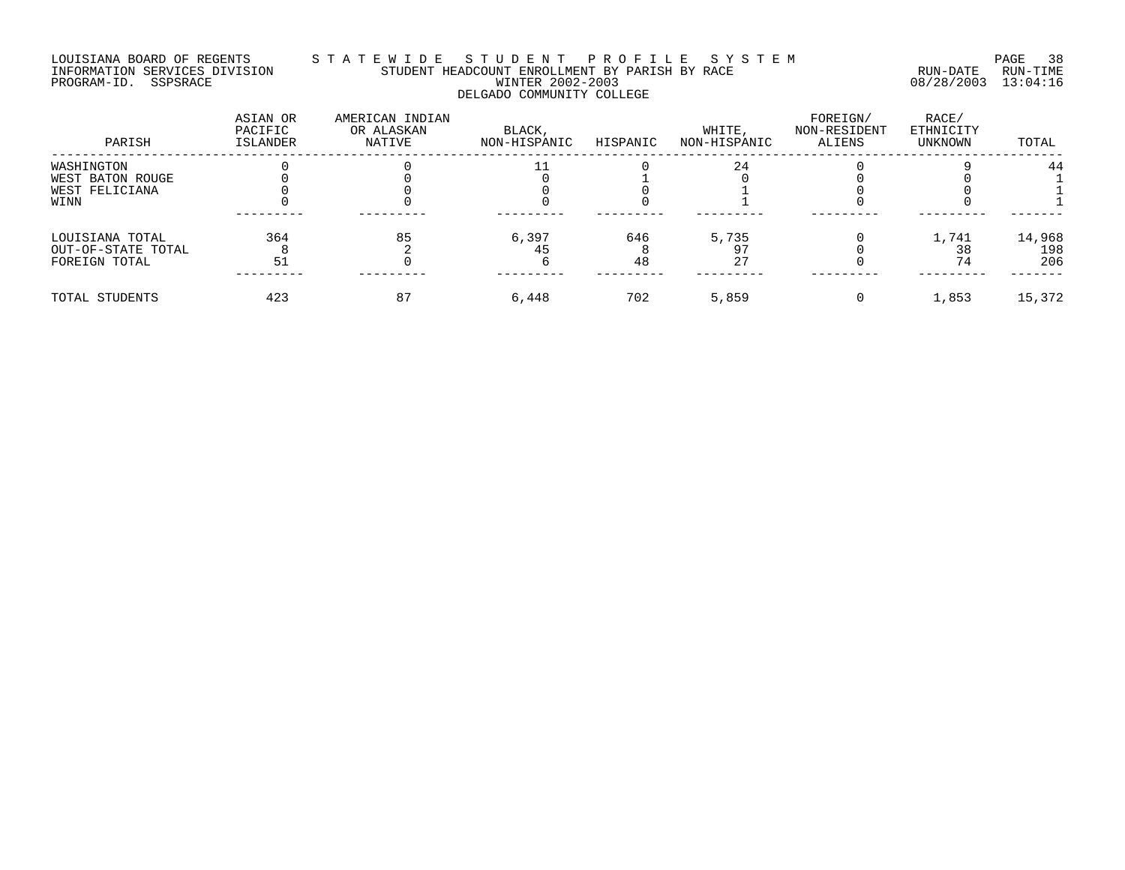#### LOUISIANA BOARD OF REGENTS S T A T E W I D E S T U D E N T P R O F I L E S Y S T E M PAGE 38 INFORMATION SERVICES DIVISION STUDENT HEADCOUNT ENROLLMENT BY PARISH BY RACE RUN-DATE RUN-TIME PROGRAM-ID. SSPSRACE WINTER 2002-2003 08/28/2003 13:04:16 DELGADO COMMUNITY COLLEGE

| PARISH             | ASIAN OR<br>PACIFIC<br>ISLANDER | AMERICAN INDIAN<br>OR ALASKAN<br>NATIVE | BLACK,<br>NON-HISPANIC | HISPANIC | WHITE,<br>NON-HISPANIC | FOREIGN/<br>NON-RESIDENT<br>ALIENS | RACE/<br>ETHNICITY<br>UNKNOWN | TOTAL  |
|--------------------|---------------------------------|-----------------------------------------|------------------------|----------|------------------------|------------------------------------|-------------------------------|--------|
| WASHINGTON         |                                 |                                         |                        |          | 24                     |                                    |                               | 44     |
| WEST BATON ROUGE   |                                 |                                         |                        |          |                        |                                    |                               |        |
| WEST FELICIANA     |                                 |                                         |                        |          |                        |                                    |                               |        |
| WINN               |                                 |                                         |                        |          |                        |                                    |                               |        |
| LOUISIANA TOTAL    | 364                             | 85                                      | 6,397                  | 646      | 5,735                  |                                    | 1,741                         | 14,968 |
| OUT-OF-STATE TOTAL |                                 |                                         |                        |          |                        |                                    |                               | 198    |
| FOREIGN TOTAL      | 51                              |                                         |                        | 48       | 27                     |                                    | 74                            | 206    |
| TOTAL STUDENTS     | 423                             |                                         | 6,448                  | 702      | 5,859                  |                                    | 1,853                         | 15,372 |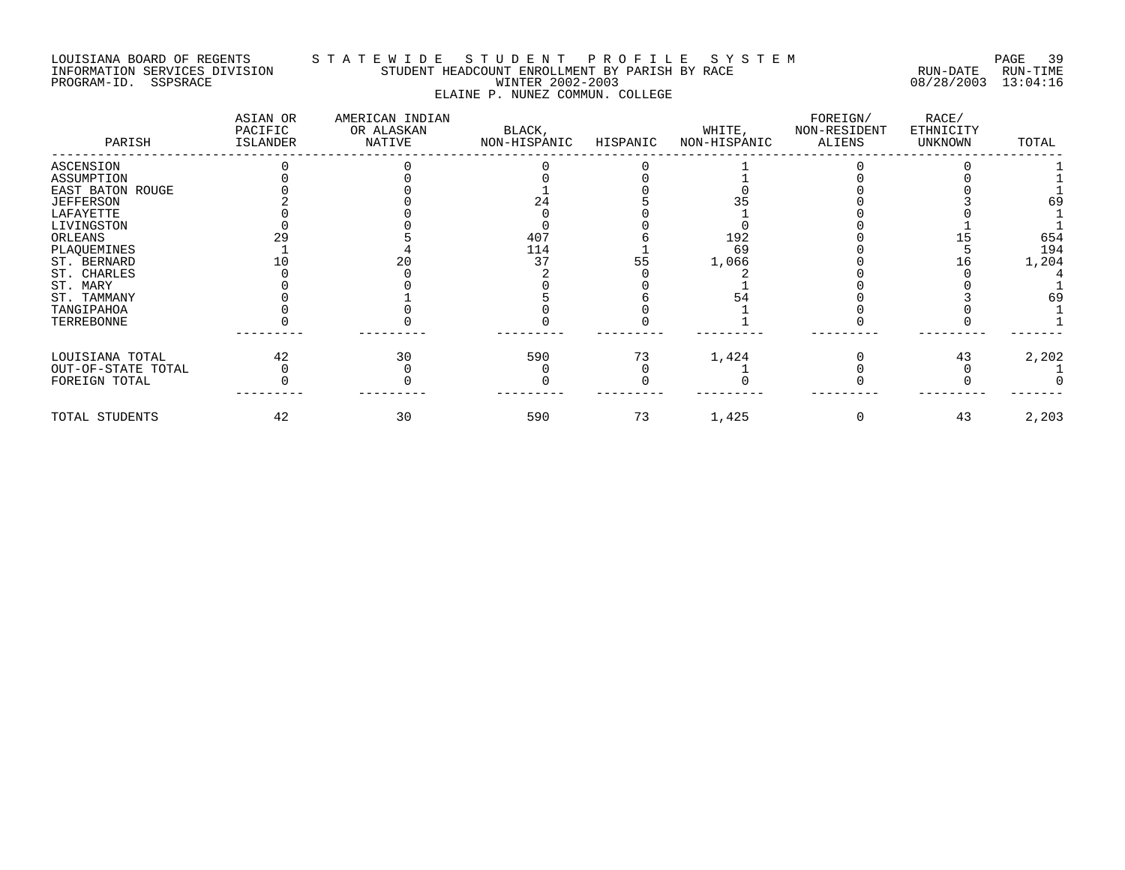#### LOUISIANA BOARD OF REGENTS S T A T E W I D E S T U D E N T P R O F I L E S Y S T E M PAGE 39 INFORMATION SERVICES DIVISION STUDENT HEADCOUNT ENROLLMENT BY PARISH BY RACE RUN-DATE RUN-TIME PROGRAM-ID. SSPSRACE WINTER 2002-2003 08/28/2003 13:04:16 ELAINE P. NUNEZ COMMUN. COLLEGE

| PARISH             | ASIAN OR<br>PACIFIC<br>ISLANDER | AMERICAN INDIAN<br>OR ALASKAN<br>NATIVE | BLACK,<br>NON-HISPANIC | HISPANIC | WHITE,<br>NON-HISPANIC | FOREIGN/<br>NON-RESIDENT<br>ALIENS | RACE/<br>ETHNICITY<br>UNKNOWN | TOTAL |
|--------------------|---------------------------------|-----------------------------------------|------------------------|----------|------------------------|------------------------------------|-------------------------------|-------|
| ASCENSION          |                                 |                                         |                        |          |                        |                                    |                               |       |
| ASSUMPTION         |                                 |                                         |                        |          |                        |                                    |                               |       |
| EAST BATON ROUGE   |                                 |                                         |                        |          |                        |                                    |                               |       |
| <b>JEFFERSON</b>   |                                 |                                         |                        |          |                        |                                    |                               | 69    |
| LAFAYETTE          |                                 |                                         |                        |          |                        |                                    |                               |       |
| LIVINGSTON         |                                 |                                         |                        |          |                        |                                    |                               |       |
| ORLEANS            |                                 |                                         | 407                    |          | 192                    |                                    |                               | 654   |
| PLAQUEMINES        |                                 |                                         | 114                    |          | 69                     |                                    |                               | 194   |
| ST. BERNARD        |                                 |                                         | 37                     | 55       | 1,066                  |                                    |                               | 1,204 |
| ST. CHARLES        |                                 |                                         |                        |          |                        |                                    |                               |       |
| ST. MARY           |                                 |                                         |                        |          |                        |                                    |                               |       |
| ST. TAMMANY        |                                 |                                         |                        |          |                        |                                    |                               | 69    |
| TANGIPAHOA         |                                 |                                         |                        |          |                        |                                    |                               |       |
| TERREBONNE         |                                 |                                         |                        |          |                        |                                    |                               |       |
| LOUISIANA TOTAL    | 42                              | 30                                      | 590                    | 73       | 1,424                  |                                    | 43                            | 2,202 |
| OUT-OF-STATE TOTAL |                                 |                                         |                        |          |                        |                                    |                               |       |
| FOREIGN TOTAL      |                                 |                                         |                        |          |                        |                                    |                               |       |
| TOTAL STUDENTS     | 42                              | 30                                      | 590                    | 73       | 1,425                  |                                    | 43                            | 2,203 |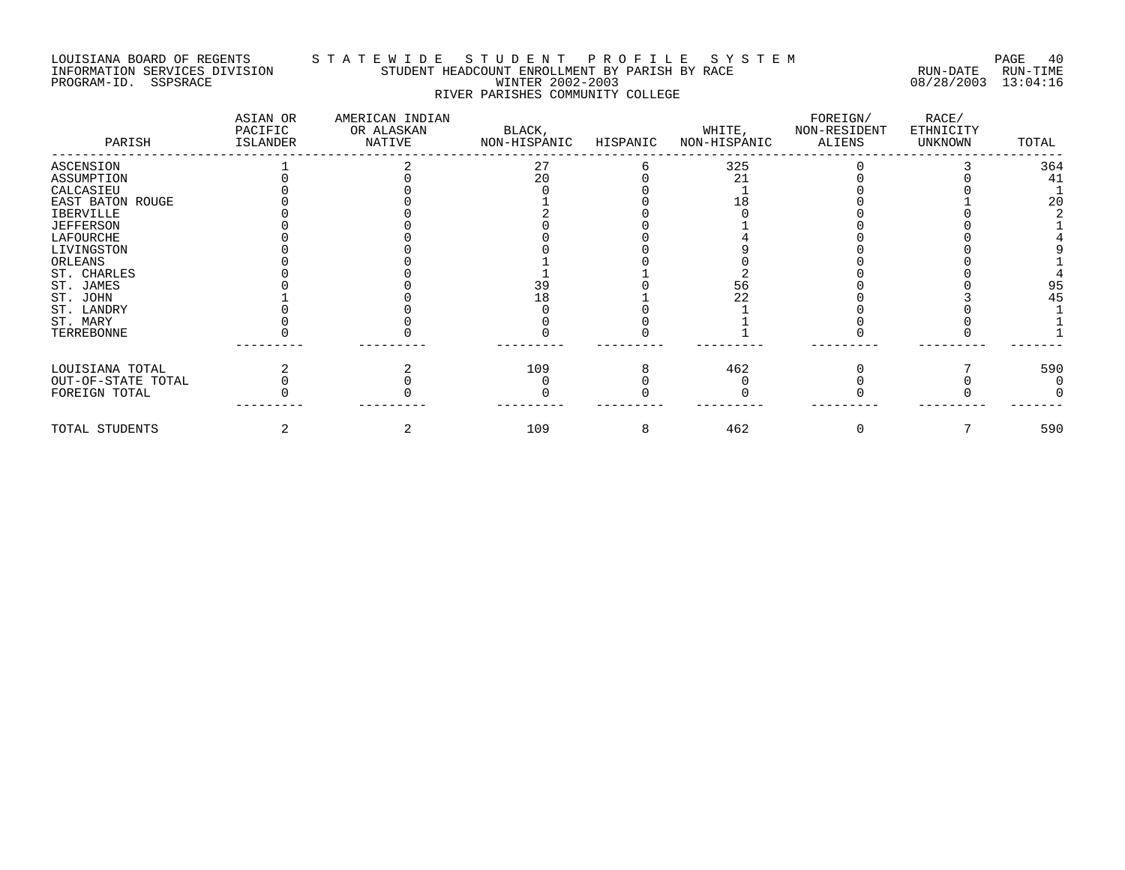#### LOUISIANA BOARD OF REGENTS S T A T E W I D E S T U D E N T P R O F I L E S Y S T E M PAGE 40 INFORMATION SERVICES DIVISION STUDENT HEADCOUNT ENROLLMENT BY PARISH BY RACE RUN-DATE RUN-TIME PROGRAM-ID. SSPSRACE WINTER 2002-2003 08/28/2003 13:04:16 RIVER PARISHES COMMUNITY COLLEGE

| PARISH             | ASIAN OR<br>PACIFIC<br>ISLANDER | AMERICAN INDIAN<br>OR ALASKAN<br>NATIVE | BLACK,<br>NON-HISPANIC | HISPANIC | WHITE,<br>NON-HISPANIC | FOREIGN/<br>NON-RESIDENT<br>ALIENS | RACE/<br>ETHNICITY<br>UNKNOWN | TOTAL |
|--------------------|---------------------------------|-----------------------------------------|------------------------|----------|------------------------|------------------------------------|-------------------------------|-------|
| ASCENSION          |                                 |                                         | 27                     |          | 325                    |                                    |                               | 364   |
| ASSUMPTION         |                                 |                                         | 20                     |          | 21                     |                                    |                               | 41    |
| CALCASIEU          |                                 |                                         |                        |          |                        |                                    |                               |       |
| EAST BATON ROUGE   |                                 |                                         |                        |          |                        |                                    |                               | 20    |
| <b>IBERVILLE</b>   |                                 |                                         |                        |          |                        |                                    |                               |       |
| <b>JEFFERSON</b>   |                                 |                                         |                        |          |                        |                                    |                               |       |
| LAFOURCHE          |                                 |                                         |                        |          |                        |                                    |                               |       |
| LIVINGSTON         |                                 |                                         |                        |          |                        |                                    |                               |       |
| ORLEANS            |                                 |                                         |                        |          |                        |                                    |                               |       |
| ST. CHARLES        |                                 |                                         |                        |          |                        |                                    |                               |       |
| ST. JAMES          |                                 |                                         | 39                     |          |                        |                                    |                               | 95    |
| ST. JOHN           |                                 |                                         | 18                     |          |                        |                                    |                               | 45    |
| ST. LANDRY         |                                 |                                         |                        |          |                        |                                    |                               |       |
| ST. MARY           |                                 |                                         |                        |          |                        |                                    |                               |       |
| TERREBONNE         |                                 |                                         |                        |          |                        |                                    |                               |       |
| LOUISIANA TOTAL    |                                 |                                         | 109                    |          | 462                    |                                    |                               | 590   |
| OUT-OF-STATE TOTAL |                                 |                                         |                        |          |                        |                                    |                               |       |
| FOREIGN TOTAL      |                                 |                                         |                        |          |                        |                                    |                               |       |
| TOTAL STUDENTS     |                                 |                                         | 109                    | 8        | 462                    |                                    |                               | 590   |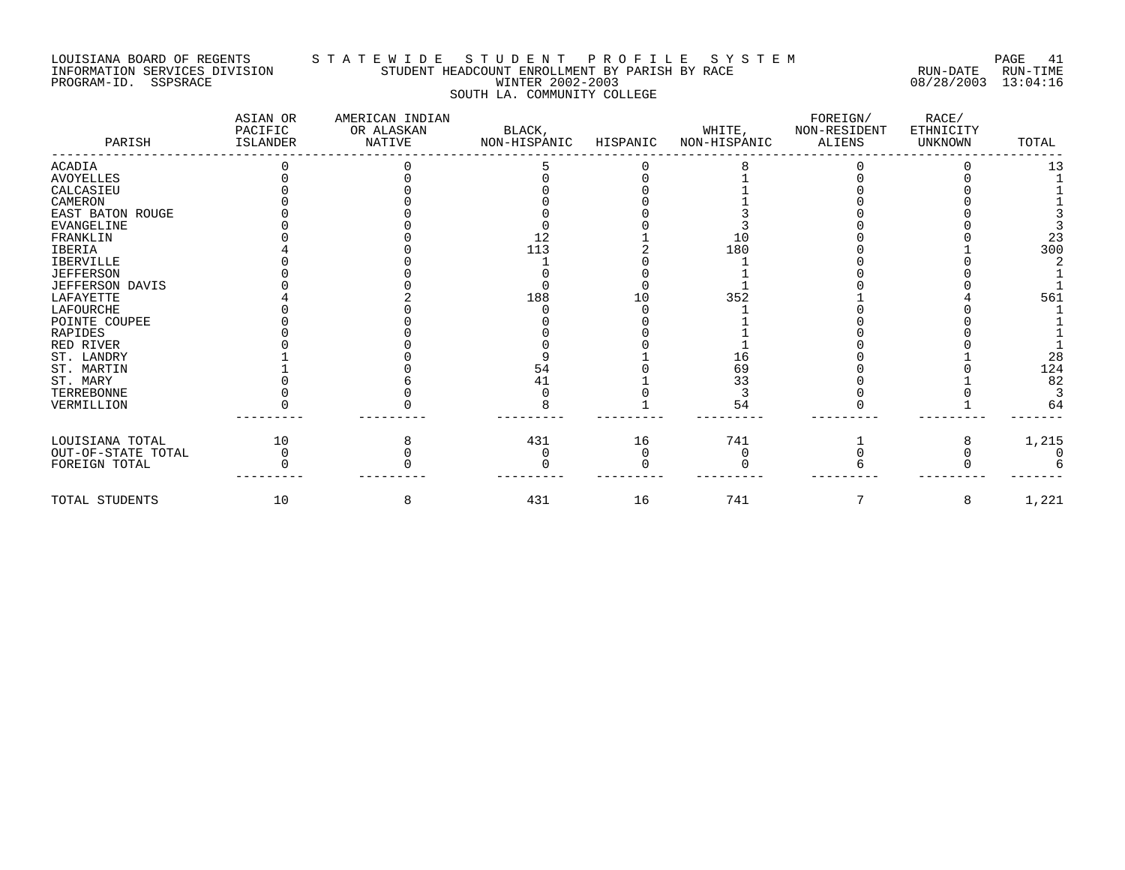#### LOUISIANA BOARD OF REGENTS S T A T E W I D E S T U D E N T P R O F I L E S Y S T E M PAGE 41 INFORMATION SERVICES DIVISION STUDENT HEADCOUNT ENROLLMENT BY PARISH BY RACE RUN-DATE RUN-TIME PROGRAM-ID. SSPSRACE WINTER 2002-2003 08/28/2003 13:04:16 SOUTH LA. COMMUNITY COLLEGE

| PARISH             | ASIAN OR<br>PACIFIC<br><b>ISLANDER</b> | AMERICAN INDIAN<br>OR ALASKAN<br>NATIVE | BLACK,<br>NON-HISPANIC | HISPANIC | WHITE,<br>NON-HISPANIC | FOREIGN/<br>NON-RESIDENT<br><b>ALIENS</b> | RACE/<br>ETHNICITY<br>UNKNOWN | TOTAL |
|--------------------|----------------------------------------|-----------------------------------------|------------------------|----------|------------------------|-------------------------------------------|-------------------------------|-------|
| <b>ACADIA</b>      |                                        |                                         |                        |          |                        |                                           |                               | 13    |
| <b>AVOYELLES</b>   |                                        |                                         |                        |          |                        |                                           |                               |       |
| CALCASIEU          |                                        |                                         |                        |          |                        |                                           |                               |       |
| CAMERON            |                                        |                                         |                        |          |                        |                                           |                               |       |
| EAST BATON ROUGE   |                                        |                                         |                        |          |                        |                                           |                               |       |
| EVANGELINE         |                                        |                                         |                        |          |                        |                                           |                               |       |
| FRANKLIN           |                                        |                                         | 12                     |          | 10                     |                                           |                               | 23    |
| <b>IBERIA</b>      |                                        |                                         | 113                    |          | 180                    |                                           |                               | 300   |
| <b>IBERVILLE</b>   |                                        |                                         |                        |          |                        |                                           |                               |       |
| <b>JEFFERSON</b>   |                                        |                                         |                        |          |                        |                                           |                               |       |
| JEFFERSON DAVIS    |                                        |                                         |                        |          |                        |                                           |                               |       |
| LAFAYETTE          |                                        |                                         | 188                    | 1 ೧      | 352                    |                                           |                               | 561   |
| LAFOURCHE          |                                        |                                         |                        |          |                        |                                           |                               |       |
| POINTE COUPEE      |                                        |                                         |                        |          |                        |                                           |                               |       |
| <b>RAPIDES</b>     |                                        |                                         |                        |          |                        |                                           |                               |       |
| RED RIVER          |                                        |                                         |                        |          |                        |                                           |                               |       |
| ST. LANDRY         |                                        |                                         |                        |          |                        |                                           |                               | 28    |
| ST. MARTIN         |                                        |                                         | 54                     |          | 69                     |                                           |                               | 124   |
| ST. MARY           |                                        |                                         | 41                     |          | 33                     |                                           |                               | 82    |
| TERREBONNE         |                                        |                                         |                        |          |                        |                                           |                               |       |
| VERMILLION         |                                        |                                         |                        |          | 54                     |                                           |                               | 64    |
| LOUISIANA TOTAL    | 10                                     |                                         | 431                    | 16       | 741                    |                                           |                               | 1,215 |
| OUT-OF-STATE TOTAL |                                        |                                         |                        |          |                        |                                           |                               |       |
| FOREIGN TOTAL      |                                        |                                         |                        |          |                        |                                           |                               |       |
| TOTAL STUDENTS     | 10                                     | 8                                       | 431                    | 16       | 741                    |                                           | 8                             | 1,221 |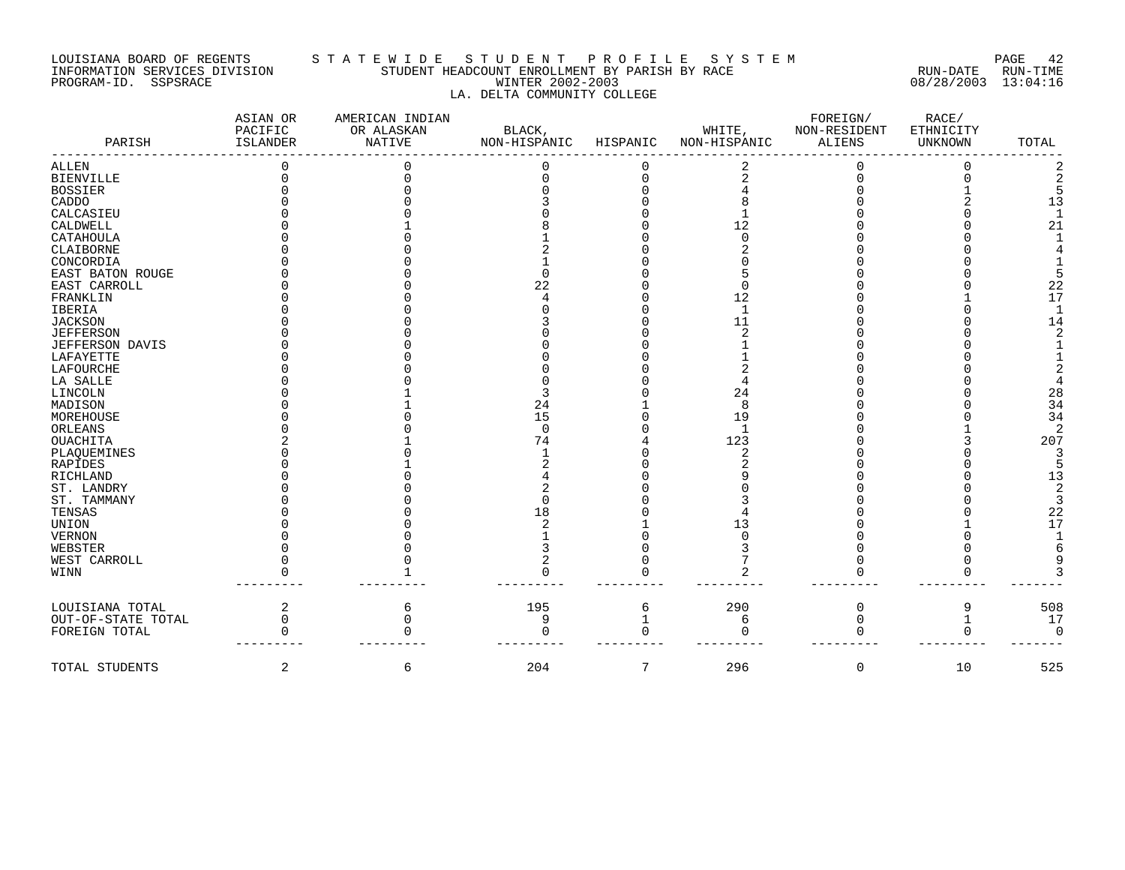#### LOUISIANA BOARD OF REGENTS S T A T E W I D E S T U D E N T P R O F I L E S Y S T E M PAGE 42 INFORMATION SERVICES DIVISION STUDENT HEADCOUNT ENROLLMENT BY PARISH BY RACE RUN-DATE RUN-TIME PROGRAM-ID. SSPSRACE WINTER 2002-2003 08/28/2003 13:04:16 LA. DELTA COMMUNITY COLLEGE

| PARISH             | ASIAN OR<br>PACIFIC<br>ISLANDER | AMERICAN INDIAN<br>OR ALASKAN<br><b>NATIVE</b> | BLACK,<br>NON-HISPANIC | HISPANIC | WHITE,<br>NON-HISPANIC | FOREIGN/<br>NON-RESIDENT<br><b>ALIENS</b> | RACE/<br>ETHNICITY<br><b>UNKNOWN</b> | TOTAL |
|--------------------|---------------------------------|------------------------------------------------|------------------------|----------|------------------------|-------------------------------------------|--------------------------------------|-------|
| ALLEN              |                                 |                                                |                        |          |                        |                                           |                                      |       |
| <b>BIENVILLE</b>   |                                 |                                                |                        | $\Omega$ |                        |                                           |                                      |       |
| <b>BOSSIER</b>     |                                 |                                                |                        |          |                        |                                           |                                      |       |
| CADDO              |                                 |                                                |                        |          |                        |                                           |                                      | 13    |
| CALCASIEU          |                                 |                                                |                        |          |                        |                                           |                                      |       |
| CALDWELL           |                                 |                                                |                        |          | 12                     |                                           |                                      | 21    |
| CATAHOULA          |                                 |                                                |                        |          |                        |                                           |                                      |       |
| CLAIBORNE          |                                 |                                                |                        |          |                        |                                           |                                      |       |
| CONCORDIA          |                                 |                                                |                        |          |                        |                                           |                                      |       |
| EAST BATON ROUGE   |                                 |                                                |                        |          |                        |                                           |                                      |       |
| EAST CARROLL       |                                 |                                                | 22                     |          |                        |                                           |                                      | 22    |
| FRANKLIN           |                                 |                                                |                        |          | 12                     |                                           |                                      | 17    |
| IBERIA             |                                 |                                                |                        |          | 1                      |                                           |                                      |       |
| <b>JACKSON</b>     |                                 |                                                |                        |          | 11                     |                                           |                                      | 14    |
| <b>JEFFERSON</b>   |                                 |                                                |                        |          |                        |                                           |                                      |       |
| JEFFERSON DAVIS    |                                 |                                                |                        |          |                        |                                           |                                      |       |
| LAFAYETTE          |                                 |                                                |                        |          |                        |                                           |                                      |       |
| LAFOURCHE          |                                 |                                                |                        |          |                        |                                           |                                      |       |
| LA SALLE           |                                 |                                                |                        |          |                        |                                           |                                      |       |
| LINCOLN            |                                 |                                                |                        |          | 24                     |                                           |                                      | 28    |
| MADISON            |                                 |                                                | 24                     |          | 8                      |                                           |                                      | 34    |
| MOREHOUSE          |                                 |                                                | 15                     |          | 19                     |                                           |                                      | 34    |
| ORLEANS            |                                 |                                                | $\Omega$               |          |                        |                                           |                                      |       |
| OUACHITA           |                                 |                                                | 74                     |          | 123                    |                                           |                                      | 207   |
| PLAQUEMINES        |                                 |                                                |                        |          |                        |                                           |                                      |       |
| RAPIDES            |                                 |                                                |                        |          |                        |                                           |                                      |       |
| RICHLAND           |                                 |                                                |                        |          |                        |                                           |                                      | 13    |
| ST. LANDRY         |                                 |                                                |                        |          |                        |                                           |                                      |       |
| ST. TAMMANY        |                                 |                                                |                        |          |                        |                                           |                                      |       |
| TENSAS             |                                 |                                                | 18                     |          |                        |                                           |                                      | 22    |
| UNION              |                                 |                                                |                        |          | 13                     |                                           |                                      | 17    |
| VERNON             |                                 |                                                |                        |          |                        |                                           |                                      |       |
| WEBSTER            |                                 |                                                |                        |          |                        |                                           |                                      |       |
| WEST CARROLL       |                                 |                                                |                        |          |                        |                                           |                                      |       |
| WINN               |                                 |                                                |                        |          |                        |                                           |                                      |       |
| LOUISIANA TOTAL    | 2                               | 6                                              | 195                    | 6        | 290                    | 0                                         | 9                                    | 508   |
| OUT-OF-STATE TOTAL | 0                               |                                                | 9                      |          | 6                      | 0                                         |                                      | 17    |
| FOREIGN TOTAL      |                                 |                                                |                        |          |                        |                                           |                                      |       |
| TOTAL STUDENTS     | 2                               | 6                                              | 204                    | 7        | 296                    | 0                                         | 10                                   | 525   |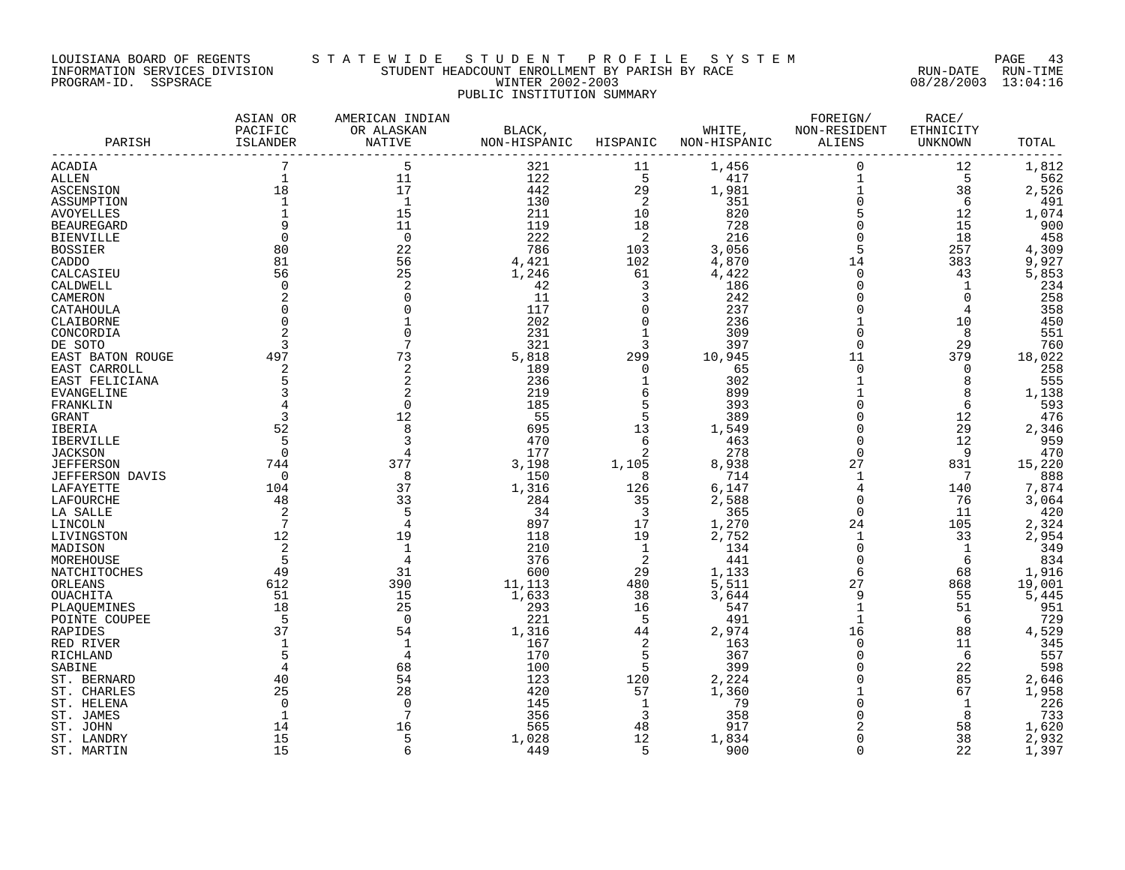#### LOUISIANA BOARD OF REGENTS S T A T E W I D E S T U D E N T P R O F I L E S Y S T E M PAGE 43 INFORMATION SERVICES DIVISION STUDENT HEADCOUNT ENROLLMENT BY PARISH BY RACE RUN-DATE RUN-TIME PROGRAM-ID. SSPSRACE WINTER 2002-2003 08/28/2003 13:04:16 PUBLIC INSTITUTION SUMMARY

| PARISH                 | ASIAN OR<br>PACIFIC<br>ISLANDER | AMERICAN INDIAN<br>OR ALASKAN<br>NATIVE |               |                                        | BLACK, WHITE, NON-RESIDENT<br>NON-HISPANIC HISPANIC NON-HISPANIC | FOREIGN/<br>ALIENS       | RACE/<br>ETHNICITY<br>UNKNOWN          | TOTAL  |
|------------------------|---------------------------------|-----------------------------------------|---------------|----------------------------------------|------------------------------------------------------------------|--------------------------|----------------------------------------|--------|
| ACADIA                 |                                 |                                         | 321           | 11                                     | 1,456                                                            | $\mathsf 0$              | 12                                     | 1,812  |
| ALLEN                  | $\mathbf{1}$                    | 11                                      | 122           | $5^{\circ}$                            | 417                                                              | $\mathbf{1}$             | $-5$                                   | 562    |
| <b>ASCENSION</b>       | 18                              | 17                                      | 442           | 29                                     | 1,981                                                            |                          |                                        | 2,526  |
| ASSUMPTION             | $\mathbf{1}$                    | $\overline{1}$                          | 130           | $\overline{\phantom{0}}^2$             | 351                                                              | $\overline{\frac{1}{0}}$ | $\begin{array}{c} 38 \\ 6 \end{array}$ | 491    |
| AVOYELLES              |                                 | 15                                      | 211           | 10                                     | 820                                                              | $\overline{5}$           | 12                                     | 1,074  |
| <b>BEAUREGARD</b>      |                                 | 11                                      | 119           | 18                                     | 820<br>728<br>216                                                | $\mathsf 0$              | 15                                     | 900    |
| <b>BIENVILLE</b>       | $\Omega$                        | $\overline{0}$                          | 222           | $\overline{\phantom{0}}^2$             |                                                                  | $\mathsf 0$              | 18                                     | 458    |
| <b>BOSSIER</b>         | 80                              | 22                                      | 786           | $\frac{103}{102}$                      | 3,056<br>4,870                                                   | 5                        | 257                                    | 4,309  |
| CADDO                  | 81                              | 56                                      | 4,421         |                                        |                                                                  | 14                       | 383                                    | 9,927  |
| CALCASIEU              | 56                              | 25                                      | 1,246         | 61                                     | 4,422                                                            | $\mathbf 0$              | 43                                     | 5,853  |
| CALDWELL               | $\Omega$                        |                                         | 42            |                                        | 186                                                              | $\mathbf 0$              | 1                                      | 234    |
| CAMERON                |                                 |                                         | 11            | $\frac{3}{3}$                          | 242                                                              | $\overline{0}$           | $\overline{0}$                         | 258    |
| CATAHOULA              |                                 |                                         | 117           | $\mathbf 0$                            | 237                                                              | $\mathbf 0$              | 4                                      | 358    |
| CLAIBORNE              | $\mathbf 0$                     |                                         | 202           | $\overline{0}$                         | 236                                                              |                          | 10                                     | 450    |
| CONCORDIA              |                                 |                                         | 231           | $\mathbf{1}$                           | 309                                                              | $\overline{0}$           | 8                                      | 551    |
| DE SOTO                | 3                               |                                         | 321           | $\overline{3}$                         | 397                                                              | $\Omega$                 | 29                                     | 760    |
| EAST BATON ROUGE       | 497                             | 73                                      | 5,818         | 299                                    | 10,945                                                           | 11                       | 379                                    | 18,022 |
| EAST CARROLL           | 2                               | 2                                       | 189           | $\overline{0}$                         | 65                                                               | $\mathbf 0$              | $\overline{0}$                         | 258    |
| EAST FELICIANA         | 5                               |                                         | 236           | $\overline{\phantom{a}}$               | 302                                                              | $\mathbf{1}$             | 8                                      | 555    |
| EVANGELINE             | $\overline{\mathbf{3}}$         |                                         | 219           | $6\overline{6}$                        | 899                                                              | $\mathbf{1}$             | 8                                      | 1,138  |
| FRANKLIN               |                                 |                                         | 185           | 5                                      | 393                                                              | $\overline{0}$           | 6                                      | 593    |
| GRANT                  | $\overline{\mathbf{3}}$         | 12                                      | 55            | 5                                      | 389                                                              | $\mathbf 0$              | 12                                     | 476    |
| IBERIA                 | 52                              |                                         | 695           | 13                                     | 1,549                                                            | $\mathbf 0$              | 29                                     | 2,346  |
| IBERVILLE              | - 5                             |                                         | 470           |                                        |                                                                  | $\overline{0}$           | 12                                     | 959    |
| <b>JACKSON</b>         | $\overline{0}$                  |                                         | 177           | $\begin{array}{c} 6 \\ 2 \end{array}$  | $\frac{463}{278}$                                                | $\Omega$                 | - 9                                    | 470    |
| <b>JEFFERSON</b>       |                                 | 377                                     | 3,198         | 1,105                                  |                                                                  | 27                       | 831                                    | 15,220 |
| <b>JEFFERSON DAVIS</b> | $74\overline{4}$                |                                         | 150           | $\overline{8}$                         | 8,938<br>714                                                     | 1                        | $\overline{7}$                         | 888    |
| LAFAYETTE              | 104                             | $\frac{8}{37}$<br>37                    | 1,316         | 126                                    | 6,147                                                            | $\overline{4}$           | 140                                    | 7,874  |
| LAFOURCHE              | 48                              | 33                                      | 284           |                                        | 2,588                                                            | $\mathbf 0$              | 76                                     | 3,064  |
| LA SALLE               | $\overline{\phantom{0}}^2$      |                                         | 34            | $\begin{array}{c} 35 \\ 3 \end{array}$ | 365                                                              | $\mathbf 0$              | 11                                     | 420    |
| LINCOLN                | $\overline{7}$                  |                                         | 897           | 17                                     | 1,270                                                            | 24                       | 105                                    | 2,324  |
| LIVINGSTON             | 12                              | 19                                      | 118           | 19                                     | 2,752                                                            | <sup>1</sup>             | 33                                     | 2,954  |
| MADISON                | 2                               |                                         | 210           | $\overline{1}$                         | 134                                                              | 0                        | $\overline{1}$                         | 349    |
| MOREHOUSE              | - 5                             |                                         | 376           | $\overline{2}$                         | 441                                                              | $\overline{0}$           | - 6                                    | 834    |
| NATCHITOCHES           | 49                              | 31                                      | 600           | 29                                     |                                                                  | 6                        | 68                                     | 1,916  |
| ORLEANS                | 612                             | 390                                     | 600<br>11,113 | 480                                    | 1,133<br>5,511                                                   | 27                       | 868                                    | 19,001 |
| OUACHITA               | 51                              | 15                                      | 1,633         | 38                                     | 3,644                                                            | 9                        | 55                                     | 5,445  |
| PLAOUEMINES            | 18                              | 25                                      | 293           | 16                                     | 547                                                              |                          | 51                                     | 951    |
| POINTE COUPEE          | $-5$                            | $\Omega$                                | 221           | $-5$                                   | 491                                                              | $\mathbf{1}$             | 6                                      | 729    |
| RAPIDES                | 37                              | 54                                      | 1,316         | 44                                     |                                                                  | 16                       | 88                                     | 4,529  |
| RED RIVER              |                                 |                                         | 167           | $\overline{\phantom{a}}$               | 2,974                                                            | $\mathbf 0$              | 11                                     | 345    |
|                        |                                 |                                         | 170           | $-5$                                   | 163<br>367                                                       | $\mathbf 0$              | -6                                     | 557    |
| RICHLAND<br>SABINE     |                                 | 68                                      | 100           | $-5$                                   | 399                                                              | $\Omega$                 | 22                                     | 598    |
|                        | 40                              | 54                                      | 123           | 120                                    | 2,224                                                            | $\mathbf 0$              | 85                                     | 2,646  |
| ST. BERNARD            | 25                              | 28                                      |               | 57                                     |                                                                  | $\mathbf{1}$             | 67                                     |        |
| ST. CHARLES            | $\Omega$                        | $\Omega$                                | 420           |                                        | 1,360                                                            | $\overline{0}$           |                                        | 1,958  |
| ST. HELENA             | -1                              |                                         | 145           | $\frac{1}{3}$                          | 79                                                               |                          | 1                                      | 226    |
| ST. JAMES              |                                 |                                         | 356           |                                        | 358                                                              |                          | - 8                                    | 733    |
| ST. JOHN               | 14                              | 16                                      | 565           | 48                                     | 917                                                              |                          | 58                                     | 1,620  |
| ST. LANDRY             | 15                              |                                         | 1,028         | 12                                     | 1,834                                                            | $\mathbf 0$              | 38                                     | 2,932  |
| ST. MARTIN             | 15                              | 6                                       | 449           | - 5                                    | 900                                                              | $\Omega$                 | 22                                     | 1,397  |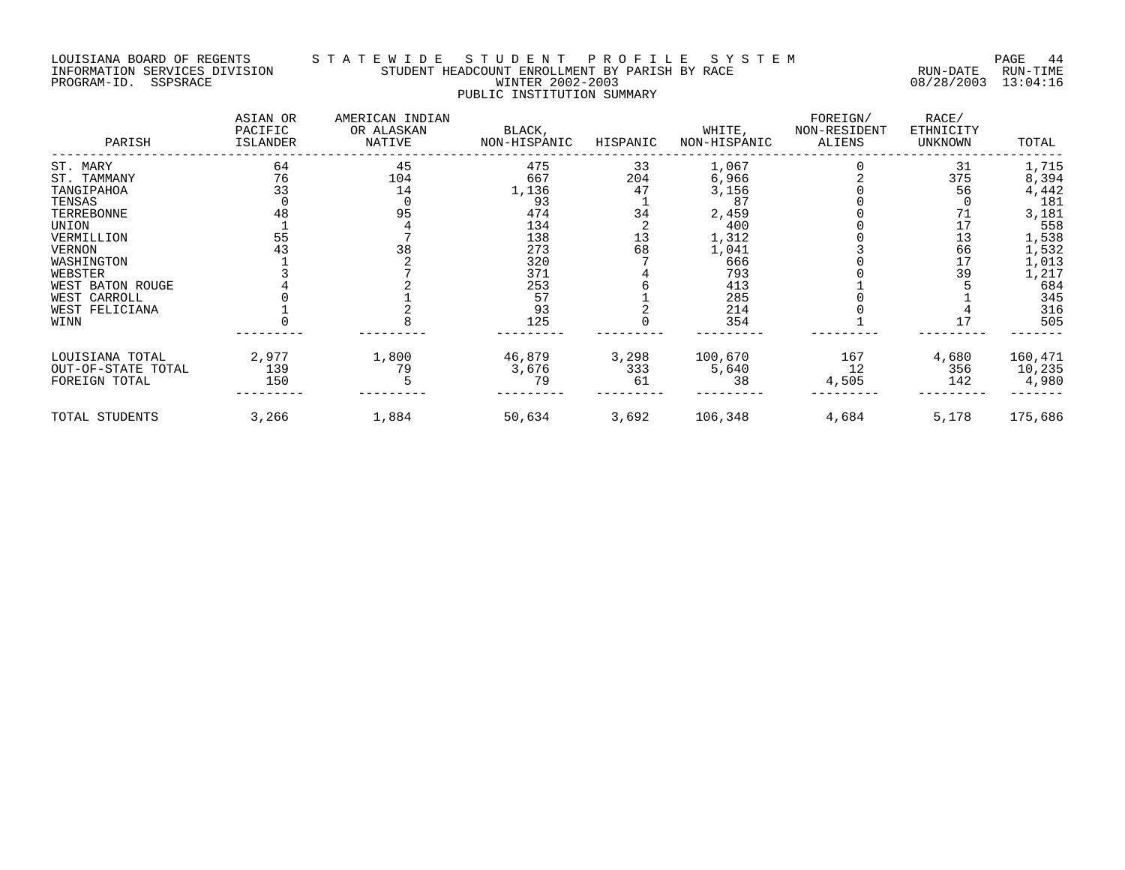#### LOUISIANA BOARD OF REGENTS S T A T E W I D E S T U D E N T P R O F I L E S Y S T E M PAGE 44 INFORMATION SERVICES DIVISION STUDENT HEADCOUNT ENROLLMENT BY PARISH BY RACE RUN-DATE RUN-TIME PROGRAM-ID. SSPSRACE WINTER 2002-2003 08/28/2003 13:04:16 PUBLIC INSTITUTION SUMMARY

| PARISH             | ASIAN OR<br>PACIFIC<br>ISLANDER | AMERICAN INDIAN<br>OR ALASKAN<br>NATIVE | BLACK,<br>NON-HISPANIC | HISPANIC | WHITE,<br>NON-HISPANIC | FOREIGN/<br>NON-RESIDENT<br>ALIENS | RACE/<br>ETHNICITY<br>UNKNOWN | TOTAL   |
|--------------------|---------------------------------|-----------------------------------------|------------------------|----------|------------------------|------------------------------------|-------------------------------|---------|
| ST. MARY           | 64                              | 45                                      | 475                    | 33       | 1,067                  |                                    | 31                            | 1,715   |
| ST. TAMMANY        | 76                              | 104                                     | 667                    | 204      | 6,966                  |                                    | 375                           | 8,394   |
| TANGIPAHOA         | 33                              | 14                                      | 1,136                  | 47       | 3,156                  |                                    | 56                            | 4,442   |
| TENSAS             |                                 |                                         | 93                     |          | 87                     |                                    |                               | 181     |
| TERREBONNE         | 48                              | 95                                      | 474                    | 34       | 2,459                  |                                    | 71                            | 3,181   |
| UNION              |                                 |                                         | 134                    |          | 400                    |                                    | 17                            | 558     |
| VERMILLION         | 55                              |                                         | 138                    | 13       | 1,312                  |                                    | 13                            | 1,538   |
| <b>VERNON</b>      | 43                              | 38                                      | 273                    | 68       | 1,041                  |                                    | 66                            | 1,532   |
| WASHINGTON         |                                 |                                         | 320                    |          | 666                    |                                    | 17                            | 1,013   |
| WEBSTER            |                                 |                                         | 371                    |          | 793                    |                                    | 39                            | 1,217   |
| WEST BATON ROUGE   |                                 |                                         | 253                    |          | 413                    |                                    |                               | 684     |
| WEST CARROLL       |                                 |                                         | 57                     |          | 285                    |                                    |                               | 345     |
| WEST FELICIANA     |                                 |                                         | 93                     |          | 214                    |                                    |                               | 316     |
| WINN               |                                 |                                         | 125                    |          | 354                    |                                    | 17                            | 505     |
| LOUISIANA TOTAL    | 2,977                           | 1,800                                   | 46,879                 | 3,298    | 100,670                | 167                                | 4,680                         | 160,471 |
| OUT-OF-STATE TOTAL | 139                             | 79                                      | 3,676                  | 333      | 5,640                  | 12                                 | 356                           | 10,235  |
| FOREIGN TOTAL      | 150                             |                                         | 79                     | 61       | 38                     | 4,505                              | 142                           | 4,980   |
| TOTAL STUDENTS     | 3,266                           | 1,884                                   | 50,634                 | 3,692    | 106,348                | 4,684                              | 5,178                         | 175,686 |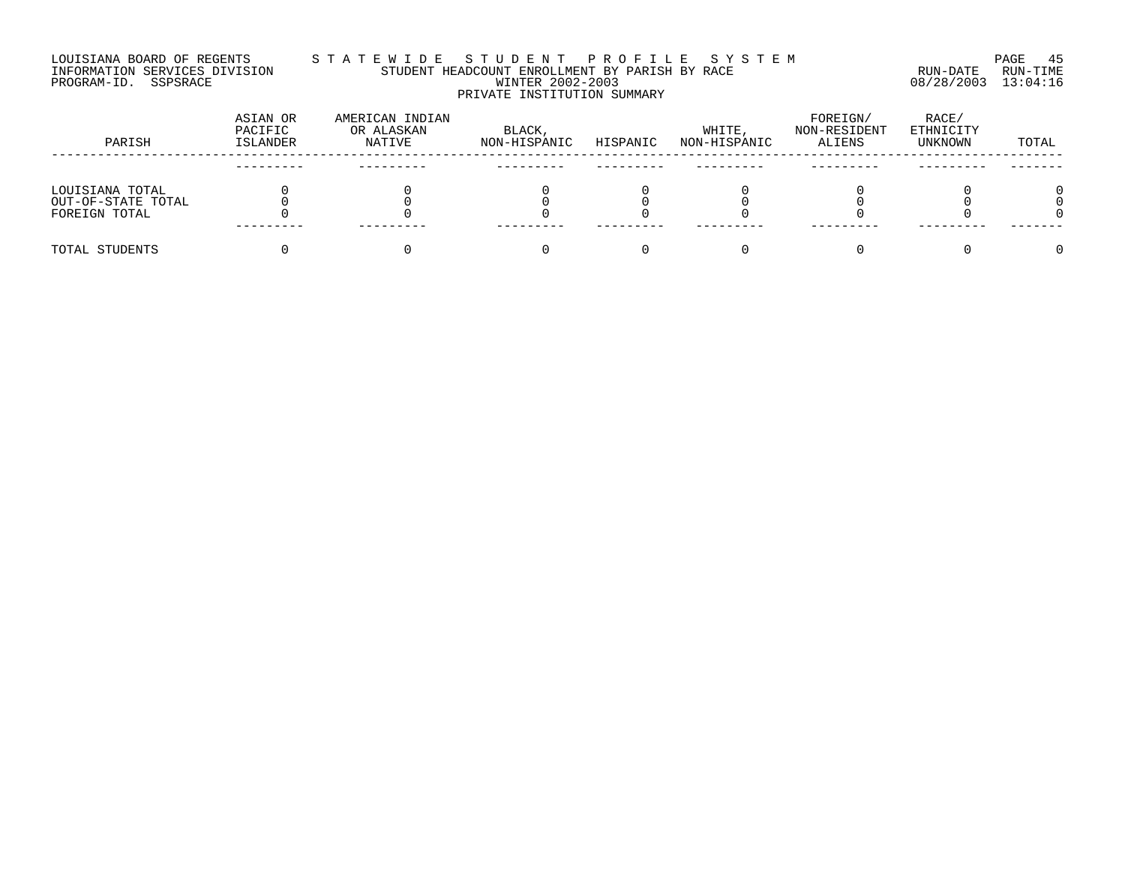#### LOUISIANA BOARD OF REGENTS S T A T E W I D E S T U D E N T P R O F I L E S Y S T E M PAGE 45 INFORMATION SERVICES DIVISION STUDENT HEADCOUNT ENROLLMENT BY PARISH BY RACE RUN-DATE RUN-TIME PROGRAM-ID. SSPSRACE WINTER 2002-2003 08/28/2003 13:04:16 PRIVATE INSTITUTION SUMMARY

| PARISH             | ASIAN OR<br>PACIFIC<br><b>ISLANDER</b> | AMERICAN INDIAN<br>OR ALASKAN<br>NATIVE | BLACK,<br>NON-HISPANIC | HISPANIC | WHITE,<br>NON-HISPANIC | FOREIGN/<br>NON-RESIDENT<br>ALIENS | RACE/<br>ETHNICITY<br>UNKNOWN | TOTAL |
|--------------------|----------------------------------------|-----------------------------------------|------------------------|----------|------------------------|------------------------------------|-------------------------------|-------|
|                    |                                        |                                         |                        |          |                        |                                    |                               |       |
| LOUISIANA TOTAL    |                                        |                                         |                        |          |                        |                                    |                               |       |
| OUT-OF-STATE TOTAL |                                        |                                         |                        |          |                        |                                    |                               |       |
| FOREIGN TOTAL      |                                        |                                         |                        |          |                        |                                    |                               |       |
|                    |                                        |                                         |                        |          |                        |                                    |                               |       |
| TOTAL STUDENTS     |                                        |                                         |                        |          |                        |                                    |                               |       |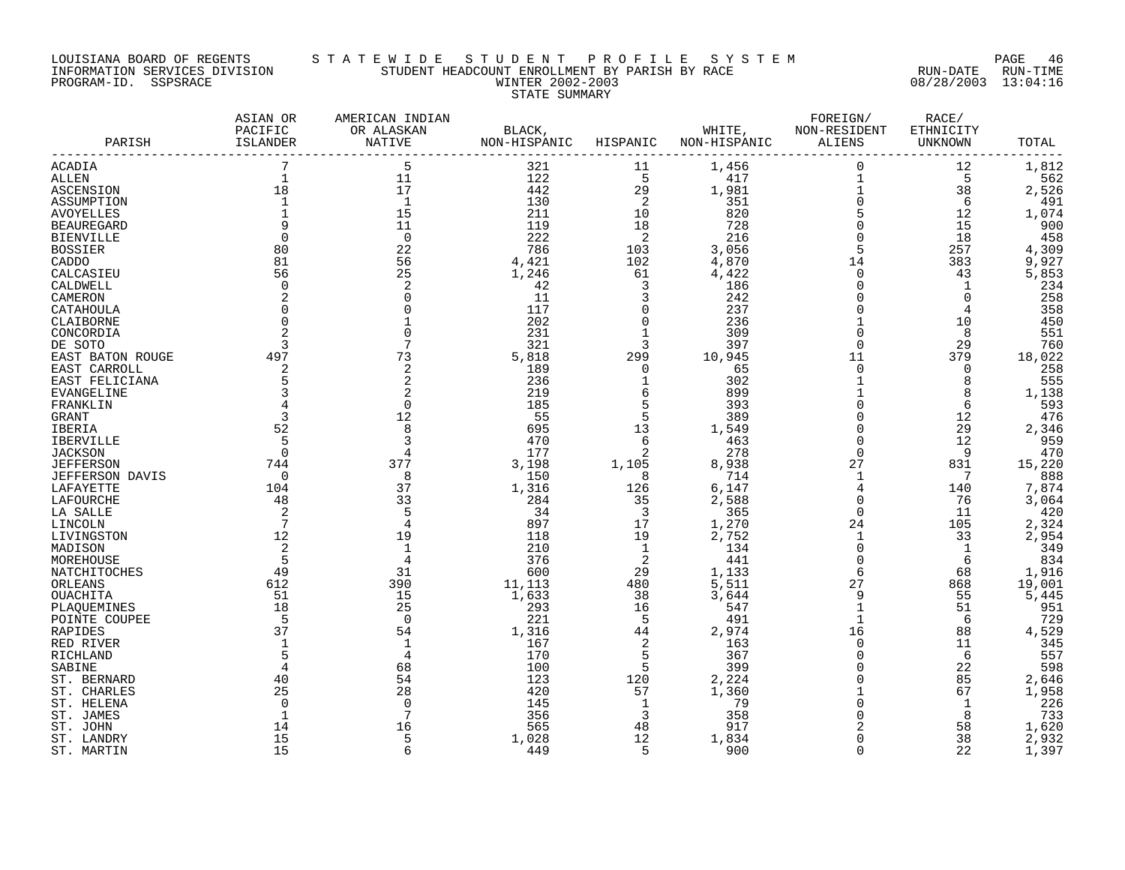#### LOUISIANA BOARD OF REGENTS S T A T E W I D E S T U D E N T P R O F I L E S Y S T E M PAGE 46 INFORMATION SERVICES DIVISION STUDENT HEADCOUNT ENROLLMENT BY PARISH BY RACE RUN-DATE RUN-TIME PROGRAM-ID. SSPSRACE WINTER 2002-2003 08/28/2003 13:04:16 STATE SUMMARY

| 7<br>5<br>1,456<br>$\mathbf 0$<br>321<br>12<br>ACADIA<br>11<br>$\mathbf{1}$<br>5<br>$\mathbf{1}$<br>11<br>122<br>417<br>5<br><b>ALLEN</b><br>$1\,$<br>17<br>18<br>442<br>ASCENSION<br>29<br>1,981<br>38<br>$\mathbf 0$<br>$\mathbf{1}$<br>$\mathbf{1}$<br>130<br>$\overline{c}$<br>351<br>ASSUMPTION<br>6<br>$\begin{array}{c} 5 \\ 0 \end{array}$<br>211<br>15<br>10<br>820<br>12<br><b>AVOYELLES</b><br>11<br>119<br><b>BEAUREGARD</b><br>9<br>18<br>728<br>15<br>$\overline{0}$<br>$\Omega$<br>$\Omega$<br>222<br>2<br>216<br>18<br><b>BIENVILLE</b><br>5<br>80<br>22<br>786<br>103<br>3,056<br>257<br><b>BOSSIER</b><br>81<br>56<br>4,421<br>102<br>4,870<br>14<br>383<br>CADDO<br>25<br>61<br>$\mathbf 0$<br>CALCASIEU<br>56<br>1,246<br>4,422<br>43<br>42<br>3<br>$\Omega$<br>$\mathbf 1$<br>CALDWELL<br>$\Omega$<br>2<br>186<br>$\overline{0}$<br>2<br>11<br>3<br>$\overline{0}$<br>CAMERON<br>242<br>117<br>$\mathbf 0$<br>$\Omega$<br>237<br>4<br>CATAHOULA<br>$\mathbf 0$<br>202<br>$\Omega$<br>236<br>$\mathbf{1}$<br>10<br>CLAIBORNE<br>231<br>309<br>$\mathbf 0$<br>8<br>CONCORDIA<br>321<br>3<br>397<br>$\mathbf 0$<br>29<br>DE SOTO<br>3<br>73<br>497<br>5,818<br>299<br>10,945<br>11<br>379<br>EAST BATON ROUGE<br>$\overline{0}$<br>2<br>$\overline{2}$<br>189<br>$\Omega$<br>65<br>$\overline{0}$<br>EAST CARROLL | 1,812<br>562<br>2,526<br>491 |
|-------------------------------------------------------------------------------------------------------------------------------------------------------------------------------------------------------------------------------------------------------------------------------------------------------------------------------------------------------------------------------------------------------------------------------------------------------------------------------------------------------------------------------------------------------------------------------------------------------------------------------------------------------------------------------------------------------------------------------------------------------------------------------------------------------------------------------------------------------------------------------------------------------------------------------------------------------------------------------------------------------------------------------------------------------------------------------------------------------------------------------------------------------------------------------------------------------------------------------------------------------------------------------------------------------------------------------------|------------------------------|
|                                                                                                                                                                                                                                                                                                                                                                                                                                                                                                                                                                                                                                                                                                                                                                                                                                                                                                                                                                                                                                                                                                                                                                                                                                                                                                                                     |                              |
|                                                                                                                                                                                                                                                                                                                                                                                                                                                                                                                                                                                                                                                                                                                                                                                                                                                                                                                                                                                                                                                                                                                                                                                                                                                                                                                                     |                              |
|                                                                                                                                                                                                                                                                                                                                                                                                                                                                                                                                                                                                                                                                                                                                                                                                                                                                                                                                                                                                                                                                                                                                                                                                                                                                                                                                     |                              |
|                                                                                                                                                                                                                                                                                                                                                                                                                                                                                                                                                                                                                                                                                                                                                                                                                                                                                                                                                                                                                                                                                                                                                                                                                                                                                                                                     |                              |
|                                                                                                                                                                                                                                                                                                                                                                                                                                                                                                                                                                                                                                                                                                                                                                                                                                                                                                                                                                                                                                                                                                                                                                                                                                                                                                                                     | 1,074                        |
|                                                                                                                                                                                                                                                                                                                                                                                                                                                                                                                                                                                                                                                                                                                                                                                                                                                                                                                                                                                                                                                                                                                                                                                                                                                                                                                                     | 900                          |
|                                                                                                                                                                                                                                                                                                                                                                                                                                                                                                                                                                                                                                                                                                                                                                                                                                                                                                                                                                                                                                                                                                                                                                                                                                                                                                                                     | 458                          |
|                                                                                                                                                                                                                                                                                                                                                                                                                                                                                                                                                                                                                                                                                                                                                                                                                                                                                                                                                                                                                                                                                                                                                                                                                                                                                                                                     | 4,309                        |
|                                                                                                                                                                                                                                                                                                                                                                                                                                                                                                                                                                                                                                                                                                                                                                                                                                                                                                                                                                                                                                                                                                                                                                                                                                                                                                                                     | 9,927                        |
|                                                                                                                                                                                                                                                                                                                                                                                                                                                                                                                                                                                                                                                                                                                                                                                                                                                                                                                                                                                                                                                                                                                                                                                                                                                                                                                                     | 5,853                        |
|                                                                                                                                                                                                                                                                                                                                                                                                                                                                                                                                                                                                                                                                                                                                                                                                                                                                                                                                                                                                                                                                                                                                                                                                                                                                                                                                     | 234                          |
|                                                                                                                                                                                                                                                                                                                                                                                                                                                                                                                                                                                                                                                                                                                                                                                                                                                                                                                                                                                                                                                                                                                                                                                                                                                                                                                                     | 258                          |
|                                                                                                                                                                                                                                                                                                                                                                                                                                                                                                                                                                                                                                                                                                                                                                                                                                                                                                                                                                                                                                                                                                                                                                                                                                                                                                                                     | 358                          |
|                                                                                                                                                                                                                                                                                                                                                                                                                                                                                                                                                                                                                                                                                                                                                                                                                                                                                                                                                                                                                                                                                                                                                                                                                                                                                                                                     | 450                          |
|                                                                                                                                                                                                                                                                                                                                                                                                                                                                                                                                                                                                                                                                                                                                                                                                                                                                                                                                                                                                                                                                                                                                                                                                                                                                                                                                     | 551                          |
|                                                                                                                                                                                                                                                                                                                                                                                                                                                                                                                                                                                                                                                                                                                                                                                                                                                                                                                                                                                                                                                                                                                                                                                                                                                                                                                                     | 760                          |
|                                                                                                                                                                                                                                                                                                                                                                                                                                                                                                                                                                                                                                                                                                                                                                                                                                                                                                                                                                                                                                                                                                                                                                                                                                                                                                                                     | 18,022                       |
|                                                                                                                                                                                                                                                                                                                                                                                                                                                                                                                                                                                                                                                                                                                                                                                                                                                                                                                                                                                                                                                                                                                                                                                                                                                                                                                                     | 258                          |
| 5<br>2<br>236<br>$\mathbf{1}$<br>8<br>EAST FELICIANA<br>302                                                                                                                                                                                                                                                                                                                                                                                                                                                                                                                                                                                                                                                                                                                                                                                                                                                                                                                                                                                                                                                                                                                                                                                                                                                                         | 555                          |
| 3<br>219<br>6<br>899<br>8<br><b>EVANGELINE</b>                                                                                                                                                                                                                                                                                                                                                                                                                                                                                                                                                                                                                                                                                                                                                                                                                                                                                                                                                                                                                                                                                                                                                                                                                                                                                      | 1,138                        |
| 5<br>185<br>$\Omega$<br>6<br>FRANKLIN<br>$\Omega$<br>393                                                                                                                                                                                                                                                                                                                                                                                                                                                                                                                                                                                                                                                                                                                                                                                                                                                                                                                                                                                                                                                                                                                                                                                                                                                                            | 593                          |
| 55<br>5<br>3<br>12<br>389<br>$\mathbf 0$<br>12<br>GRANT                                                                                                                                                                                                                                                                                                                                                                                                                                                                                                                                                                                                                                                                                                                                                                                                                                                                                                                                                                                                                                                                                                                                                                                                                                                                             | 476                          |
| 8<br>52<br>695<br>13<br>1,549<br>$\mathbf 0$<br>29<br>IBERIA                                                                                                                                                                                                                                                                                                                                                                                                                                                                                                                                                                                                                                                                                                                                                                                                                                                                                                                                                                                                                                                                                                                                                                                                                                                                        | 2,346                        |
| 470<br>6<br>$\overline{0}$<br>12<br>5<br>3<br>463<br><b>IBERVILLE</b>                                                                                                                                                                                                                                                                                                                                                                                                                                                                                                                                                                                                                                                                                                                                                                                                                                                                                                                                                                                                                                                                                                                                                                                                                                                               | 959                          |
| $\Omega$<br>2<br>$\Omega$<br><b>JACKSON</b><br>177<br>278<br>9<br>4                                                                                                                                                                                                                                                                                                                                                                                                                                                                                                                                                                                                                                                                                                                                                                                                                                                                                                                                                                                                                                                                                                                                                                                                                                                                 | 470                          |
| 377<br>27<br><b>JEFFERSON</b><br>744<br>3,198<br>1,105<br>8,938<br>831                                                                                                                                                                                                                                                                                                                                                                                                                                                                                                                                                                                                                                                                                                                                                                                                                                                                                                                                                                                                                                                                                                                                                                                                                                                              | 15,220                       |
| 150<br>8<br>714<br>$\mathbf{1}$<br>7<br>0<br>8<br>JEFFERSON DAVIS                                                                                                                                                                                                                                                                                                                                                                                                                                                                                                                                                                                                                                                                                                                                                                                                                                                                                                                                                                                                                                                                                                                                                                                                                                                                   | 888                          |
| 1,316<br>LAFAYETTE<br>104<br>37<br>126<br>6,147<br>4<br>140                                                                                                                                                                                                                                                                                                                                                                                                                                                                                                                                                                                                                                                                                                                                                                                                                                                                                                                                                                                                                                                                                                                                                                                                                                                                         | 7,874                        |
| $\overline{0}$<br>LAFOURCHE<br>48<br>33<br>284<br>35<br>2,588<br>76                                                                                                                                                                                                                                                                                                                                                                                                                                                                                                                                                                                                                                                                                                                                                                                                                                                                                                                                                                                                                                                                                                                                                                                                                                                                 | 3,064                        |
| 2<br>$\overline{\mathbf{3}}$<br>$\Omega$<br>34<br>365<br>11<br>LA SALLE                                                                                                                                                                                                                                                                                                                                                                                                                                                                                                                                                                                                                                                                                                                                                                                                                                                                                                                                                                                                                                                                                                                                                                                                                                                             | 420                          |
| $7\overline{ }$<br>897<br>17<br>1,270<br>24<br>105<br>LINCOLN                                                                                                                                                                                                                                                                                                                                                                                                                                                                                                                                                                                                                                                                                                                                                                                                                                                                                                                                                                                                                                                                                                                                                                                                                                                                       | 2,324                        |
| 19<br>12<br>19<br>118<br>2,752<br>$\mathbf{1}$<br>33<br>LIVINGSTON                                                                                                                                                                                                                                                                                                                                                                                                                                                                                                                                                                                                                                                                                                                                                                                                                                                                                                                                                                                                                                                                                                                                                                                                                                                                  | 2,954                        |
| 2<br>210<br>1<br>$\mathbf 0$<br>$\mathbf{1}$<br>MADISON<br>134                                                                                                                                                                                                                                                                                                                                                                                                                                                                                                                                                                                                                                                                                                                                                                                                                                                                                                                                                                                                                                                                                                                                                                                                                                                                      | 349                          |
| 5<br>376<br>2<br>441<br>$\mathbf 0$<br>MOREHOUSE<br>4<br>6                                                                                                                                                                                                                                                                                                                                                                                                                                                                                                                                                                                                                                                                                                                                                                                                                                                                                                                                                                                                                                                                                                                                                                                                                                                                          | 834                          |
| 6<br>31<br>600<br>29<br>NATCHITOCHES<br>49<br>1,133<br>68                                                                                                                                                                                                                                                                                                                                                                                                                                                                                                                                                                                                                                                                                                                                                                                                                                                                                                                                                                                                                                                                                                                                                                                                                                                                           | 1,916                        |
| 390<br>612<br>11,113<br>480<br>5,511<br>27<br>868<br>ORLEANS                                                                                                                                                                                                                                                                                                                                                                                                                                                                                                                                                                                                                                                                                                                                                                                                                                                                                                                                                                                                                                                                                                                                                                                                                                                                        | 19,001                       |
| 15<br>9<br>51<br>1,633<br>38<br>3,644<br>55<br>OUACHITA                                                                                                                                                                                                                                                                                                                                                                                                                                                                                                                                                                                                                                                                                                                                                                                                                                                                                                                                                                                                                                                                                                                                                                                                                                                                             | 5,445                        |
| 18<br>25<br>293<br>$\mathbf{1}$<br>51<br>16<br>547<br>PLAOUEMINES                                                                                                                                                                                                                                                                                                                                                                                                                                                                                                                                                                                                                                                                                                                                                                                                                                                                                                                                                                                                                                                                                                                                                                                                                                                                   | 951                          |
| 5<br>$\mathbf{1}$<br>6<br>$\Omega$<br>221<br>-5<br>491<br>POINTE COUPEE                                                                                                                                                                                                                                                                                                                                                                                                                                                                                                                                                                                                                                                                                                                                                                                                                                                                                                                                                                                                                                                                                                                                                                                                                                                             | 729                          |
| 37<br>54<br>16<br>1,316<br>44<br>2,974<br>88<br>RAPIDES                                                                                                                                                                                                                                                                                                                                                                                                                                                                                                                                                                                                                                                                                                                                                                                                                                                                                                                                                                                                                                                                                                                                                                                                                                                                             | 4,529                        |
| 167<br>2<br>163<br>$\mathbf 0$<br>11<br>RED RIVER<br>170<br>5<br>5<br>$\mathbf 0$<br>6<br>$\overline{4}$                                                                                                                                                                                                                                                                                                                                                                                                                                                                                                                                                                                                                                                                                                                                                                                                                                                                                                                                                                                                                                                                                                                                                                                                                            | 345<br>557                   |
| 367<br>RICHLAND<br>5<br>22<br>SABINE<br>68<br>100<br>399<br>$\Omega$                                                                                                                                                                                                                                                                                                                                                                                                                                                                                                                                                                                                                                                                                                                                                                                                                                                                                                                                                                                                                                                                                                                                                                                                                                                                | 598                          |
| 54<br>123<br>$\overline{0}$<br>40<br>120<br>2,224<br>85                                                                                                                                                                                                                                                                                                                                                                                                                                                                                                                                                                                                                                                                                                                                                                                                                                                                                                                                                                                                                                                                                                                                                                                                                                                                             | 2,646                        |
| ST. BERNARD<br>$\mathbf{1}$                                                                                                                                                                                                                                                                                                                                                                                                                                                                                                                                                                                                                                                                                                                                                                                                                                                                                                                                                                                                                                                                                                                                                                                                                                                                                                         | 1,958                        |
| 25<br>28<br>420<br>57<br>1,360<br>67<br>ST. CHARLES<br>1<br>79<br>$\Omega$<br>$\Omega$<br>$\cap$<br>145                                                                                                                                                                                                                                                                                                                                                                                                                                                                                                                                                                                                                                                                                                                                                                                                                                                                                                                                                                                                                                                                                                                                                                                                                             | 226                          |
| ST. HELENA<br>1<br>356<br>3<br>358<br>$\Omega$<br>8<br>ST. JAMES<br>1                                                                                                                                                                                                                                                                                                                                                                                                                                                                                                                                                                                                                                                                                                                                                                                                                                                                                                                                                                                                                                                                                                                                                                                                                                                               | 733                          |
| $\overline{c}$<br>565<br>48<br>917<br>58<br>ST. JOHN<br>14<br>16                                                                                                                                                                                                                                                                                                                                                                                                                                                                                                                                                                                                                                                                                                                                                                                                                                                                                                                                                                                                                                                                                                                                                                                                                                                                    | 1,620                        |
| 15<br>12<br>$\overline{0}$<br>38<br>5<br>1,028<br>ST. LANDRY<br>1,834                                                                                                                                                                                                                                                                                                                                                                                                                                                                                                                                                                                                                                                                                                                                                                                                                                                                                                                                                                                                                                                                                                                                                                                                                                                               | 2,932                        |
| 15<br>6<br>449<br>5<br>$\Omega$<br>ST. MARTIN<br>900<br>22                                                                                                                                                                                                                                                                                                                                                                                                                                                                                                                                                                                                                                                                                                                                                                                                                                                                                                                                                                                                                                                                                                                                                                                                                                                                          | 1,397                        |